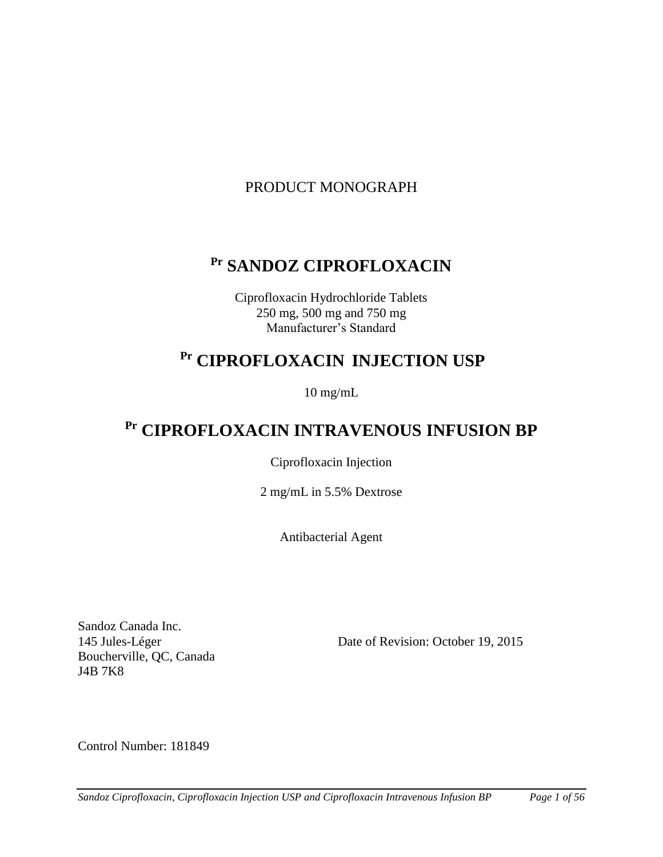# PRODUCT MONOGRAPH

# **Pr SANDOZ CIPROFLOXACIN**

Ciprofloxacin Hydrochloride Tablets 250 mg, 500 mg and 750 mg Manufacturer's Standard

# **Pr CIPROFLOXACIN INJECTION USP**

10 mg/mL

# **Pr CIPROFLOXACIN INTRAVENOUS INFUSION BP**

Ciprofloxacin Injection

2 mg/mL in 5.5% Dextrose

Antibacterial Agent

Sandoz Canada Inc. Boucherville, QC, Canada J4B 7K8

145 Jules-Léger Date of Revision: October 19, 2015

Control Number: 181849

*Sandoz Ciprofloxacin, Ciprofloxacin Injection USP and Ciprofloxacin Intravenous Infusion BP Page 1 of 56*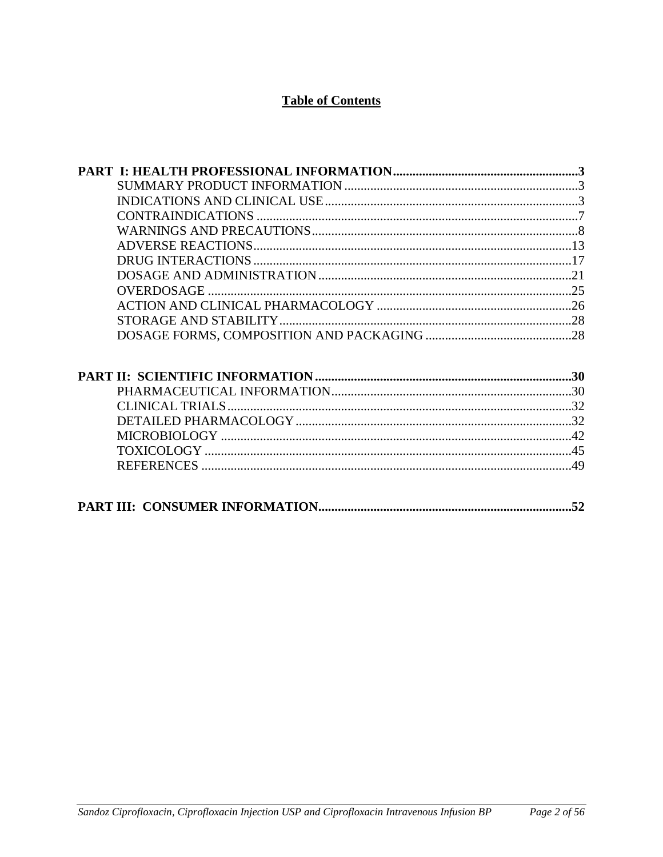# **Table of Contents**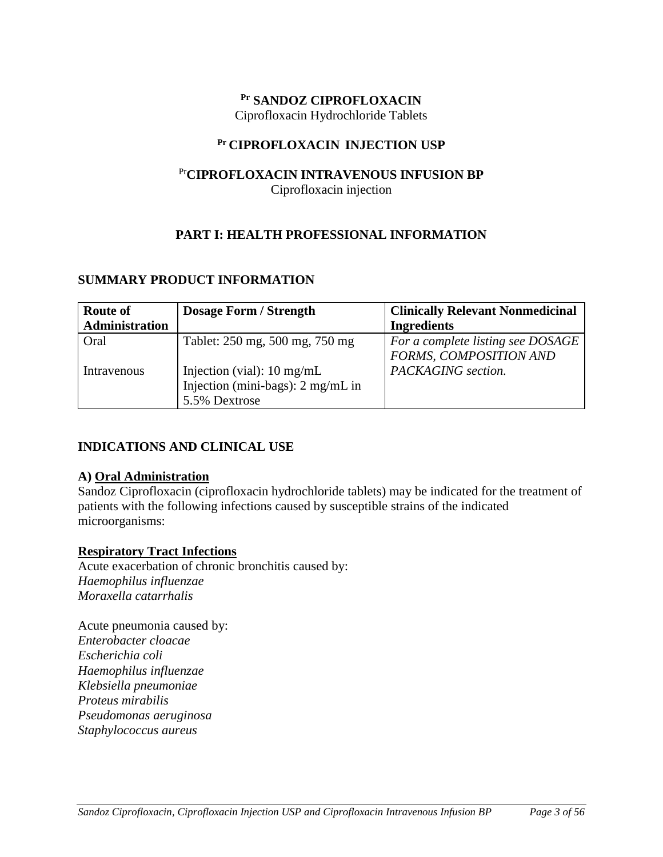### **Pr SANDOZ CIPROFLOXACIN**

<span id="page-2-0"></span>Ciprofloxacin Hydrochloride Tablets

# **Pr CIPROFLOXACIN INJECTION USP**

# Pr**CIPROFLOXACIN INTRAVENOUS INFUSION BP** Ciprofloxacin injection

# <span id="page-2-1"></span>**PART I: HEALTH PROFESSIONAL INFORMATION**

# **SUMMARY PRODUCT INFORMATION**

| <b>Route of</b> | <b>Dosage Form / Strength</b>                                                                        | <b>Clinically Relevant Nonmedicinal</b>                     |
|-----------------|------------------------------------------------------------------------------------------------------|-------------------------------------------------------------|
| Administration  |                                                                                                      | <b>Ingredients</b>                                          |
| Oral            | Tablet: 250 mg, 500 mg, 750 mg                                                                       | For a complete listing see DOSAGE<br>FORMS, COMPOSITION AND |
| Intravenous     | Injection (vial): $10 \text{ mg/mL}$<br>Injection (mini-bags): $2 \text{ mg/mL}$ in<br>5.5% Dextrose | PACKAGING section.                                          |

# <span id="page-2-2"></span>**INDICATIONS AND CLINICAL USE**

# **A) Oral Administration**

Sandoz Ciprofloxacin (ciprofloxacin hydrochloride tablets) may be indicated for the treatment of patients with the following infections caused by susceptible strains of the indicated microorganisms:

# **Respiratory Tract Infections**

Acute exacerbation of chronic bronchitis caused by: *Haemophilus influenzae Moraxella catarrhalis* 

Acute pneumonia caused by: *Enterobacter cloacae Escherichia coli Haemophilus influenzae Klebsiella pneumoniae Proteus mirabilis Pseudomonas aeruginosa Staphylococcus aureus*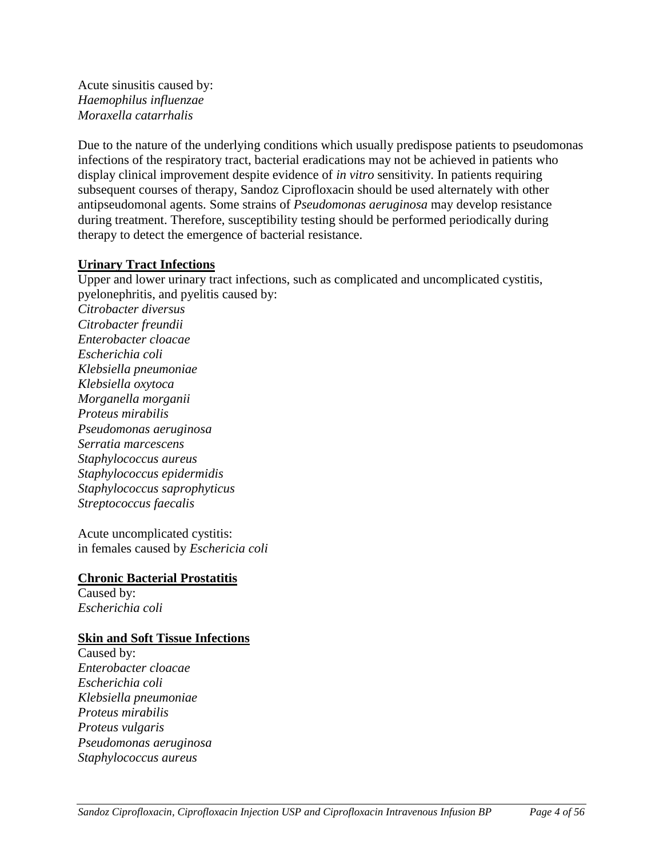Acute sinusitis caused by: *Haemophilus influenzae Moraxella catarrhalis* 

Due to the nature of the underlying conditions which usually predispose patients to pseudomonas infections of the respiratory tract, bacterial eradications may not be achieved in patients who display clinical improvement despite evidence of *in vitro* sensitivity. In patients requiring subsequent courses of therapy, Sandoz Ciprofloxacin should be used alternately with other antipseudomonal agents. Some strains of *Pseudomonas aeruginosa* may develop resistance during treatment. Therefore, susceptibility testing should be performed periodically during therapy to detect the emergence of bacterial resistance.

# **Urinary Tract Infections**

Upper and lower urinary tract infections, such as complicated and uncomplicated cystitis, pyelonephritis, and pyelitis caused by: *Citrobacter diversus Citrobacter freundii Enterobacter cloacae Escherichia coli Klebsiella pneumoniae Klebsiella oxytoca Morganella morganii Proteus mirabilis Pseudomonas aeruginosa Serratia marcescens Staphylococcus aureus Staphylococcus epidermidis Staphylococcus saprophyticus Streptococcus faecalis* 

Acute uncomplicated cystitis: in females caused by *Eschericia coli* 

# **Chronic Bacterial Prostatitis**

Caused by: *Escherichia coli* 

# **Skin and Soft Tissue Infections**

Caused by: *Enterobacter cloacae Escherichia coli Klebsiella pneumoniae Proteus mirabilis Proteus vulgaris Pseudomonas aeruginosa Staphylococcus aureus*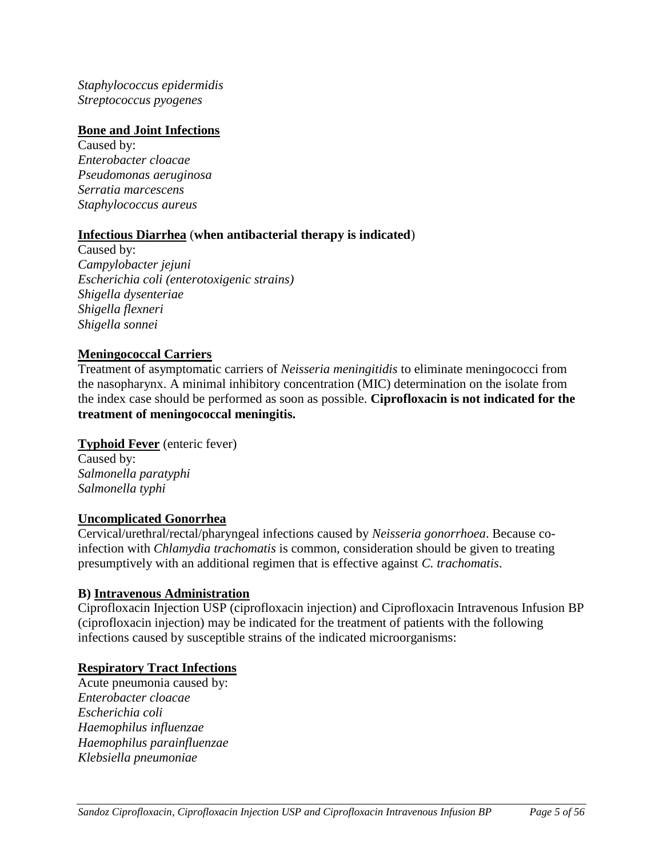*Staphylococcus epidermidis Streptococcus pyogenes* 

# **Bone and Joint Infections**

Caused by: *Enterobacter cloacae Pseudomonas aeruginosa Serratia marcescens Staphylococcus aureus* 

# **Infectious Diarrhea** (**when antibacterial therapy is indicated**)

Caused by: *Campylobacter jejuni Escherichia coli (enterotoxigenic strains) Shigella dysenteriae Shigella flexneri Shigella sonnei* 

# **Meningococcal Carriers**

Treatment of asymptomatic carriers of *Neisseria meningitidis* to eliminate meningococci from the nasopharynx. A minimal inhibitory concentration (MIC) determination on the isolate from the index case should be performed as soon as possible. **Ciprofloxacin is not indicated for the treatment of meningococcal meningitis.** 

# **Typhoid Fever** (enteric fever)

Caused by: *Salmonella paratyphi Salmonella typhi* 

#### **Uncomplicated Gonorrhea**

Cervical/urethral/rectal/pharyngeal infections caused by *Neisseria gonorrhoea*. Because coinfection with *Chlamydia trachomatis* is common, consideration should be given to treating presumptively with an additional regimen that is effective against *C. trachomatis*.

# **B) Intravenous Administration**

Ciprofloxacin Injection USP (ciprofloxacin injection) and Ciprofloxacin Intravenous Infusion BP (ciprofloxacin injection) may be indicated for the treatment of patients with the following infections caused by susceptible strains of the indicated microorganisms:

#### **Respiratory Tract Infections**

Acute pneumonia caused by: *Enterobacter cloacae Escherichia coli Haemophilus influenzae Haemophilus parainfluenzae Klebsiella pneumoniae*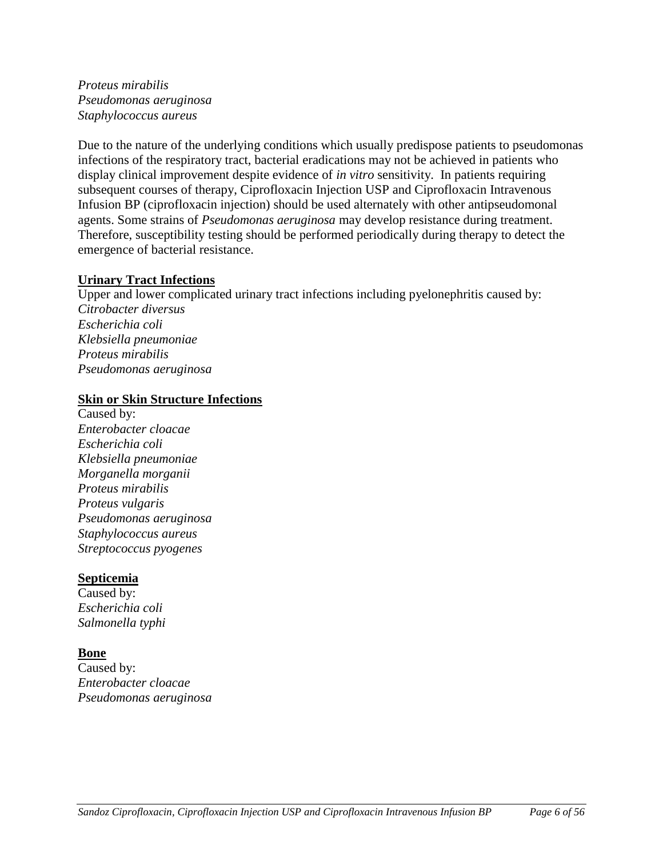*Proteus mirabilis Pseudomonas aeruginosa Staphylococcus aureus* 

Due to the nature of the underlying conditions which usually predispose patients to pseudomonas infections of the respiratory tract, bacterial eradications may not be achieved in patients who display clinical improvement despite evidence of *in vitro* sensitivity. In patients requiring subsequent courses of therapy, Ciprofloxacin Injection USP and Ciprofloxacin Intravenous Infusion BP (ciprofloxacin injection) should be used alternately with other antipseudomonal agents. Some strains of *Pseudomonas aeruginosa* may develop resistance during treatment. Therefore, susceptibility testing should be performed periodically during therapy to detect the emergence of bacterial resistance.

#### **Urinary Tract Infections**

Upper and lower complicated urinary tract infections including pyelonephritis caused by: *Citrobacter diversus Escherichia coli Klebsiella pneumoniae Proteus mirabilis Pseudomonas aeruginosa* 

#### **Skin or Skin Structure Infections**

Caused by: *Enterobacter cloacae Escherichia coli Klebsiella pneumoniae Morganella morganii Proteus mirabilis Proteus vulgaris Pseudomonas aeruginosa Staphylococcus aureus Streptococcus pyogenes* 

# **Septicemia**

Caused by: *Escherichia coli Salmonella typhi* 

# **Bone**

Caused by: *Enterobacter cloacae Pseudomonas aeruginosa*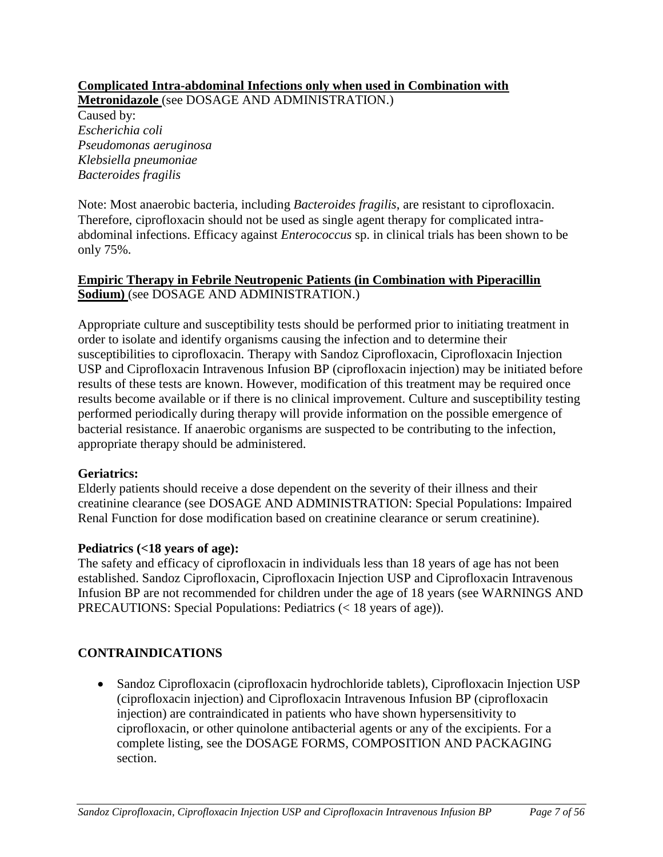# **Complicated Intra-abdominal Infections only when used in Combination with**

**Metronidazole** (see DOSAGE AND ADMINISTRATION.) Caused by: *Escherichia coli Pseudomonas aeruginosa Klebsiella pneumoniae Bacteroides fragilis* 

Note: Most anaerobic bacteria, including *Bacteroides fragilis*, are resistant to ciprofloxacin. Therefore, ciprofloxacin should not be used as single agent therapy for complicated intraabdominal infections. Efficacy against *Enterococcus* sp. in clinical trials has been shown to be only 75%.

# **Empiric Therapy in Febrile Neutropenic Patients (in Combination with Piperacillin Sodium)** (see DOSAGE AND ADMINISTRATION.)

Appropriate culture and susceptibility tests should be performed prior to initiating treatment in order to isolate and identify organisms causing the infection and to determine their susceptibilities to ciprofloxacin. Therapy with Sandoz Ciprofloxacin, Ciprofloxacin Injection USP and Ciprofloxacin Intravenous Infusion BP (ciprofloxacin injection) may be initiated before results of these tests are known. However, modification of this treatment may be required once results become available or if there is no clinical improvement. Culture and susceptibility testing performed periodically during therapy will provide information on the possible emergence of bacterial resistance. If anaerobic organisms are suspected to be contributing to the infection, appropriate therapy should be administered.

# **Geriatrics:**

Elderly patients should receive a dose dependent on the severity of their illness and their creatinine clearance (see DOSAGE AND ADMINISTRATION: Special Populations: Impaired Renal Function for dose modification based on creatinine clearance or serum creatinine).

# **Pediatrics (<18 years of age):**

The safety and efficacy of ciprofloxacin in individuals less than 18 years of age has not been established. Sandoz Ciprofloxacin, Ciprofloxacin Injection USP and Ciprofloxacin Intravenous Infusion BP are not recommended for children under the age of 18 years (see WARNINGS AND PRECAUTIONS: Special Populations: Pediatrics (< 18 years of age)).

# **CONTRAINDICATIONS**

<span id="page-6-0"></span> Sandoz Ciprofloxacin (ciprofloxacin hydrochloride tablets), Ciprofloxacin Injection USP (ciprofloxacin injection) and Ciprofloxacin Intravenous Infusion BP (ciprofloxacin injection) are contraindicated in patients who have shown hypersensitivity to ciprofloxacin, or other quinolone antibacterial agents or any of the excipients. For a complete listing, see the DOSAGE FORMS, COMPOSITION AND PACKAGING section.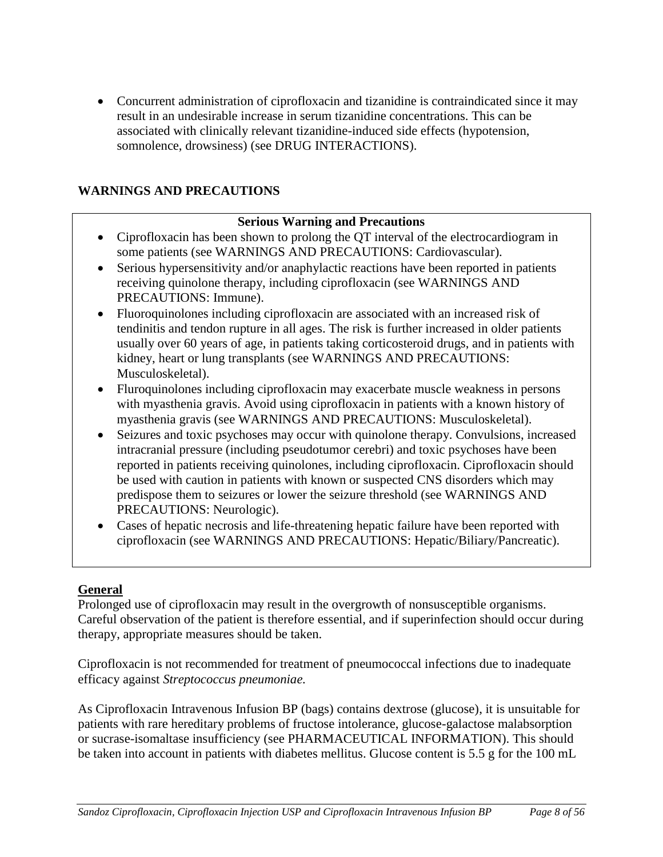Concurrent administration of ciprofloxacin and tizanidine is contraindicated since it may result in an undesirable increase in serum tizanidine concentrations. This can be associated with clinically relevant tizanidine-induced side effects (hypotension, somnolence, drowsiness) (see DRUG INTERACTIONS).

# **WARNINGS AND PRECAUTIONS**

# <span id="page-7-0"></span>**Serious Warning and Precautions**

- Ciprofloxacin has been shown to prolong the QT interval of the electrocardiogram in some patients (see WARNINGS AND PRECAUTIONS: Cardiovascular).
- Serious hypersensitivity and/or anaphylactic reactions have been reported in patients receiving quinolone therapy, including ciprofloxacin (see WARNINGS AND PRECAUTIONS: Immune).
- Fluoroquinolones including ciprofloxacin are associated with an increased risk of tendinitis and tendon rupture in all ages. The risk is further increased in older patients usually over 60 years of age, in patients taking corticosteroid drugs, and in patients with kidney, heart or lung transplants (see WARNINGS AND PRECAUTIONS: Musculoskeletal).
- Fluroquinolones including ciprofloxacin may exacerbate muscle weakness in persons with myasthenia gravis. Avoid using ciprofloxacin in patients with a known history of myasthenia gravis (see WARNINGS AND PRECAUTIONS: Musculoskeletal).
- Seizures and toxic psychoses may occur with quinolone therapy. Convulsions, increased intracranial pressure (including pseudotumor cerebri) and toxic psychoses have been reported in patients receiving quinolones, including ciprofloxacin. Ciprofloxacin should be used with caution in patients with known or suspected CNS disorders which may predispose them to seizures or lower the seizure threshold (see WARNINGS AND PRECAUTIONS: Neurologic).
- Cases of hepatic necrosis and life-threatening hepatic failure have been reported with ciprofloxacin (see WARNINGS AND PRECAUTIONS: Hepatic/Biliary/Pancreatic).

# **General**

Prolonged use of ciprofloxacin may result in the overgrowth of nonsusceptible organisms. Careful observation of the patient is therefore essential, and if superinfection should occur during therapy, appropriate measures should be taken.

Ciprofloxacin is not recommended for treatment of pneumococcal infections due to inadequate efficacy against *Streptococcus pneumoniae.*

As Ciprofloxacin Intravenous Infusion BP (bags) contains dextrose (glucose), it is unsuitable for patients with rare hereditary problems of fructose intolerance, glucose-galactose malabsorption or sucrase-isomaltase insufficiency (see PHARMACEUTICAL INFORMATION). This should be taken into account in patients with diabetes mellitus. Glucose content is 5.5 g for the 100 mL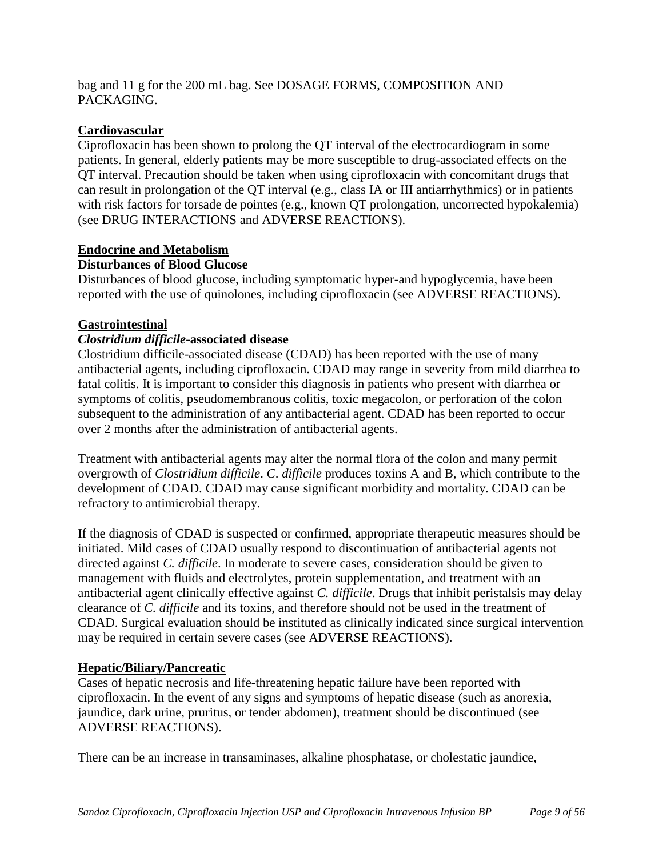bag and 11 g for the 200 mL bag. See DOSAGE FORMS, COMPOSITION AND PACKAGING.

# **Cardiovascular**

Ciprofloxacin has been shown to prolong the QT interval of the electrocardiogram in some patients. In general, elderly patients may be more susceptible to drug-associated effects on the QT interval. Precaution should be taken when using ciprofloxacin with concomitant drugs that can result in prolongation of the QT interval (e.g., class IA or III antiarrhythmics) or in patients with risk factors for torsade de pointes (e.g., known QT prolongation, uncorrected hypokalemia) (see DRUG INTERACTIONS and ADVERSE REACTIONS).

# **Endocrine and Metabolism**

# **Disturbances of Blood Glucose**

Disturbances of blood glucose, including symptomatic hyper-and hypoglycemia, have been reported with the use of quinolones, including ciprofloxacin (see ADVERSE REACTIONS).

# **Gastrointestinal**

# *Clostridium difficile***-associated disease**

Clostridium difficile-associated disease (CDAD) has been reported with the use of many antibacterial agents, including ciprofloxacin. CDAD may range in severity from mild diarrhea to fatal colitis. It is important to consider this diagnosis in patients who present with diarrhea or symptoms of colitis, pseudomembranous colitis, toxic megacolon, or perforation of the colon subsequent to the administration of any antibacterial agent. CDAD has been reported to occur over 2 months after the administration of antibacterial agents.

Treatment with antibacterial agents may alter the normal flora of the colon and many permit overgrowth of *Clostridium difficile*. *C*. *difficile* produces toxins A and B, which contribute to the development of CDAD. CDAD may cause significant morbidity and mortality. CDAD can be refractory to antimicrobial therapy.

If the diagnosis of CDAD is suspected or confirmed, appropriate therapeutic measures should be initiated. Mild cases of CDAD usually respond to discontinuation of antibacterial agents not directed against *C. difficile*. In moderate to severe cases, consideration should be given to management with fluids and electrolytes, protein supplementation, and treatment with an antibacterial agent clinically effective against *C. difficile*. Drugs that inhibit peristalsis may delay clearance of *C. difficile* and its toxins, and therefore should not be used in the treatment of CDAD. Surgical evaluation should be instituted as clinically indicated since surgical intervention may be required in certain severe cases (see ADVERSE REACTIONS).

# **Hepatic/Biliary/Pancreatic**

Cases of hepatic necrosis and life-threatening hepatic failure have been reported with ciprofloxacin. In the event of any signs and symptoms of hepatic disease (such as anorexia, jaundice, dark urine, pruritus, or tender abdomen), treatment should be discontinued (see ADVERSE REACTIONS).

There can be an increase in transaminases, alkaline phosphatase, or cholestatic jaundice,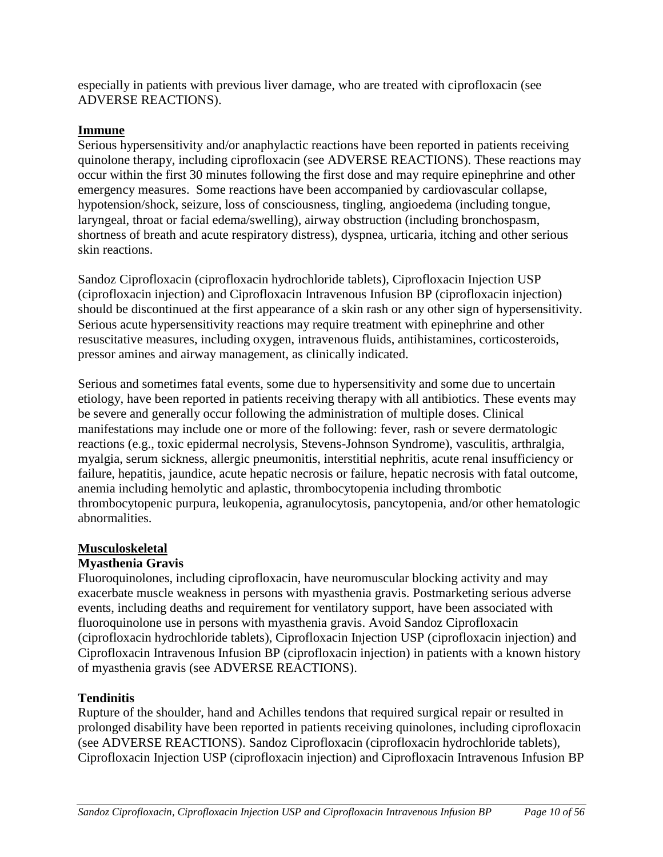especially in patients with previous liver damage, who are treated with ciprofloxacin (see ADVERSE REACTIONS).

# **Immune**

Serious hypersensitivity and/or anaphylactic reactions have been reported in patients receiving quinolone therapy, including ciprofloxacin (see ADVERSE REACTIONS). These reactions may occur within the first 30 minutes following the first dose and may require epinephrine and other emergency measures. Some reactions have been accompanied by cardiovascular collapse, hypotension/shock, seizure, loss of consciousness, tingling, angioedema (including tongue, laryngeal, throat or facial edema/swelling), airway obstruction (including bronchospasm, shortness of breath and acute respiratory distress), dyspnea, urticaria, itching and other serious skin reactions.

Sandoz Ciprofloxacin (ciprofloxacin hydrochloride tablets), Ciprofloxacin Injection USP (ciprofloxacin injection) and Ciprofloxacin Intravenous Infusion BP (ciprofloxacin injection) should be discontinued at the first appearance of a skin rash or any other sign of hypersensitivity. Serious acute hypersensitivity reactions may require treatment with epinephrine and other resuscitative measures, including oxygen, intravenous fluids, antihistamines, corticosteroids, pressor amines and airway management, as clinically indicated.

Serious and sometimes fatal events, some due to hypersensitivity and some due to uncertain etiology, have been reported in patients receiving therapy with all antibiotics. These events may be severe and generally occur following the administration of multiple doses. Clinical manifestations may include one or more of the following: fever, rash or severe dermatologic reactions (e.g., toxic epidermal necrolysis, Stevens-Johnson Syndrome), vasculitis, arthralgia, myalgia, serum sickness, allergic pneumonitis, interstitial nephritis, acute renal insufficiency or failure, hepatitis, jaundice, acute hepatic necrosis or failure, hepatic necrosis with fatal outcome, anemia including hemolytic and aplastic, thrombocytopenia including thrombotic thrombocytopenic purpura, leukopenia, agranulocytosis, pancytopenia, and/or other hematologic abnormalities.

#### **Musculoskeletal**

# **Myasthenia Gravis**

Fluoroquinolones, including ciprofloxacin, have neuromuscular blocking activity and may exacerbate muscle weakness in persons with myasthenia gravis. Postmarketing serious adverse events, including deaths and requirement for ventilatory support, have been associated with fluoroquinolone use in persons with myasthenia gravis. Avoid Sandoz Ciprofloxacin (ciprofloxacin hydrochloride tablets), Ciprofloxacin Injection USP (ciprofloxacin injection) and Ciprofloxacin Intravenous Infusion BP (ciprofloxacin injection) in patients with a known history of myasthenia gravis (see ADVERSE REACTIONS).

# **Tendinitis**

Rupture of the shoulder, hand and Achilles tendons that required surgical repair or resulted in prolonged disability have been reported in patients receiving quinolones, including ciprofloxacin (see ADVERSE REACTIONS). Sandoz Ciprofloxacin (ciprofloxacin hydrochloride tablets), Ciprofloxacin Injection USP (ciprofloxacin injection) and Ciprofloxacin Intravenous Infusion BP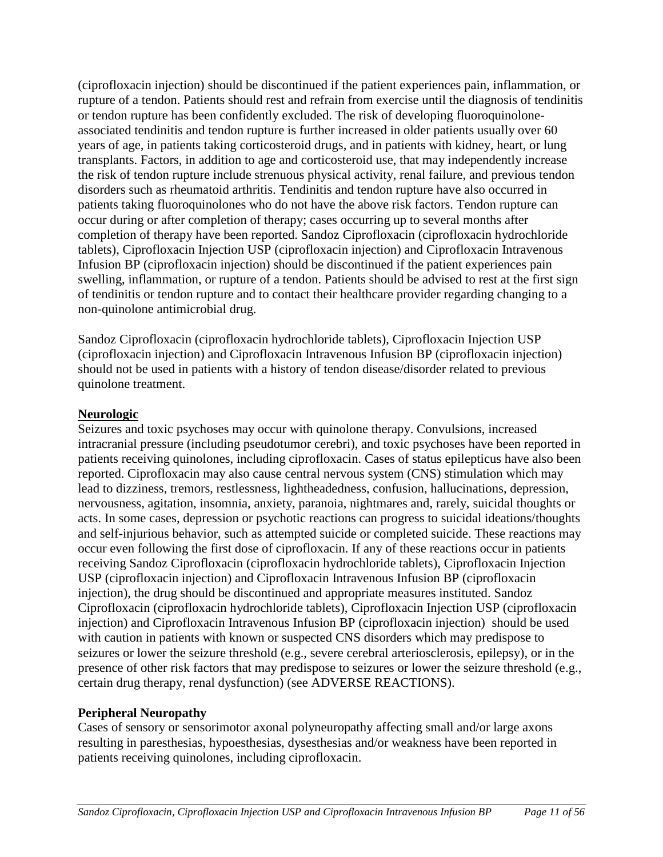(ciprofloxacin injection) should be discontinued if the patient experiences pain, inflammation, or rupture of a tendon. Patients should rest and refrain from exercise until the diagnosis of tendinitis or tendon rupture has been confidently excluded. The risk of developing fluoroquinoloneassociated tendinitis and tendon rupture is further increased in older patients usually over 60 years of age, in patients taking corticosteroid drugs, and in patients with kidney, heart, or lung transplants. Factors, in addition to age and corticosteroid use, that may independently increase the risk of tendon rupture include strenuous physical activity, renal failure, and previous tendon disorders such as rheumatoid arthritis. Tendinitis and tendon rupture have also occurred in patients taking fluoroquinolones who do not have the above risk factors. Tendon rupture can occur during or after completion of therapy; cases occurring up to several months after completion of therapy have been reported. Sandoz Ciprofloxacin (ciprofloxacin hydrochloride tablets), Ciprofloxacin Injection USP (ciprofloxacin injection) and Ciprofloxacin Intravenous Infusion BP (ciprofloxacin injection) should be discontinued if the patient experiences pain swelling, inflammation, or rupture of a tendon. Patients should be advised to rest at the first sign of tendinitis or tendon rupture and to contact their healthcare provider regarding changing to a non-quinolone antimicrobial drug.

Sandoz Ciprofloxacin (ciprofloxacin hydrochloride tablets), Ciprofloxacin Injection USP (ciprofloxacin injection) and Ciprofloxacin Intravenous Infusion BP (ciprofloxacin injection) should not be used in patients with a history of tendon disease/disorder related to previous quinolone treatment.

#### **Neurologic**

Seizures and toxic psychoses may occur with quinolone therapy. Convulsions, increased intracranial pressure (including pseudotumor cerebri), and toxic psychoses have been reported in patients receiving quinolones, including ciprofloxacin. Cases of status epilepticus have also been reported. Ciprofloxacin may also cause central nervous system (CNS) stimulation which may lead to dizziness, tremors, restlessness, lightheadedness, confusion, hallucinations, depression, nervousness, agitation, insomnia, anxiety, paranoia, nightmares and, rarely, suicidal thoughts or acts. In some cases, depression or psychotic reactions can progress to suicidal ideations/thoughts and self-injurious behavior, such as attempted suicide or completed suicide. These reactions may occur even following the first dose of ciprofloxacin. If any of these reactions occur in patients receiving Sandoz Ciprofloxacin (ciprofloxacin hydrochloride tablets), Ciprofloxacin Injection USP (ciprofloxacin injection) and Ciprofloxacin Intravenous Infusion BP (ciprofloxacin injection), the drug should be discontinued and appropriate measures instituted. Sandoz Ciprofloxacin (ciprofloxacin hydrochloride tablets), Ciprofloxacin Injection USP (ciprofloxacin injection) and Ciprofloxacin Intravenous Infusion BP (ciprofloxacin injection) should be used with caution in patients with known or suspected CNS disorders which may predispose to seizures or lower the seizure threshold (e.g., severe cerebral arteriosclerosis, epilepsy), or in the presence of other risk factors that may predispose to seizures or lower the seizure threshold (e.g., certain drug therapy, renal dysfunction) (see ADVERSE REACTIONS).

# **Peripheral Neuropathy**

Cases of sensory or sensorimotor axonal polyneuropathy affecting small and/or large axons resulting in paresthesias, hypoesthesias, dysesthesias and/or weakness have been reported in patients receiving quinolones, including ciprofloxacin.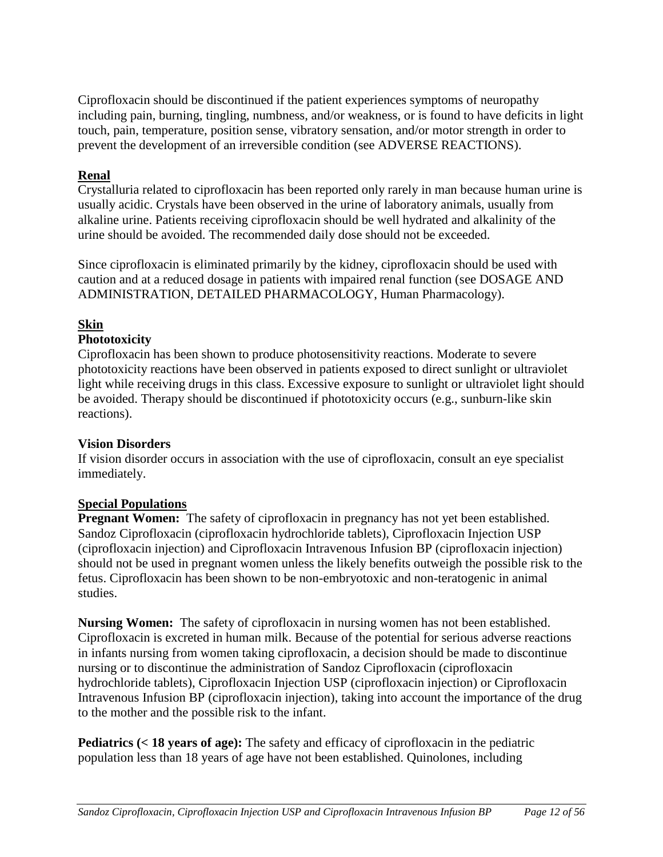Ciprofloxacin should be discontinued if the patient experiences symptoms of neuropathy including pain, burning, tingling, numbness, and/or weakness, or is found to have deficits in light touch, pain, temperature, position sense, vibratory sensation, and/or motor strength in order to prevent the development of an irreversible condition (see ADVERSE REACTIONS).

# **Renal**

Crystalluria related to ciprofloxacin has been reported only rarely in man because human urine is usually acidic. Crystals have been observed in the urine of laboratory animals, usually from alkaline urine. Patients receiving ciprofloxacin should be well hydrated and alkalinity of the urine should be avoided. The recommended daily dose should not be exceeded.

Since ciprofloxacin is eliminated primarily by the kidney, ciprofloxacin should be used with caution and at a reduced dosage in patients with impaired renal function (see DOSAGE AND ADMINISTRATION, DETAILED PHARMACOLOGY, Human Pharmacology).

# **Skin**

# **Phototoxicity**

Ciprofloxacin has been shown to produce photosensitivity reactions. Moderate to severe phototoxicity reactions have been observed in patients exposed to direct sunlight or ultraviolet light while receiving drugs in this class. Excessive exposure to sunlight or ultraviolet light should be avoided. Therapy should be discontinued if phototoxicity occurs (e.g., sunburn-like skin reactions).

# **Vision Disorders**

If vision disorder occurs in association with the use of ciprofloxacin, consult an eye specialist immediately.

# **Special Populations**

**Pregnant Women:** The safety of ciprofloxacin in pregnancy has not yet been established. Sandoz Ciprofloxacin (ciprofloxacin hydrochloride tablets), Ciprofloxacin Injection USP (ciprofloxacin injection) and Ciprofloxacin Intravenous Infusion BP (ciprofloxacin injection) should not be used in pregnant women unless the likely benefits outweigh the possible risk to the fetus. Ciprofloxacin has been shown to be non-embryotoxic and non-teratogenic in animal studies.

**Nursing Women:** The safety of ciprofloxacin in nursing women has not been established. Ciprofloxacin is excreted in human milk. Because of the potential for serious adverse reactions in infants nursing from women taking ciprofloxacin, a decision should be made to discontinue nursing or to discontinue the administration of Sandoz Ciprofloxacin (ciprofloxacin hydrochloride tablets), Ciprofloxacin Injection USP (ciprofloxacin injection) or Ciprofloxacin Intravenous Infusion BP (ciprofloxacin injection), taking into account the importance of the drug to the mother and the possible risk to the infant.

**Pediatrics (< 18 years of age):** The safety and efficacy of ciprofloxacin in the pediatric population less than 18 years of age have not been established. Quinolones, including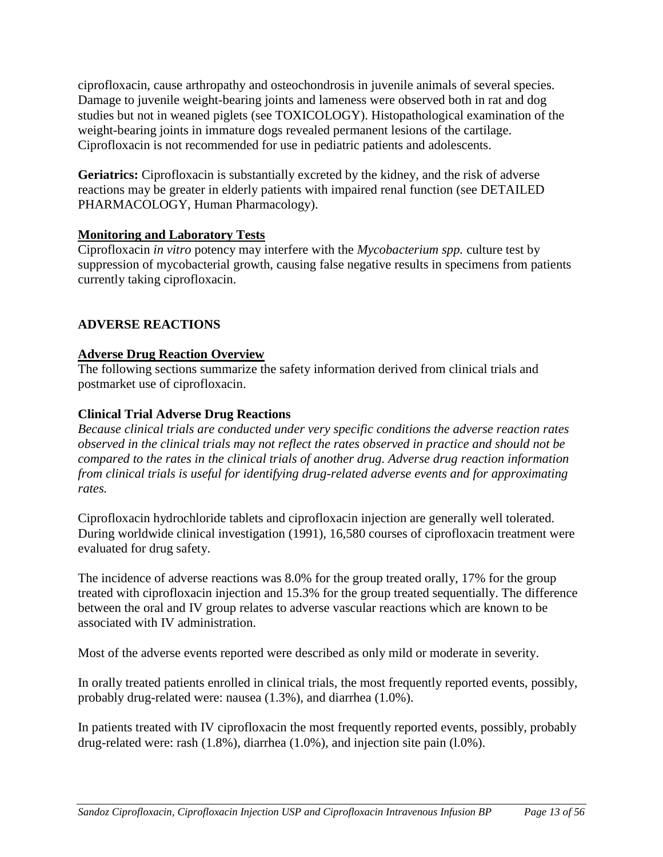ciprofloxacin, cause arthropathy and osteochondrosis in juvenile animals of several species. Damage to juvenile weight-bearing joints and lameness were observed both in rat and dog studies but not in weaned piglets (see TOXICOLOGY). Histopathological examination of the weight-bearing joints in immature dogs revealed permanent lesions of the cartilage. Ciprofloxacin is not recommended for use in pediatric patients and adolescents.

Geriatrics: Ciprofloxacin is substantially excreted by the kidney, and the risk of adverse reactions may be greater in elderly patients with impaired renal function (see DETAILED PHARMACOLOGY, Human Pharmacology).

# **Monitoring and Laboratory Tests**

Ciprofloxacin *in vitro* potency may interfere with the *Mycobacterium spp.* culture test by suppression of mycobacterial growth, causing false negative results in specimens from patients currently taking ciprofloxacin.

# <span id="page-12-0"></span>**ADVERSE REACTIONS**

# **Adverse Drug Reaction Overview**

The following sections summarize the safety information derived from clinical trials and postmarket use of ciprofloxacin.

# **Clinical Trial Adverse Drug Reactions**

*Because clinical trials are conducted under very specific conditions the adverse reaction rates observed in the clinical trials may not reflect the rates observed in practice and should not be compared to the rates in the clinical trials of another drug. Adverse drug reaction information from clinical trials is useful for identifying drug-related adverse events and for approximating rates.*

Ciprofloxacin hydrochloride tablets and ciprofloxacin injection are generally well tolerated. During worldwide clinical investigation (1991), 16,580 courses of ciprofloxacin treatment were evaluated for drug safety.

The incidence of adverse reactions was 8.0% for the group treated orally, 17% for the group treated with ciprofloxacin injection and 15.3% for the group treated sequentially. The difference between the oral and IV group relates to adverse vascular reactions which are known to be associated with IV administration.

Most of the adverse events reported were described as only mild or moderate in severity.

In orally treated patients enrolled in clinical trials, the most frequently reported events, possibly, probably drug-related were: nausea (1.3%), and diarrhea (1.0%).

In patients treated with IV ciprofloxacin the most frequently reported events, possibly, probably drug-related were: rash (1.8%), diarrhea (1.0%), and injection site pain (l.0%).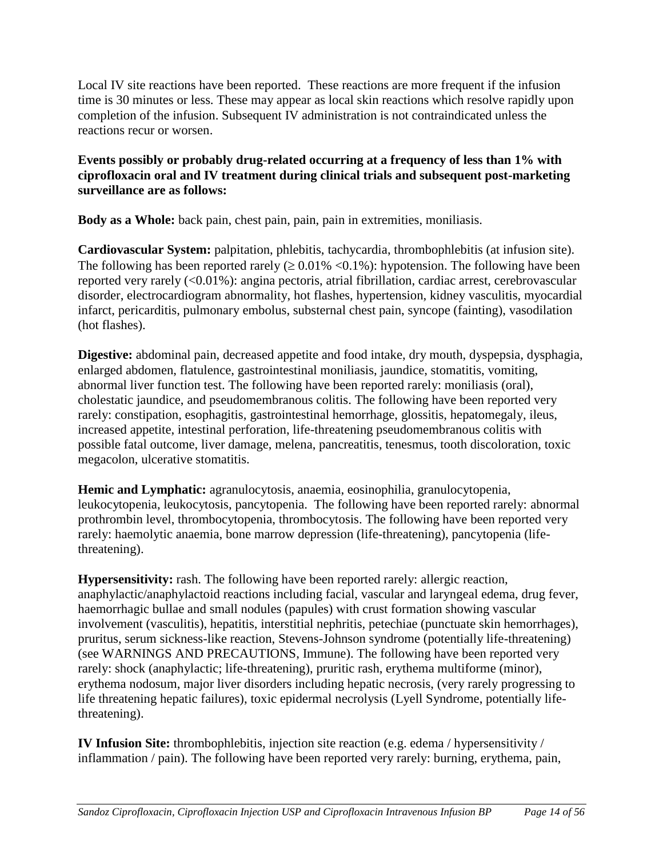Local IV site reactions have been reported. These reactions are more frequent if the infusion time is 30 minutes or less. These may appear as local skin reactions which resolve rapidly upon completion of the infusion. Subsequent IV administration is not contraindicated unless the reactions recur or worsen.

# **Events possibly or probably drug-related occurring at a frequency of less than 1% with ciprofloxacin oral and IV treatment during clinical trials and subsequent post-marketing surveillance are as follows:**

**Body as a Whole:** back pain, chest pain, pain, pain in extremities, moniliasis.

**Cardiovascular System:** palpitation, phlebitis, tachycardia, thrombophlebitis (at infusion site). The following has been reported rarely  $( \geq 0.01\% \leq 0.1\%)$ : hypotension. The following have been reported very rarely (<0.01%): angina pectoris, atrial fibrillation, cardiac arrest, cerebrovascular disorder, electrocardiogram abnormality, hot flashes, hypertension, kidney vasculitis, myocardial infarct, pericarditis, pulmonary embolus, substernal chest pain, syncope (fainting), vasodilation (hot flashes).

**Digestive:** abdominal pain, decreased appetite and food intake, dry mouth, dyspepsia, dysphagia, enlarged abdomen, flatulence, gastrointestinal moniliasis, jaundice, stomatitis, vomiting, abnormal liver function test. The following have been reported rarely: moniliasis (oral), cholestatic jaundice, and pseudomembranous colitis. The following have been reported very rarely: constipation, esophagitis, gastrointestinal hemorrhage, glossitis, hepatomegaly, ileus, increased appetite, intestinal perforation, life-threatening pseudomembranous colitis with possible fatal outcome, liver damage, melena, pancreatitis, tenesmus, tooth discoloration, toxic megacolon, ulcerative stomatitis.

**Hemic and Lymphatic:** agranulocytosis, anaemia, eosinophilia, granulocytopenia, leukocytopenia, leukocytosis, pancytopenia. The following have been reported rarely: abnormal prothrombin level, thrombocytopenia, thrombocytosis. The following have been reported very rarely: haemolytic anaemia, bone marrow depression (life-threatening), pancytopenia (lifethreatening).

**Hypersensitivity:** rash. The following have been reported rarely: allergic reaction, anaphylactic/anaphylactoid reactions including facial, vascular and laryngeal edema, drug fever, haemorrhagic bullae and small nodules (papules) with crust formation showing vascular involvement (vasculitis), hepatitis, interstitial nephritis, petechiae (punctuate skin hemorrhages), pruritus, serum sickness-like reaction, Stevens-Johnson syndrome (potentially life-threatening) (see WARNINGS AND PRECAUTIONS, Immune). The following have been reported very rarely: shock (anaphylactic; life-threatening), pruritic rash, erythema multiforme (minor), erythema nodosum, major liver disorders including hepatic necrosis, (very rarely progressing to life threatening hepatic failures), toxic epidermal necrolysis (Lyell Syndrome, potentially lifethreatening).

**IV Infusion Site:** thrombophlebitis, injection site reaction (e.g. edema / hypersensitivity / inflammation / pain). The following have been reported very rarely: burning, erythema, pain,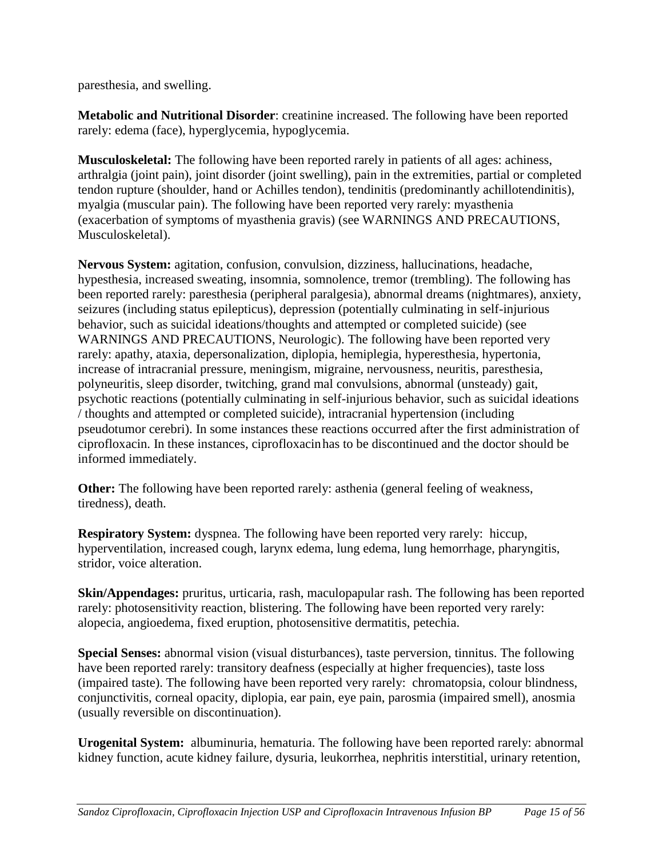paresthesia, and swelling.

**Metabolic and Nutritional Disorder**: creatinine increased. The following have been reported rarely: edema (face), hyperglycemia, hypoglycemia.

**Musculoskeletal:** The following have been reported rarely in patients of all ages: achiness, arthralgia (joint pain), joint disorder (joint swelling), pain in the extremities, partial or completed tendon rupture (shoulder, hand or Achilles tendon), tendinitis (predominantly achillotendinitis), myalgia (muscular pain). The following have been reported very rarely: myasthenia (exacerbation of symptoms of myasthenia gravis) (see WARNINGS AND PRECAUTIONS, Musculoskeletal).

**Nervous System:** agitation, confusion, convulsion, dizziness, hallucinations, headache, hypesthesia, increased sweating, insomnia, somnolence, tremor (trembling). The following has been reported rarely: paresthesia (peripheral paralgesia), abnormal dreams (nightmares), anxiety, seizures (including status epilepticus), depression (potentially culminating in self-injurious behavior, such as suicidal ideations/thoughts and attempted or completed suicide) (see WARNINGS AND PRECAUTIONS, Neurologic). The following have been reported very rarely: apathy, ataxia, depersonalization, diplopia, hemiplegia, hyperesthesia, hypertonia, increase of intracranial pressure, meningism, migraine, nervousness, neuritis, paresthesia, polyneuritis, sleep disorder, twitching, grand mal convulsions, abnormal (unsteady) gait, psychotic reactions (potentially culminating in self-injurious behavior, such as suicidal ideations / thoughts and attempted or completed suicide), intracranial hypertension (including pseudotumor cerebri). In some instances these reactions occurred after the first administration of ciprofloxacin. In these instances, ciprofloxacinhas to be discontinued and the doctor should be informed immediately.

**Other:** The following have been reported rarely: asthenia (general feeling of weakness, tiredness), death.

**Respiratory System:** dyspnea. The following have been reported very rarely: hiccup, hyperventilation, increased cough, larynx edema, lung edema, lung hemorrhage, pharyngitis, stridor, voice alteration.

**Skin/Appendages:** pruritus, urticaria, rash, maculopapular rash. The following has been reported rarely: photosensitivity reaction, blistering. The following have been reported very rarely: alopecia, angioedema, fixed eruption, photosensitive dermatitis, petechia.

**Special Senses:** abnormal vision (visual disturbances), taste perversion, tinnitus. The following have been reported rarely: transitory deafness (especially at higher frequencies), taste loss (impaired taste). The following have been reported very rarely: chromatopsia, colour blindness, conjunctivitis, corneal opacity, diplopia, ear pain, eye pain, parosmia (impaired smell), anosmia (usually reversible on discontinuation).

**Urogenital System:** albuminuria, hematuria. The following have been reported rarely: abnormal kidney function, acute kidney failure, dysuria, leukorrhea, nephritis interstitial, urinary retention,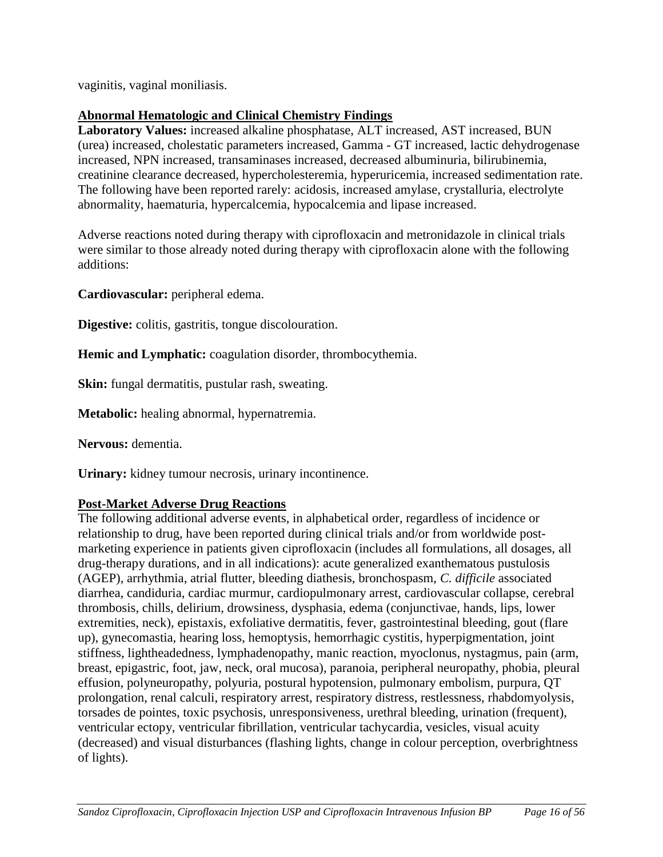vaginitis, vaginal moniliasis.

# **Abnormal Hematologic and Clinical Chemistry Findings**

**Laboratory Values:** increased alkaline phosphatase, ALT increased, AST increased, BUN (urea) increased, cholestatic parameters increased, Gamma - GT increased, lactic dehydrogenase increased, NPN increased, transaminases increased, decreased albuminuria, bilirubinemia, creatinine clearance decreased, hypercholesteremia, hyperuricemia, increased sedimentation rate. The following have been reported rarely: acidosis, increased amylase, crystalluria, electrolyte abnormality, haematuria, hypercalcemia, hypocalcemia and lipase increased.

Adverse reactions noted during therapy with ciprofloxacin and metronidazole in clinical trials were similar to those already noted during therapy with ciprofloxacin alone with the following additions:

**Cardiovascular:** peripheral edema.

**Digestive:** colitis, gastritis, tongue discolouration.

**Hemic and Lymphatic:** coagulation disorder, thrombocythemia.

**Skin:** fungal dermatitis, pustular rash, sweating.

**Metabolic:** healing abnormal, hypernatremia.

**Nervous:** dementia.

**Urinary:** kidney tumour necrosis, urinary incontinence.

# **Post-Market Adverse Drug Reactions**

The following additional adverse events, in alphabetical order, regardless of incidence or relationship to drug, have been reported during clinical trials and/or from worldwide postmarketing experience in patients given ciprofloxacin (includes all formulations, all dosages, all drug-therapy durations, and in all indications): acute generalized exanthematous pustulosis (AGEP), arrhythmia, atrial flutter, bleeding diathesis, bronchospasm, *C. difficile* associated diarrhea, candiduria, cardiac murmur, cardiopulmonary arrest, cardiovascular collapse, cerebral thrombosis, chills, delirium, drowsiness, dysphasia, edema (conjunctivae, hands, lips, lower extremities, neck), epistaxis, exfoliative dermatitis, fever, gastrointestinal bleeding, gout (flare up), gynecomastia, hearing loss, hemoptysis, hemorrhagic cystitis, hyperpigmentation, joint stiffness, lightheadedness, lymphadenopathy, manic reaction, myoclonus, nystagmus, pain (arm, breast, epigastric, foot, jaw, neck, oral mucosa), paranoia, peripheral neuropathy, phobia, pleural effusion, polyneuropathy, polyuria, postural hypotension, pulmonary embolism, purpura, QT prolongation, renal calculi, respiratory arrest, respiratory distress, restlessness, rhabdomyolysis, torsades de pointes, toxic psychosis, unresponsiveness, urethral bleeding, urination (frequent), ventricular ectopy, ventricular fibrillation, ventricular tachycardia, vesicles, visual acuity (decreased) and visual disturbances (flashing lights, change in colour perception, overbrightness of lights).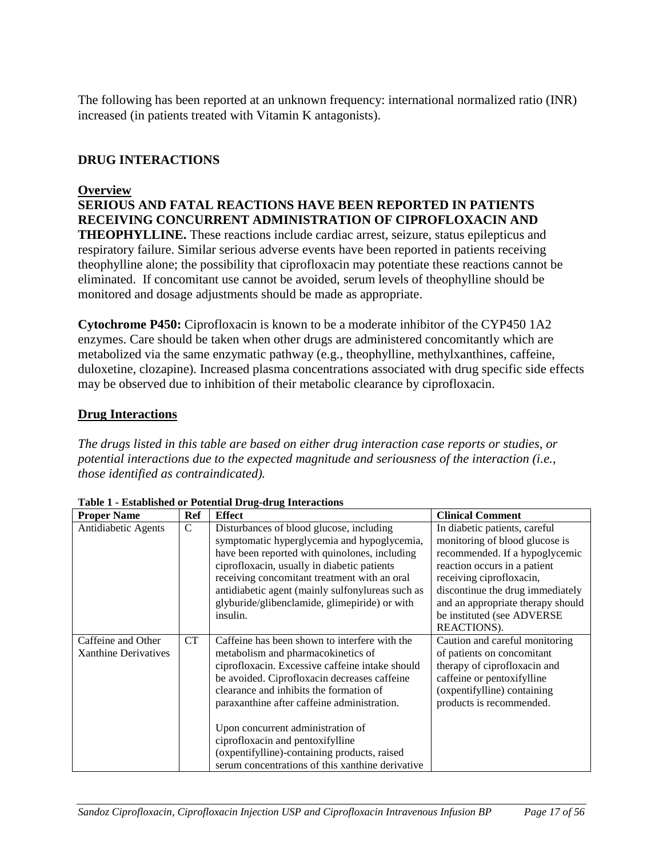The following has been reported at an unknown frequency: international normalized ratio (INR) increased (in patients treated with Vitamin K antagonists).

# <span id="page-16-0"></span>**DRUG INTERACTIONS**

#### **Overview**

**SERIOUS AND FATAL REACTIONS HAVE BEEN REPORTED IN PATIENTS RECEIVING CONCURRENT ADMINISTRATION OF CIPROFLOXACIN AND THEOPHYLLINE.** These reactions include cardiac arrest, seizure, status epilepticus and respiratory failure. Similar serious adverse events have been reported in patients receiving theophylline alone; the possibility that ciprofloxacin may potentiate these reactions cannot be eliminated. If concomitant use cannot be avoided, serum levels of theophylline should be monitored and dosage adjustments should be made as appropriate.

**Cytochrome P450:** Ciprofloxacin is known to be a moderate inhibitor of the CYP450 1A2 enzymes. Care should be taken when other drugs are administered concomitantly which are metabolized via the same enzymatic pathway (e.g., theophylline, methylxanthines, caffeine, duloxetine, clozapine). Increased plasma concentrations associated with drug specific side effects may be observed due to inhibition of their metabolic clearance by ciprofloxacin.

# **Drug Interactions**

*The drugs listed in this table are based on either drug interaction case reports or studies, or potential interactions due to the expected magnitude and seriousness of the interaction (i.e., those identified as contraindicated).*

| <b>Proper Name</b>   | Ref           | <b>Effect</b>                                    | <b>Clinical Comment</b>           |
|----------------------|---------------|--------------------------------------------------|-----------------------------------|
| Antidiabetic Agents  | $\mathcal{C}$ | Disturbances of blood glucose, including         | In diabetic patients, careful     |
|                      |               | symptomatic hyperglycemia and hypoglycemia,      | monitoring of blood glucose is    |
|                      |               | have been reported with quinolones, including    | recommended. If a hypoglycemic    |
|                      |               | ciprofloxacin, usually in diabetic patients      | reaction occurs in a patient      |
|                      |               | receiving concomitant treatment with an oral     | receiving ciprofloxacin,          |
|                      |               | antidiabetic agent (mainly sulfonylureas such as | discontinue the drug immediately  |
|                      |               | glyburide/glibenclamide, glimepiride) or with    | and an appropriate therapy should |
|                      |               | insulin.                                         | be instituted (see ADVERSE        |
|                      |               |                                                  | REACTIONS).                       |
| Caffeine and Other   | <b>CT</b>     | Caffeine has been shown to interfere with the    | Caution and careful monitoring    |
| Xanthine Derivatives |               | metabolism and pharmacokinetics of               | of patients on concomitant        |
|                      |               | ciprofloxacin. Excessive caffeine intake should  | therapy of ciprofloxacin and      |
|                      |               | be avoided. Ciprofloxacin decreases caffeine     | caffeine or pentoxifylline        |
|                      |               | clearance and inhibits the formation of          | (oxpentifylline) containing       |
|                      |               | paraxanthine after caffeine administration.      | products is recommended.          |
|                      |               |                                                  |                                   |
|                      |               | Upon concurrent administration of                |                                   |
|                      |               | ciprofloxacin and pentoxifylline                 |                                   |
|                      |               | (oxpentifylline)-containing products, raised     |                                   |
|                      |               | serum concentrations of this xanthine derivative |                                   |

**Table 1 - Established or Potential Drug-drug Interactions**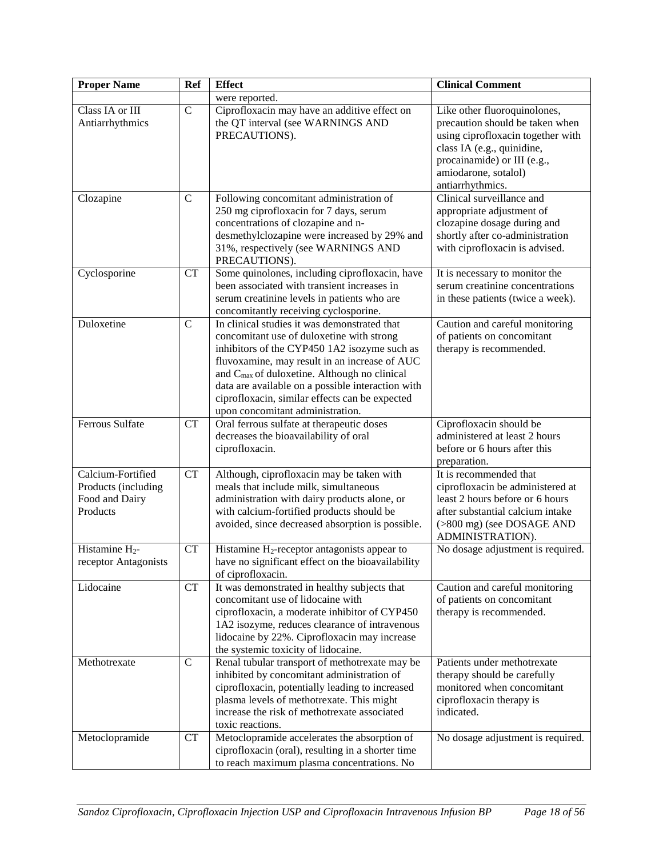| <b>Proper Name</b>                                                     | <b>Ref</b>    | <b>Effect</b>                                                                                                                                                                                                                                                                                                                                                                                     | <b>Clinical Comment</b>                                                                                                                                                                                       |
|------------------------------------------------------------------------|---------------|---------------------------------------------------------------------------------------------------------------------------------------------------------------------------------------------------------------------------------------------------------------------------------------------------------------------------------------------------------------------------------------------------|---------------------------------------------------------------------------------------------------------------------------------------------------------------------------------------------------------------|
|                                                                        |               | were reported.                                                                                                                                                                                                                                                                                                                                                                                    |                                                                                                                                                                                                               |
| Class IA or III<br>Antiarrhythmics                                     | $\mathbf C$   | Ciprofloxacin may have an additive effect on<br>the QT interval (see WARNINGS AND<br>PRECAUTIONS).                                                                                                                                                                                                                                                                                                | Like other fluoroquinolones,<br>precaution should be taken when<br>using ciprofloxacin together with<br>class IA (e.g., quinidine,<br>procainamide) or III (e.g.,<br>amiodarone, sotalol)<br>antiarrhythmics. |
| Clozapine                                                              | $\mathcal{C}$ | Following concomitant administration of<br>250 mg ciprofloxacin for 7 days, serum<br>concentrations of clozapine and n-<br>desmethylclozapine were increased by 29% and<br>31%, respectively (see WARNINGS AND<br>PRECAUTIONS).                                                                                                                                                                   | Clinical surveillance and<br>appropriate adjustment of<br>clozapine dosage during and<br>shortly after co-administration<br>with ciprofloxacin is advised.                                                    |
| Cyclosporine                                                           | <b>CT</b>     | Some quinolones, including ciprofloxacin, have<br>been associated with transient increases in<br>serum creatinine levels in patients who are<br>concomitantly receiving cyclosporine.                                                                                                                                                                                                             | It is necessary to monitor the<br>serum creatinine concentrations<br>in these patients (twice a week).                                                                                                        |
| Duloxetine                                                             | $\mathcal{C}$ | In clinical studies it was demonstrated that<br>concomitant use of duloxetine with strong<br>inhibitors of the CYP450 1A2 isozyme such as<br>fluvoxamine, may result in an increase of AUC<br>and C <sub>max</sub> of duloxetine. Although no clinical<br>data are available on a possible interaction with<br>ciprofloxacin, similar effects can be expected<br>upon concomitant administration. | Caution and careful monitoring<br>of patients on concomitant<br>therapy is recommended.                                                                                                                       |
| <b>Ferrous Sulfate</b>                                                 | CT            | Oral ferrous sulfate at therapeutic doses<br>decreases the bioavailability of oral<br>ciprofloxacin.                                                                                                                                                                                                                                                                                              | Ciprofloxacin should be<br>administered at least 2 hours<br>before or 6 hours after this<br>preparation.                                                                                                      |
| Calcium-Fortified<br>Products (including<br>Food and Dairy<br>Products | CT            | Although, ciprofloxacin may be taken with<br>meals that include milk, simultaneous<br>administration with dairy products alone, or<br>with calcium-fortified products should be<br>avoided, since decreased absorption is possible.                                                                                                                                                               | It is recommended that<br>ciprofloxacin be administered at<br>least 2 hours before or 6 hours<br>after substantial calcium intake<br>(>800 mg) (see DOSAGE AND<br>ADMINISTRATION).                            |
| Histamine $H_2$ -<br>receptor Antagonists                              | CT            | Histamine H <sub>2</sub> -receptor antagonists appear to<br>have no significant effect on the bioavailability<br>of ciprofloxacin.                                                                                                                                                                                                                                                                | No dosage adjustment is required.                                                                                                                                                                             |
| Lidocaine                                                              | CT            | It was demonstrated in healthy subjects that<br>concomitant use of lidocaine with<br>ciprofloxacin, a moderate inhibitor of CYP450<br>1A2 isozyme, reduces clearance of intravenous<br>lidocaine by 22%. Ciprofloxacin may increase<br>the systemic toxicity of lidocaine.                                                                                                                        | Caution and careful monitoring<br>of patients on concomitant<br>therapy is recommended.                                                                                                                       |
| Methotrexate                                                           | $\mathbf C$   | Renal tubular transport of methotrexate may be<br>inhibited by concomitant administration of<br>ciprofloxacin, potentially leading to increased<br>plasma levels of methotrexate. This might<br>increase the risk of methotrexate associated<br>toxic reactions.                                                                                                                                  | Patients under methotrexate<br>therapy should be carefully<br>monitored when concomitant<br>ciprofloxacin therapy is<br>indicated.                                                                            |
| Metoclopramide                                                         | CT            | Metoclopramide accelerates the absorption of<br>ciprofloxacin (oral), resulting in a shorter time<br>to reach maximum plasma concentrations. No                                                                                                                                                                                                                                                   | No dosage adjustment is required.                                                                                                                                                                             |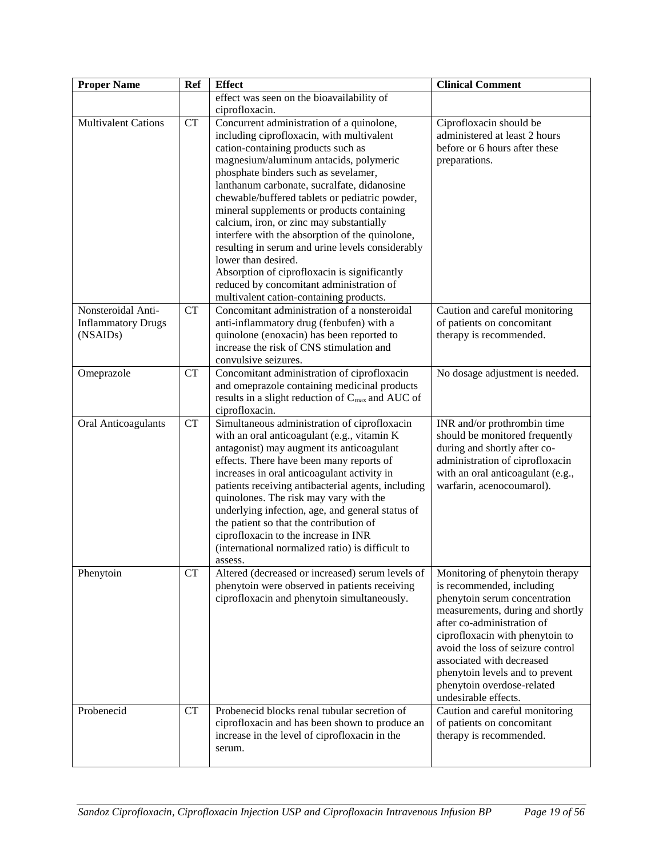| <b>Proper Name</b>         | <b>Ref</b> | <b>Effect</b>                                                                                   | <b>Clinical Comment</b>           |
|----------------------------|------------|-------------------------------------------------------------------------------------------------|-----------------------------------|
|                            |            | effect was seen on the bioavailability of                                                       |                                   |
|                            |            | ciprofloxacin.                                                                                  |                                   |
| <b>Multivalent Cations</b> | CT         | Concurrent administration of a quinolone,                                                       | Ciprofloxacin should be           |
|                            |            | including ciprofloxacin, with multivalent                                                       | administered at least 2 hours     |
|                            |            | cation-containing products such as                                                              | before or 6 hours after these     |
|                            |            | magnesium/aluminum antacids, polymeric                                                          | preparations.                     |
|                            |            | phosphate binders such as sevelamer,                                                            |                                   |
|                            |            | lanthanum carbonate, sucralfate, didanosine                                                     |                                   |
|                            |            | chewable/buffered tablets or pediatric powder,                                                  |                                   |
|                            |            | mineral supplements or products containing                                                      |                                   |
|                            |            | calcium, iron, or zinc may substantially                                                        |                                   |
|                            |            | interfere with the absorption of the quinolone,                                                 |                                   |
|                            |            | resulting in serum and urine levels considerably<br>lower than desired.                         |                                   |
|                            |            |                                                                                                 |                                   |
|                            |            | Absorption of ciprofloxacin is significantly<br>reduced by concomitant administration of        |                                   |
|                            |            | multivalent cation-containing products.                                                         |                                   |
| Nonsteroidal Anti-         | <b>CT</b>  | Concomitant administration of a nonsteroidal                                                    | Caution and careful monitoring    |
| <b>Inflammatory Drugs</b>  |            | anti-inflammatory drug (fenbufen) with a                                                        | of patients on concomitant        |
| (NSAIDs)                   |            | quinolone (enoxacin) has been reported to                                                       | therapy is recommended.           |
|                            |            | increase the risk of CNS stimulation and                                                        |                                   |
|                            |            | convulsive seizures.                                                                            |                                   |
| Omeprazole                 | CT         | Concomitant administration of ciprofloxacin                                                     | No dosage adjustment is needed.   |
|                            |            | and omeprazole containing medicinal products                                                    |                                   |
|                            |            | results in a slight reduction of C <sub>max</sub> and AUC of                                    |                                   |
|                            |            | ciprofloxacin.                                                                                  |                                   |
| <b>Oral Anticoagulants</b> | CT         | Simultaneous administration of ciprofloxacin                                                    | INR and/or prothrombin time       |
|                            |            | with an oral anticoagulant (e.g., vitamin K                                                     | should be monitored frequently    |
|                            |            | antagonist) may augment its anticoagulant                                                       | during and shortly after co-      |
|                            |            | effects. There have been many reports of                                                        | administration of ciprofloxacin   |
|                            |            | increases in oral anticoagulant activity in                                                     | with an oral anticoagulant (e.g., |
|                            |            | patients receiving antibacterial agents, including                                              | warfarin, acenocoumarol).         |
|                            |            | quinolones. The risk may vary with the                                                          |                                   |
|                            |            | underlying infection, age, and general status of                                                |                                   |
|                            |            | the patient so that the contribution of<br>ciprofloxacin to the increase in INR                 |                                   |
|                            |            | (international normalized ratio) is difficult to                                                |                                   |
|                            |            | assess.                                                                                         |                                   |
| Phenytoin                  | CT         | Altered (decreased or increased) serum levels of                                                | Monitoring of phenytoin therapy   |
|                            |            | phenytoin were observed in patients receiving                                                   | is recommended, including         |
|                            |            | ciprofloxacin and phenytoin simultaneously.                                                     | phenytoin serum concentration     |
|                            |            |                                                                                                 | measurements, during and shortly  |
|                            |            |                                                                                                 | after co-administration of        |
|                            |            |                                                                                                 | ciprofloxacin with phenytoin to   |
|                            |            |                                                                                                 | avoid the loss of seizure control |
|                            |            |                                                                                                 | associated with decreased         |
|                            |            |                                                                                                 | phenytoin levels and to prevent   |
|                            |            |                                                                                                 | phenytoin overdose-related        |
|                            |            |                                                                                                 | undesirable effects.              |
| Probenecid                 | CT         | Probenecid blocks renal tubular secretion of                                                    | Caution and careful monitoring    |
|                            |            | ciprofloxacin and has been shown to produce an<br>increase in the level of ciprofloxacin in the | of patients on concomitant        |
|                            |            | serum.                                                                                          | therapy is recommended.           |
|                            |            |                                                                                                 |                                   |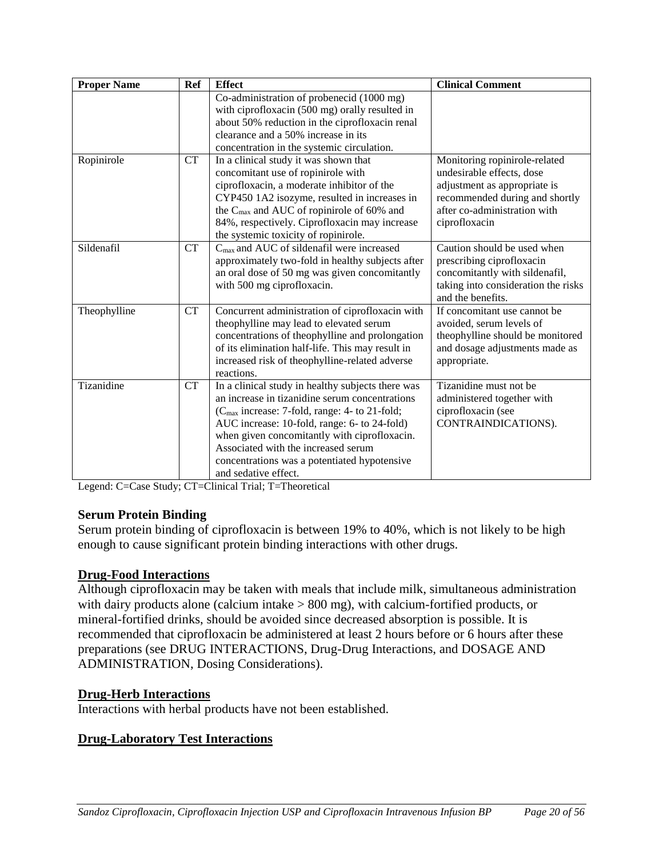| <b>Proper Name</b> | <b>Ref</b> | <b>Effect</b>                                                                         | <b>Clinical Comment</b>                                    |
|--------------------|------------|---------------------------------------------------------------------------------------|------------------------------------------------------------|
|                    |            | Co-administration of probenecid (1000 mg)                                             |                                                            |
|                    |            | with ciprofloxacin (500 mg) orally resulted in                                        |                                                            |
|                    |            | about 50% reduction in the ciprofloxacin renal<br>clearance and a 50% increase in its |                                                            |
|                    |            |                                                                                       |                                                            |
| Ropinirole         | <b>CT</b>  | concentration in the systemic circulation.<br>In a clinical study it was shown that   |                                                            |
|                    |            | concomitant use of ropinirole with                                                    | Monitoring ropinirole-related<br>undesirable effects, dose |
|                    |            | ciprofloxacin, a moderate inhibitor of the                                            | adjustment as appropriate is                               |
|                    |            | CYP450 1A2 isozyme, resulted in increases in                                          | recommended during and shortly                             |
|                    |            | the C <sub>max</sub> and AUC of ropinirole of 60% and                                 | after co-administration with                               |
|                    |            | 84%, respectively. Ciprofloxacin may increase                                         | ciprofloxacin                                              |
|                    |            | the systemic toxicity of ropinirole.                                                  |                                                            |
| Sildenafil         | <b>CT</b>  | C <sub>max</sub> and AUC of sildenafil were increased                                 | Caution should be used when                                |
|                    |            | approximately two-fold in healthy subjects after                                      | prescribing ciprofloxacin                                  |
|                    |            | an oral dose of 50 mg was given concomitantly                                         | concomitantly with sildenafil,                             |
|                    |            | with 500 mg ciprofloxacin.                                                            | taking into consideration the risks                        |
|                    |            |                                                                                       | and the benefits.                                          |
| Theophylline       | <b>CT</b>  | Concurrent administration of ciprofloxacin with                                       | If concomitant use cannot be                               |
|                    |            | theophylline may lead to elevated serum                                               | avoided, serum levels of                                   |
|                    |            | concentrations of theophylline and prolongation                                       | theophylline should be monitored                           |
|                    |            | of its elimination half-life. This may result in                                      | and dosage adjustments made as                             |
|                    |            | increased risk of theophylline-related adverse                                        | appropriate.                                               |
|                    |            | reactions.                                                                            |                                                            |
| Tizanidine         | <b>CT</b>  | In a clinical study in healthy subjects there was                                     | Tizanidine must not be                                     |
|                    |            | an increase in tizanidine serum concentrations                                        | administered together with                                 |
|                    |            | (C <sub>max</sub> increase: 7-fold, range: 4- to 21-fold;                             | ciprofloxacin (see                                         |
|                    |            | AUC increase: 10-fold, range: 6- to 24-fold)                                          | CONTRAINDICATIONS).                                        |
|                    |            | when given concomitantly with ciprofloxacin.                                          |                                                            |
|                    |            | Associated with the increased serum                                                   |                                                            |
|                    |            | concentrations was a potentiated hypotensive                                          |                                                            |
|                    |            | and sedative effect.                                                                  |                                                            |

Legend: C=Case Study; CT=Clinical Trial; T=Theoretical

# **Serum Protein Binding**

Serum protein binding of ciprofloxacin is between 19% to 40%, which is not likely to be high enough to cause significant protein binding interactions with other drugs.

# **Drug-Food Interactions**

Although ciprofloxacin may be taken with meals that include milk, simultaneous administration with dairy products alone (calcium intake > 800 mg), with calcium-fortified products, or mineral-fortified drinks, should be avoided since decreased absorption is possible. It is recommended that ciprofloxacin be administered at least 2 hours before or 6 hours after these preparations (see DRUG INTERACTIONS, Drug-Drug Interactions, and DOSAGE AND ADMINISTRATION, Dosing Considerations).

# **Drug-Herb Interactions**

Interactions with herbal products have not been established.

# **Drug-Laboratory Test Interactions**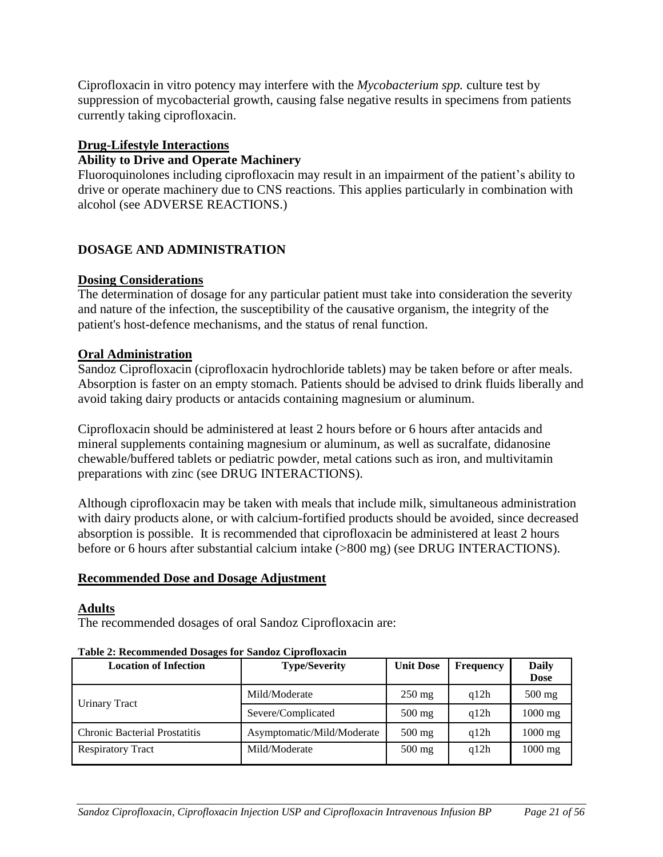Ciprofloxacin in vitro potency may interfere with the *Mycobacterium spp.* culture test by suppression of mycobacterial growth, causing false negative results in specimens from patients currently taking ciprofloxacin.

### **Drug-Lifestyle Interactions**

### **Ability to Drive and Operate Machinery**

Fluoroquinolones including ciprofloxacin may result in an impairment of the patient's ability to drive or operate machinery due to CNS reactions. This applies particularly in combination with alcohol (see ADVERSE REACTIONS.)

# <span id="page-20-0"></span>**DOSAGE AND ADMINISTRATION**

#### **Dosing Considerations**

The determination of dosage for any particular patient must take into consideration the severity and nature of the infection, the susceptibility of the causative organism, the integrity of the patient's host-defence mechanisms, and the status of renal function.

#### **Oral Administration**

Sandoz Ciprofloxacin (ciprofloxacin hydrochloride tablets) may be taken before or after meals. Absorption is faster on an empty stomach. Patients should be advised to drink fluids liberally and avoid taking dairy products or antacids containing magnesium or aluminum.

Ciprofloxacin should be administered at least 2 hours before or 6 hours after antacids and mineral supplements containing magnesium or aluminum, as well as sucralfate, didanosine chewable/buffered tablets or pediatric powder, metal cations such as iron, and multivitamin preparations with zinc (see DRUG INTERACTIONS).

Although ciprofloxacin may be taken with meals that include milk, simultaneous administration with dairy products alone, or with calcium-fortified products should be avoided, since decreased absorption is possible. It is recommended that ciprofloxacin be administered at least 2 hours before or 6 hours after substantial calcium intake (>800 mg) (see DRUG INTERACTIONS).

#### **Recommended Dose and Dosage Adjustment**

#### **Adults**

The recommended dosages of oral Sandoz Ciprofloxacin are:

#### **Table 2: Recommended Dosages for Sandoz Ciprofloxacin**

| <b>Location of Infection</b>         | <b>Type/Severity</b>       | <b>Unit Dose</b> | <b>Frequency</b> | Daily<br><b>Dose</b> |
|--------------------------------------|----------------------------|------------------|------------------|----------------------|
|                                      | Mild/Moderate              | $250 \text{ mg}$ | q12h             | $500$ mg             |
| Urinary Tract                        | Severe/Complicated         | $500 \text{ mg}$ | q12h             | $1000$ mg            |
| <b>Chronic Bacterial Prostatitis</b> | Asymptomatic/Mild/Moderate | $500$ mg         | q12h             | $1000$ mg            |
| <b>Respiratory Tract</b>             | Mild/Moderate              | $500$ mg         | q12h             | $1000$ mg            |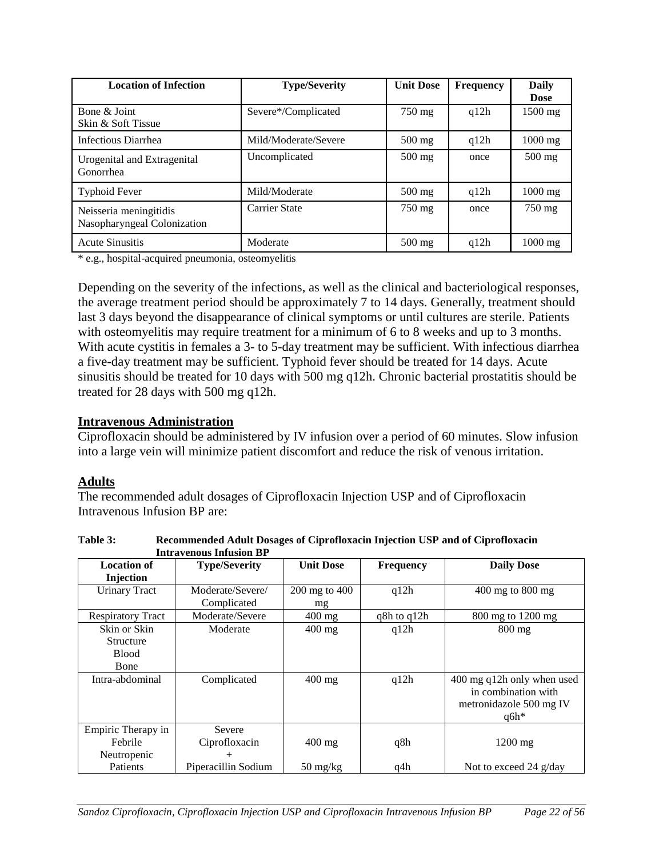| <b>Location of Infection</b>                          | <b>Type/Severity</b> | <b>Unit Dose</b> | <b>Frequency</b> | Daily       |
|-------------------------------------------------------|----------------------|------------------|------------------|-------------|
|                                                       |                      |                  |                  | <b>Dose</b> |
| Bone & Joint<br>Skin & Soft Tissue                    | Severe*/Complicated  | 750 mg           | q12h             | 1500 mg     |
|                                                       |                      |                  |                  |             |
| Infectious Diarrhea                                   | Mild/Moderate/Severe | $500 \text{ mg}$ | q12h             | $1000$ mg   |
| Urogenital and Extragenital<br>Gonorrhea              | Uncomplicated        | $500$ mg         | once             | $500$ mg    |
| <b>Typhoid Fever</b>                                  | Mild/Moderate        | $500$ mg         | q12h             | $1000$ mg   |
| Neisseria meningitidis<br>Nasopharyngeal Colonization | <b>Carrier State</b> | 750 mg           | once             | 750 mg      |
| <b>Acute Sinusitis</b>                                | Moderate             | $500 \text{ mg}$ | q12h             | $1000$ mg   |

\* e.g., hospital-acquired pneumonia, osteomyelitis

Depending on the severity of the infections, as well as the clinical and bacteriological responses, the average treatment period should be approximately 7 to 14 days. Generally, treatment should last 3 days beyond the disappearance of clinical symptoms or until cultures are sterile. Patients with osteomyelitis may require treatment for a minimum of 6 to 8 weeks and up to 3 months. With acute cystitis in females a 3- to 5-day treatment may be sufficient. With infectious diarrhea a five-day treatment may be sufficient. Typhoid fever should be treated for 14 days. Acute sinusitis should be treated for 10 days with 500 mg q12h. Chronic bacterial prostatitis should be treated for 28 days with 500 mg q12h.

#### **Intravenous Administration**

Ciprofloxacin should be administered by IV infusion over a period of 60 minutes. Slow infusion into a large vein will minimize patient discomfort and reduce the risk of venous irritation.

# **Adults**

The recommended adult dosages of Ciprofloxacin Injection USP and of Ciprofloxacin Intravenous Infusion BP are:

|                          | Intravenous Iniusion BP |                                  |                  |                            |
|--------------------------|-------------------------|----------------------------------|------------------|----------------------------|
| Location of              | <b>Type/Severity</b>    | <b>Unit Dose</b>                 | <b>Frequency</b> | <b>Daily Dose</b>          |
| Injection                |                         |                                  |                  |                            |
| <b>Urinary Tract</b>     | Moderate/Severe/        | $200 \text{ mg}$ to $400$        | q12h             | 400 mg to 800 mg           |
|                          | Complicated             | mg                               |                  |                            |
| <b>Respiratory Tract</b> | Moderate/Severe         | $400$ mg                         | q8h to q12h      | 800 mg to 1200 mg          |
| Skin or Skin             | Moderate                | $400$ mg                         | q12h             | $800$ mg                   |
| <b>Structure</b>         |                         |                                  |                  |                            |
| <b>Blood</b>             |                         |                                  |                  |                            |
| Bone                     |                         |                                  |                  |                            |
| Intra-abdominal          | Complicated             | $400$ mg                         | q12h             | 400 mg q12h only when used |
|                          |                         |                                  |                  | in combination with        |
|                          |                         |                                  |                  | metronidazole 500 mg IV    |
|                          |                         |                                  |                  | $q6h*$                     |
| Empiric Therapy in       | Severe                  |                                  |                  |                            |
| Febrile                  | Ciprofloxacin           | $400$ mg                         | q8h              | $1200$ mg                  |
| Neutropenic              | $^{+}$                  |                                  |                  |                            |
| Patients                 | Piperacillin Sodium     | $50 \frac{\text{mg}}{\text{kg}}$ | q4h              | Not to exceed 24 g/day     |

**Table 3: Recommended Adult Dosages of Ciprofloxacin Injection USP and of Ciprofloxacin Intravenous Infusion BP**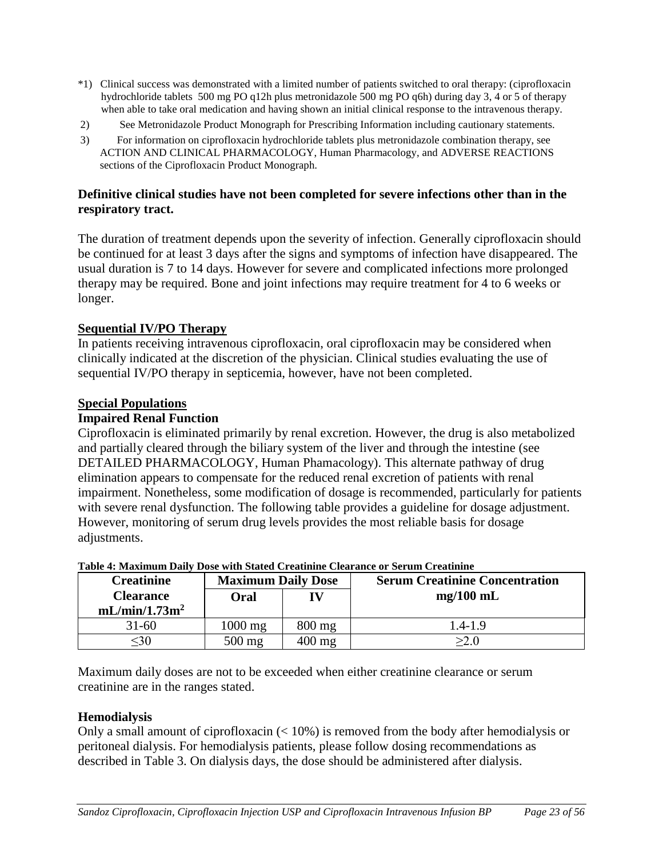- \*1) Clinical success was demonstrated with a limited number of patients switched to oral therapy: (ciprofloxacin hydrochloride tablets 500 mg PO q12h plus metronidazole 500 mg PO q6h) during day 3, 4 or 5 of therapy when able to take oral medication and having shown an initial clinical response to the intravenous therapy.
- 2) See Metronidazole Product Monograph for Prescribing Information including cautionary statements.
- 3) For information on ciprofloxacin hydrochloride tablets plus metronidazole combination therapy, see ACTION AND CLINICAL PHARMACOLOGY, Human Pharmacology, and ADVERSE REACTIONS sections of the Ciprofloxacin Product Monograph.

#### **Definitive clinical studies have not been completed for severe infections other than in the respiratory tract.**

The duration of treatment depends upon the severity of infection. Generally ciprofloxacin should be continued for at least 3 days after the signs and symptoms of infection have disappeared. The usual duration is 7 to 14 days. However for severe and complicated infections more prolonged therapy may be required. Bone and joint infections may require treatment for 4 to 6 weeks or longer.

#### **Sequential IV/PO Therapy**

In patients receiving intravenous ciprofloxacin, oral ciprofloxacin may be considered when clinically indicated at the discretion of the physician. Clinical studies evaluating the use of sequential IV/PO therapy in septicemia, however, have not been completed.

#### **Special Populations**

#### **Impaired Renal Function**

Ciprofloxacin is eliminated primarily by renal excretion. However, the drug is also metabolized and partially cleared through the biliary system of the liver and through the intestine (see DETAILED PHARMACOLOGY, Human Phamacology). This alternate pathway of drug elimination appears to compensate for the reduced renal excretion of patients with renal impairment. Nonetheless, some modification of dosage is recommended, particularly for patients with severe renal dysfunction. The following table provides a guideline for dosage adjustment. However, monitoring of serum drug levels provides the most reliable basis for dosage adjustments.

| <b>Creatinine</b>                             | <b>Maximum Daily Dose</b> |                  | <b>Serum Creatinine Concentration</b> |
|-----------------------------------------------|---------------------------|------------------|---------------------------------------|
| <b>Clearance</b><br>mL/min/1.73m <sup>2</sup> | Oral                      |                  | $mg/100$ mL                           |
| $31 - 60$                                     | $1000$ mg                 | $800 \text{ mg}$ | 1.4-1.9                               |
| <30                                           | $500$ mg                  | $400 \text{ mg}$ | >2.0                                  |

#### **Table 4: Maximum Daily Dose with Stated Creatinine Clearance or Serum Creatinine**

Maximum daily doses are not to be exceeded when either creatinine clearance or serum creatinine are in the ranges stated.

# **Hemodialysis**

Only a small amount of ciprofloxacin (< 10%) is removed from the body after hemodialysis or peritoneal dialysis. For hemodialysis patients, please follow dosing recommendations as described in Table 3. On dialysis days, the dose should be administered after dialysis.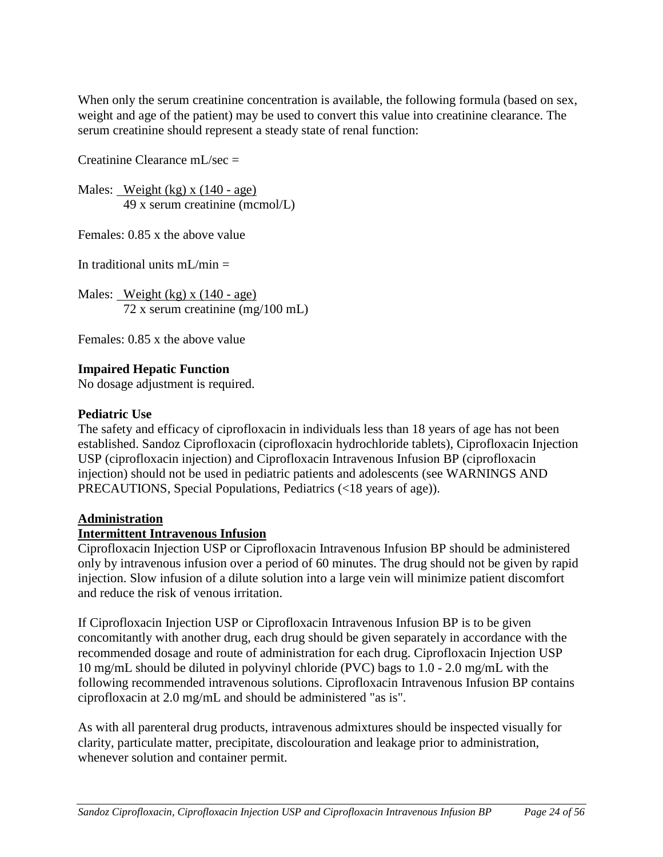When only the serum creatinine concentration is available, the following formula (based on sex, weight and age of the patient) may be used to convert this value into creatinine clearance. The serum creatinine should represent a steady state of renal function:

Creatinine Clearance mL/sec =

Males: Weight (kg) x (140 - age) 49 x serum creatinine (mcmol/L)

Females: 0.85 x the above value

In traditional units  $mL/min =$ 

Males: Weight (kg) x  $(140 - age)$ 72 x serum creatinine (mg/100 mL)

Females: 0.85 x the above value

# **Impaired Hepatic Function**

No dosage adjustment is required.

#### **Pediatric Use**

The safety and efficacy of ciprofloxacin in individuals less than 18 years of age has not been established. Sandoz Ciprofloxacin (ciprofloxacin hydrochloride tablets), Ciprofloxacin Injection USP (ciprofloxacin injection) and Ciprofloxacin Intravenous Infusion BP (ciprofloxacin injection) should not be used in pediatric patients and adolescents (see WARNINGS AND PRECAUTIONS, Special Populations, Pediatrics (<18 years of age)).

# **Administration**

# **Intermittent Intravenous Infusion**

Ciprofloxacin Injection USP or Ciprofloxacin Intravenous Infusion BP should be administered only by intravenous infusion over a period of 60 minutes. The drug should not be given by rapid injection. Slow infusion of a dilute solution into a large vein will minimize patient discomfort and reduce the risk of venous irritation.

If Ciprofloxacin Injection USP or Ciprofloxacin Intravenous Infusion BP is to be given concomitantly with another drug, each drug should be given separately in accordance with the recommended dosage and route of administration for each drug. Ciprofloxacin Injection USP 10 mg/mL should be diluted in polyvinyl chloride (PVC) bags to 1.0 - 2.0 mg/mL with the following recommended intravenous solutions. Ciprofloxacin Intravenous Infusion BP contains ciprofloxacin at 2.0 mg/mL and should be administered "as is".

As with all parenteral drug products, intravenous admixtures should be inspected visually for clarity, particulate matter, precipitate, discolouration and leakage prior to administration, whenever solution and container permit.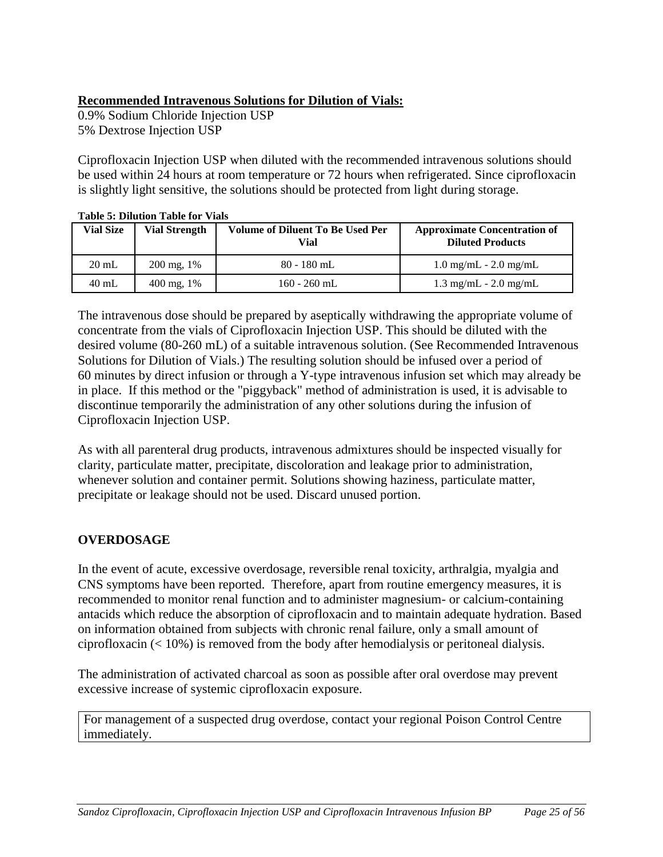# **Recommended Intravenous Solutions for Dilution of Vials:**

0.9% Sodium Chloride Injection USP 5% Dextrose Injection USP

Ciprofloxacin Injection USP when diluted with the recommended intravenous solutions should be used within 24 hours at room temperature or 72 hours when refrigerated. Since ciprofloxacin is slightly light sensitive, the solutions should be protected from light during storage.

| Vial Size       | <b>Vial Strength</b>  | <b>Volume of Diluent To Be Used Per</b><br><b>Vial</b> | <b>Approximate Concentration of</b><br><b>Diluted Products</b> |  |
|-----------------|-----------------------|--------------------------------------------------------|----------------------------------------------------------------|--|
| $20 \text{ mL}$ | $200 \text{ mg}, 1\%$ | $80 - 180$ mL                                          | $1.0 \text{ mg/mL} - 2.0 \text{ mg/mL}$                        |  |
| $40$ mL         | $400 \text{ mg}, 1\%$ | $160 - 260$ mL                                         | $1.3 \text{ mg/mL} - 2.0 \text{ mg/mL}$                        |  |

**Table 5: Dilution Table for Vials** 

The intravenous dose should be prepared by aseptically withdrawing the appropriate volume of concentrate from the vials of Ciprofloxacin Injection USP. This should be diluted with the desired volume (80-260 mL) of a suitable intravenous solution. (See Recommended Intravenous Solutions for Dilution of Vials.) The resulting solution should be infused over a period of 60 minutes by direct infusion or through a Y-type intravenous infusion set which may already be in place. If this method or the "piggyback" method of administration is used, it is advisable to discontinue temporarily the administration of any other solutions during the infusion of Ciprofloxacin Injection USP.

As with all parenteral drug products, intravenous admixtures should be inspected visually for clarity, particulate matter, precipitate, discoloration and leakage prior to administration, whenever solution and container permit. Solutions showing haziness, particulate matter, precipitate or leakage should not be used. Discard unused portion.

# <span id="page-24-0"></span>**OVERDOSAGE**

In the event of acute, excessive overdosage, reversible renal toxicity, arthralgia, myalgia and CNS symptoms have been reported. Therefore, apart from routine emergency measures, it is recommended to monitor renal function and to administer magnesium- or calcium-containing antacids which reduce the absorption of ciprofloxacin and to maintain adequate hydration. Based on information obtained from subjects with chronic renal failure, only a small amount of ciprofloxacin  $\left($  < 10%) is removed from the body after hemodialysis or peritoneal dialysis.

The administration of activated charcoal as soon as possible after oral overdose may prevent excessive increase of systemic ciprofloxacin exposure.

For management of a suspected drug overdose, contact your regional Poison Control Centre immediately.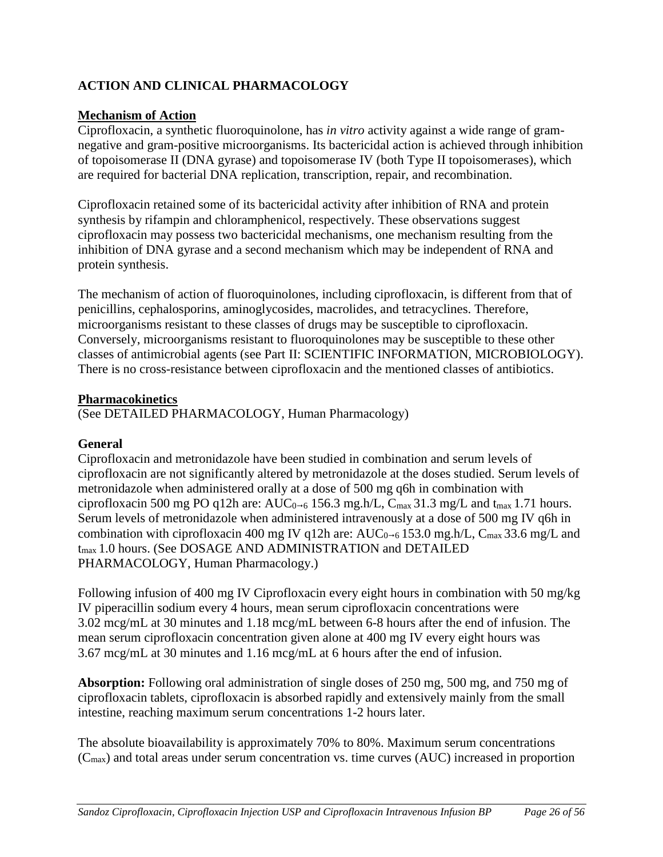# <span id="page-25-0"></span>**ACTION AND CLINICAL PHARMACOLOGY**

# **Mechanism of Action**

Ciprofloxacin, a synthetic fluoroquinolone, has *in vitro* activity against a wide range of gramnegative and gram-positive microorganisms. Its bactericidal action is achieved through inhibition of topoisomerase II (DNA gyrase) and topoisomerase IV (both Type II topoisomerases), which are required for bacterial DNA replication, transcription, repair, and recombination.

Ciprofloxacin retained some of its bactericidal activity after inhibition of RNA and protein synthesis by rifampin and chloramphenicol, respectively. These observations suggest ciprofloxacin may possess two bactericidal mechanisms, one mechanism resulting from the inhibition of DNA gyrase and a second mechanism which may be independent of RNA and protein synthesis.

The mechanism of action of fluoroquinolones, including ciprofloxacin, is different from that of penicillins, cephalosporins, aminoglycosides, macrolides, and tetracyclines. Therefore, microorganisms resistant to these classes of drugs may be susceptible to ciprofloxacin. Conversely, microorganisms resistant to fluoroquinolones may be susceptible to these other classes of antimicrobial agents (see Part II: SCIENTIFIC INFORMATION, MICROBIOLOGY). There is no cross-resistance between ciprofloxacin and the mentioned classes of antibiotics.

#### **Pharmacokinetics**

(See DETAILED PHARMACOLOGY, Human Pharmacology)

# **General**

Ciprofloxacin and metronidazole have been studied in combination and serum levels of ciprofloxacin are not significantly altered by metronidazole at the doses studied. Serum levels of metronidazole when administered orally at a dose of 500 mg q6h in combination with ciprofloxacin 500 mg PO q12h are:  $AUC_{0\rightarrow 6}$  156.3 mg.h/L,  $C_{\text{max}}$  31.3 mg/L and t<sub>max</sub> 1.71 hours. Serum levels of metronidazole when administered intravenously at a dose of 500 mg IV q6h in combination with ciprofloxacin 400 mg IV q12h are:  $AUC_{0-6}$  153.0 mg.h/L,  $C_{\text{max}}$  33.6 mg/L and t<sub>max</sub> 1.0 hours. (See DOSAGE AND ADMINISTRATION and DETAILED PHARMACOLOGY, Human Pharmacology.)

Following infusion of 400 mg IV Ciprofloxacin every eight hours in combination with 50 mg/kg IV piperacillin sodium every 4 hours, mean serum ciprofloxacin concentrations were 3.02 mcg/mL at 30 minutes and 1.18 mcg/mL between 6-8 hours after the end of infusion. The mean serum ciprofloxacin concentration given alone at 400 mg IV every eight hours was 3.67 mcg/mL at 30 minutes and 1.16 mcg/mL at 6 hours after the end of infusion.

**Absorption:** Following oral administration of single doses of 250 mg, 500 mg, and 750 mg of ciprofloxacin tablets, ciprofloxacin is absorbed rapidly and extensively mainly from the small intestine, reaching maximum serum concentrations 1-2 hours later.

The absolute bioavailability is approximately 70% to 80%. Maximum serum concentrations  $(C_{\text{max}})$  and total areas under serum concentration vs. time curves (AUC) increased in proportion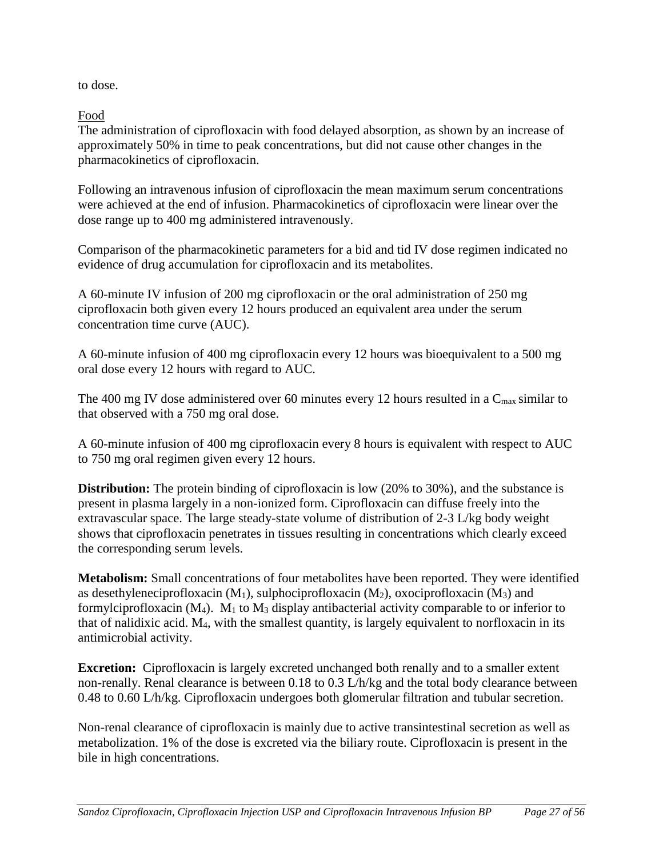to dose.

Food

The administration of ciprofloxacin with food delayed absorption, as shown by an increase of approximately 50% in time to peak concentrations, but did not cause other changes in the pharmacokinetics of ciprofloxacin.

Following an intravenous infusion of ciprofloxacin the mean maximum serum concentrations were achieved at the end of infusion. Pharmacokinetics of ciprofloxacin were linear over the dose range up to 400 mg administered intravenously.

Comparison of the pharmacokinetic parameters for a bid and tid IV dose regimen indicated no evidence of drug accumulation for ciprofloxacin and its metabolites.

A 60-minute IV infusion of 200 mg ciprofloxacin or the oral administration of 250 mg ciprofloxacin both given every 12 hours produced an equivalent area under the serum concentration time curve (AUC).

A 60-minute infusion of 400 mg ciprofloxacin every 12 hours was bioequivalent to a 500 mg oral dose every 12 hours with regard to AUC.

The 400 mg IV dose administered over 60 minutes every 12 hours resulted in a  $C_{\text{max}}$  similar to that observed with a 750 mg oral dose.

A 60-minute infusion of 400 mg ciprofloxacin every 8 hours is equivalent with respect to AUC to 750 mg oral regimen given every 12 hours.

**Distribution:** The protein binding of ciprofloxacin is low (20% to 30%), and the substance is present in plasma largely in a non-ionized form. Ciprofloxacin can diffuse freely into the extravascular space. The large steady-state volume of distribution of 2-3 L/kg body weight shows that ciprofloxacin penetrates in tissues resulting in concentrations which clearly exceed the corresponding serum levels.

**Metabolism:** Small concentrations of four metabolites have been reported. They were identified as desethyleneciprofloxacin  $(M_1)$ , sulphociprofloxacin  $(M_2)$ , oxociprofloxacin  $(M_3)$  and formylciprofloxacin (M<sub>4</sub>). M<sub>1</sub> to M<sub>3</sub> display antibacterial activity comparable to or inferior to that of nalidixic acid. M4, with the smallest quantity, is largely equivalent to norfloxacin in its antimicrobial activity.

**Excretion:** Ciprofloxacin is largely excreted unchanged both renally and to a smaller extent non-renally. Renal clearance is between 0.18 to 0.3 L/h/kg and the total body clearance between 0.48 to 0.60 L/h/kg. Ciprofloxacin undergoes both glomerular filtration and tubular secretion.

Non-renal clearance of ciprofloxacin is mainly due to active transintestinal secretion as well as metabolization. 1% of the dose is excreted via the biliary route. Ciprofloxacin is present in the bile in high concentrations.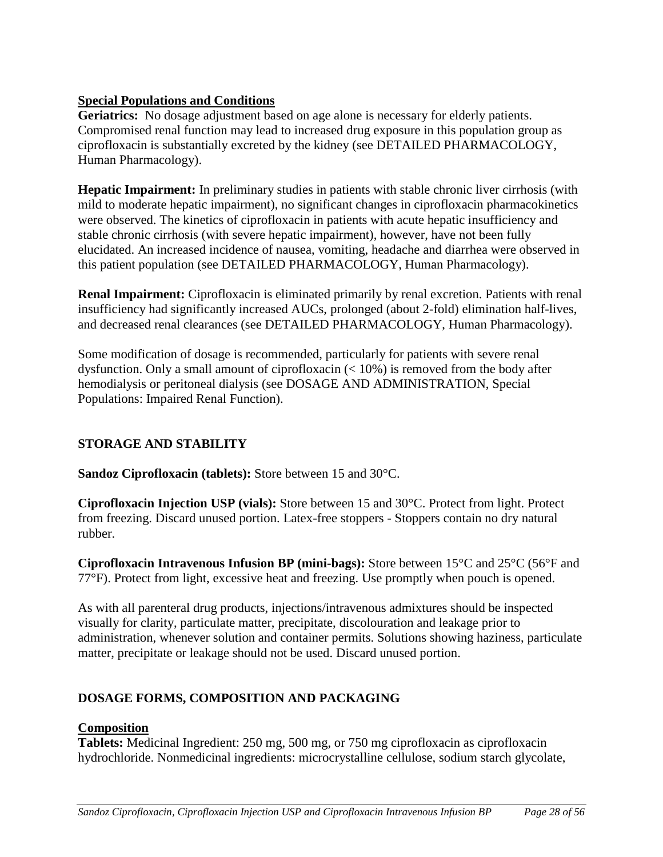# **Special Populations and Conditions**

**Geriatrics:** No dosage adjustment based on age alone is necessary for elderly patients. Compromised renal function may lead to increased drug exposure in this population group as ciprofloxacin is substantially excreted by the kidney (see DETAILED PHARMACOLOGY, Human Pharmacology).

**Hepatic Impairment:** In preliminary studies in patients with stable chronic liver cirrhosis (with mild to moderate hepatic impairment), no significant changes in ciprofloxacin pharmacokinetics were observed. The kinetics of ciprofloxacin in patients with acute hepatic insufficiency and stable chronic cirrhosis (with severe hepatic impairment), however, have not been fully elucidated. An increased incidence of nausea, vomiting, headache and diarrhea were observed in this patient population (see DETAILED PHARMACOLOGY, Human Pharmacology).

**Renal Impairment:** Ciprofloxacin is eliminated primarily by renal excretion. Patients with renal insufficiency had significantly increased AUCs, prolonged (about 2-fold) elimination half-lives, and decreased renal clearances (see DETAILED PHARMACOLOGY, Human Pharmacology).

Some modification of dosage is recommended, particularly for patients with severe renal dysfunction. Only a small amount of ciprofloxacin (< 10%) is removed from the body after hemodialysis or peritoneal dialysis (see DOSAGE AND ADMINISTRATION, Special Populations: Impaired Renal Function).

# <span id="page-27-0"></span>**STORAGE AND STABILITY**

**Sandoz Ciprofloxacin (tablets):** Store between 15 and 30°C.

**Ciprofloxacin Injection USP (vials):** Store between 15 and 30°C. Protect from light. Protect from freezing. Discard unused portion. Latex-free stoppers - Stoppers contain no dry natural rubber.

**Ciprofloxacin Intravenous Infusion BP (mini-bags):** Store between 15°C and 25°C (56°F and 77°F). Protect from light, excessive heat and freezing. Use promptly when pouch is opened.

As with all parenteral drug products, injections/intravenous admixtures should be inspected visually for clarity, particulate matter, precipitate, discolouration and leakage prior to administration, whenever solution and container permits. Solutions showing haziness, particulate matter, precipitate or leakage should not be used. Discard unused portion.

# <span id="page-27-1"></span>**DOSAGE FORMS, COMPOSITION AND PACKAGING**

# **Composition**

**Tablets:** Medicinal Ingredient: 250 mg, 500 mg, or 750 mg ciprofloxacin as ciprofloxacin hydrochloride. Nonmedicinal ingredients: microcrystalline cellulose, sodium starch glycolate,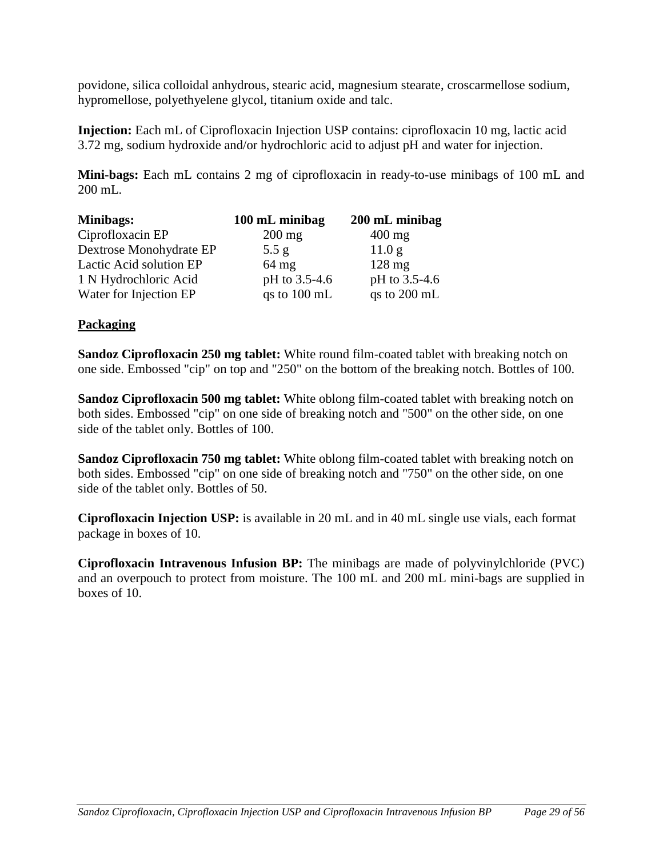povidone, silica colloidal anhydrous, stearic acid, magnesium stearate, croscarmellose sodium, hypromellose, polyethyelene glycol, titanium oxide and talc.

**Injection:** Each mL of Ciprofloxacin Injection USP contains: ciprofloxacin 10 mg, lactic acid 3.72 mg, sodium hydroxide and/or hydrochloric acid to adjust pH and water for injection.

**Mini-bags:** Each mL contains 2 mg of ciprofloxacin in ready-to-use minibags of 100 mL and 200 mL.

| Minibags:               | 100 mL minibag         | 200 mL minibag    |
|-------------------------|------------------------|-------------------|
| Ciprofloxacin EP        | $200$ mg               | $400 \text{ mg}$  |
| Dextrose Monohydrate EP | 5.5 g                  | 11.0 <sub>g</sub> |
| Lactic Acid solution EP | $64$ mg                | $128 \text{ mg}$  |
| 1 N Hydrochloric Acid   | pH to 3.5-4.6          | pH to 3.5-4.6     |
| Water for Injection EP  | qs to $100 \text{ mL}$ | qs to $200$ mL    |

# **Packaging**

**Sandoz Ciprofloxacin 250 mg tablet:** White round film-coated tablet with breaking notch on one side. Embossed "cip" on top and "250" on the bottom of the breaking notch. Bottles of 100.

**Sandoz Ciprofloxacin 500 mg tablet:** White oblong film-coated tablet with breaking notch on both sides. Embossed "cip" on one side of breaking notch and "500" on the other side, on one side of the tablet only. Bottles of 100.

**Sandoz Ciprofloxacin 750 mg tablet:** White oblong film-coated tablet with breaking notch on both sides. Embossed "cip" on one side of breaking notch and "750" on the other side, on one side of the tablet only. Bottles of 50.

**Ciprofloxacin Injection USP:** is available in 20 mL and in 40 mL single use vials, each format package in boxes of 10.

**Ciprofloxacin Intravenous Infusion BP:** The minibags are made of polyvinylchloride (PVC) and an overpouch to protect from moisture. The 100 mL and 200 mL mini-bags are supplied in boxes of 10.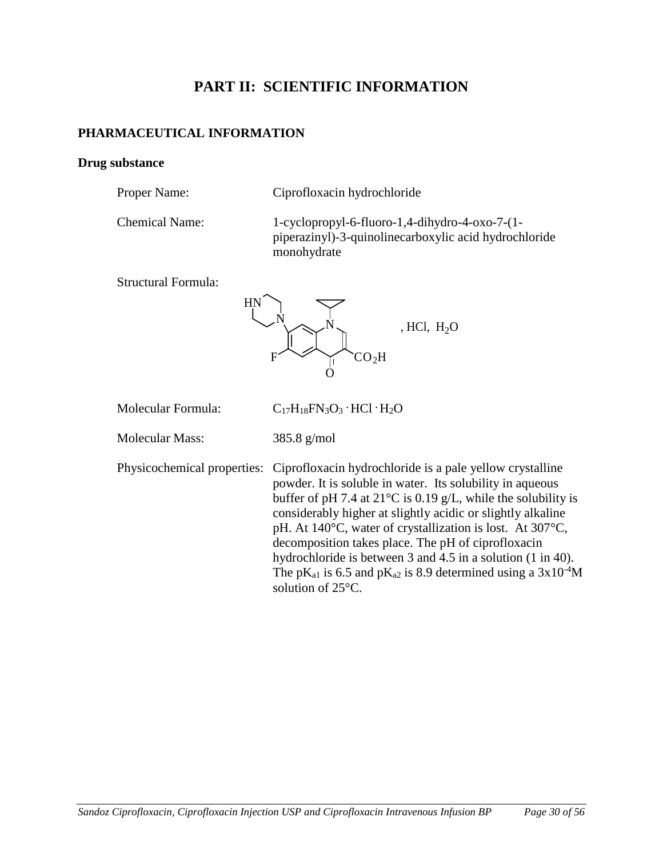# <span id="page-29-1"></span><span id="page-29-0"></span>**PART II: SCIENTIFIC INFORMATION**

# **PHARMACEUTICAL INFORMATION**

# **Drug substance**

| Proper Name:          | Ciprofloxacin hydrochloride                                                                                               |
|-----------------------|---------------------------------------------------------------------------------------------------------------------------|
| <b>Chemical Name:</b> | 1-cyclopropyl-6-fluoro-1,4-dihydro-4-oxo-7- $(1-$<br>piperazinyl)-3-quinolinecarboxylic acid hydrochloride<br>monohydrate |
|                       |                                                                                                                           |

Structural Formula:



| Molecular Formula:     | $C_{17}H_{18}FN_3O_3 \cdot HCl \cdot H_2O$                                                                                                                                                                                                                                                                                                                                                                                                                                                                                                                                                                                   |
|------------------------|------------------------------------------------------------------------------------------------------------------------------------------------------------------------------------------------------------------------------------------------------------------------------------------------------------------------------------------------------------------------------------------------------------------------------------------------------------------------------------------------------------------------------------------------------------------------------------------------------------------------------|
| <b>Molecular Mass:</b> | $385.8$ g/mol                                                                                                                                                                                                                                                                                                                                                                                                                                                                                                                                                                                                                |
|                        | Physicochemical properties: Ciprofloxacin hydrochloride is a pale yellow crystalline<br>powder. It is soluble in water. Its solubility in aqueous<br>buffer of pH 7.4 at $21^{\circ}$ C is 0.19 g/L, while the solubility is<br>considerably higher at slightly acidic or slightly alkaline<br>pH. At $140^{\circ}$ C, water of crystallization is lost. At $307^{\circ}$ C,<br>decomposition takes place. The pH of ciprofloxacin<br>hydrochloride is between 3 and 4.5 in a solution (1 in 40).<br>The pK <sub>a1</sub> is 6.5 and pK <sub>a2</sub> is 8.9 determined using a $3x10^{-4}$ M<br>solution of $25^{\circ}$ C. |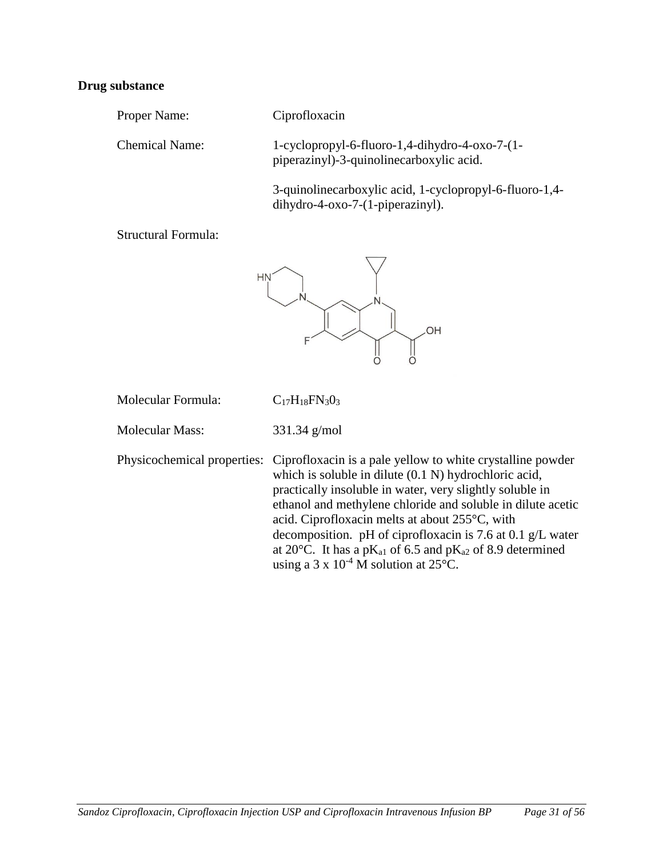#### **Drug substance**

Proper Name: Ciprofloxacin

Chemical Name: 1-cyclopropyl-6-fluoro-1,4-dihydro-4-oxo-7-(1 piperazinyl)-3-quinolinecarboxylic acid.

> 3-quinolinecarboxylic acid, 1-cyclopropyl-6-fluoro-1,4 dihydro-4-oxo-7-(1-piperazinyl).

Structural Formula:



| Molecular Formula: | $C_{17}H_{18}FN_{3}0_3$ |
|--------------------|-------------------------|
|                    |                         |

Molecular Mass: 331.34 g/mol

Physicochemical properties: Ciprofloxacin is a pale yellow to white crystalline powder which is soluble in dilute (0.1 N) hydrochloric acid, practically insoluble in water, very slightly soluble in ethanol and methylene chloride and soluble in dilute acetic acid. Ciprofloxacin melts at about 255°C, with decomposition. pH of ciprofloxacin is 7.6 at 0.1 g/L water at 20 $^{\circ}$ C. It has a pK<sub>a1</sub> of 6.5 and pK<sub>a2</sub> of 8.9 determined using a 3 x  $10^{-4}$  M solution at  $25^{\circ}$ C.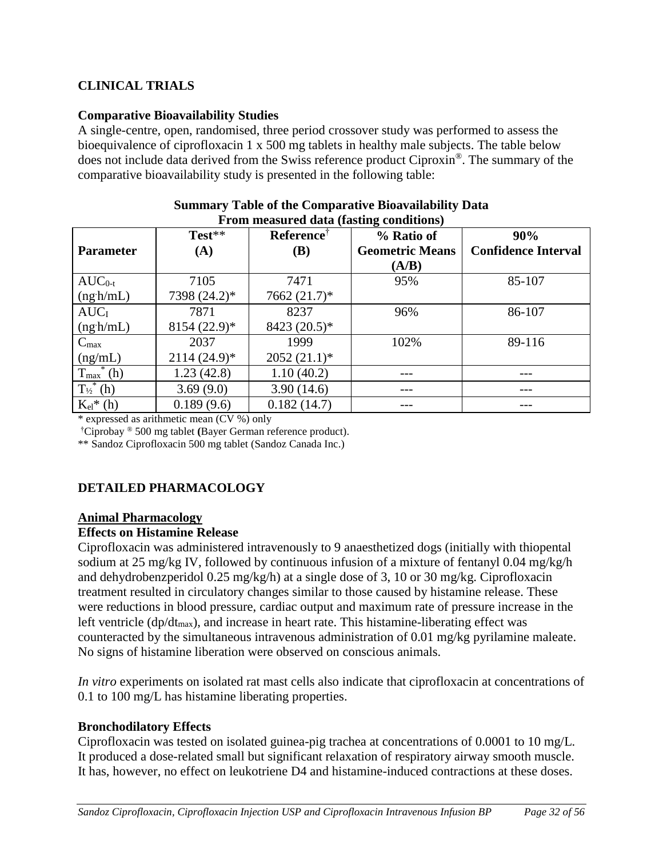# <span id="page-31-0"></span>**CLINICAL TRIALS**

# **Comparative Bioavailability Studies**

A single-centre, open, randomised, three period crossover study was performed to assess the bioequivalence of ciprofloxacin 1 x 500 mg tablets in healthy male subjects. The table below does not include data derived from the Swiss reference product Ciproxin®. The summary of the comparative bioavailability study is presented in the following table:

| TTom measured data (noting conditions) |                 |                        |                        |                            |  |
|----------------------------------------|-----------------|------------------------|------------------------|----------------------------|--|
|                                        | Test**          | Reference <sup>†</sup> | % Ratio of             | 90%                        |  |
| <b>Parameter</b>                       | (A)             | <b>(B)</b>             | <b>Geometric Means</b> | <b>Confidence Interval</b> |  |
|                                        |                 |                        | (A/B)                  |                            |  |
| $AUC_{0-t}$                            | 7105            | 7471                   | 95%                    | 85-107                     |  |
| $(ng \cdot h/mL)$                      | 7398 (24.2)*    | 7662 (21.7)*           |                        |                            |  |
| AUC <sub>I</sub>                       | 7871            | 8237                   | 96%                    | 86-107                     |  |
| $(ng \cdot h/mL)$                      | $8154 (22.9)^*$ | 8423 (20.5)*           |                        |                            |  |
| $C_{\text{max}}$                       | 2037            | 1999                   | 102%                   | 89-116                     |  |
| (ng/mL)                                | $2114(24.9)^*$  | $2052(21.1)^*$         |                        |                            |  |
| $T_{\text{max}}^*(h)$                  | 1.23(42.8)      | 1.10(40.2)             | ---                    |                            |  |
| $T_{\frac{1}{2}}^{*}$ (h)              | 3.69(9.0)       | 3.90(14.6)             | ---                    |                            |  |
| $K_{el}$ * (h)                         | 0.189(9.6)      | 0.182(14.7)            |                        |                            |  |

#### **Summary Table of the Comparative Bioavailability Data From measured data (fasting conditions)**

\* expressed as arithmetic mean (CV %) only

†Ciprobay ® 500 mg tablet **(**Bayer German reference product).

\*\* Sandoz Ciprofloxacin 500 mg tablet (Sandoz Canada Inc.)

# <span id="page-31-1"></span>**DETAILED PHARMACOLOGY**

# **Animal Pharmacology**

# **Effects on Histamine Release**

Ciprofloxacin was administered intravenously to 9 anaesthetized dogs (initially with thiopental sodium at 25 mg/kg IV, followed by continuous infusion of a mixture of fentanyl 0.04 mg/kg/h and dehydrobenzperidol 0.25 mg/kg/h) at a single dose of 3, 10 or 30 mg/kg. Ciprofloxacin treatment resulted in circulatory changes similar to those caused by histamine release. These were reductions in blood pressure, cardiac output and maximum rate of pressure increase in the left ventricle  $(dp/dt_{max})$ , and increase in heart rate. This histamine-liberating effect was counteracted by the simultaneous intravenous administration of 0.01 mg/kg pyrilamine maleate. No signs of histamine liberation were observed on conscious animals.

*In vitro* experiments on isolated rat mast cells also indicate that ciprofloxacin at concentrations of 0.1 to 100 mg/L has histamine liberating properties.

# **Bronchodilatory Effects**

Ciprofloxacin was tested on isolated guinea-pig trachea at concentrations of 0.0001 to 10 mg/L. It produced a dose-related small but significant relaxation of respiratory airway smooth muscle. It has, however, no effect on leukotriene D4 and histamine-induced contractions at these doses.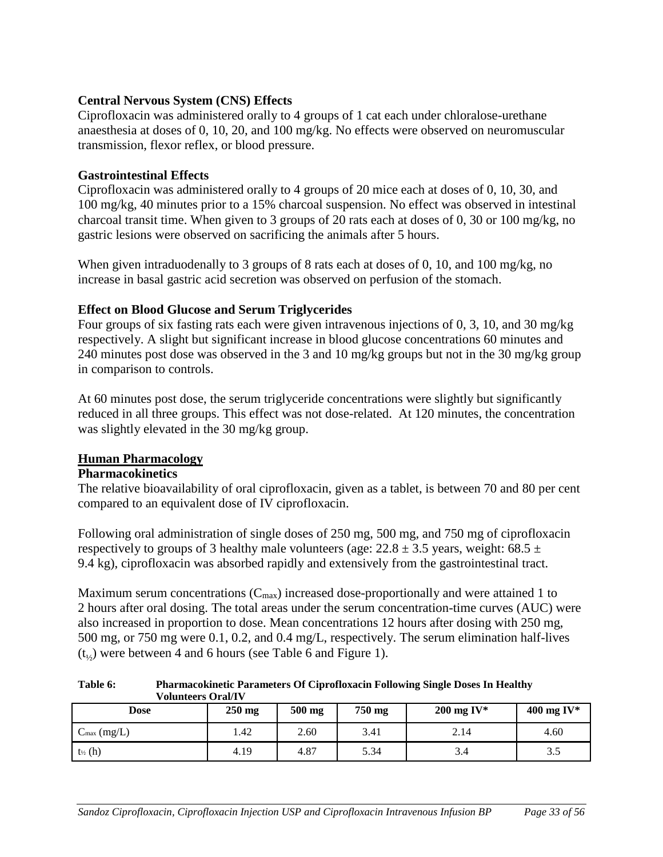# **Central Nervous System (CNS) Effects**

Ciprofloxacin was administered orally to 4 groups of 1 cat each under chloralose-urethane anaesthesia at doses of 0, 10, 20, and 100 mg/kg. No effects were observed on neuromuscular transmission, flexor reflex, or blood pressure.

# **Gastrointestinal Effects**

Ciprofloxacin was administered orally to 4 groups of 20 mice each at doses of 0, 10, 30, and 100 mg/kg, 40 minutes prior to a 15% charcoal suspension. No effect was observed in intestinal charcoal transit time. When given to 3 groups of 20 rats each at doses of 0, 30 or 100 mg/kg, no gastric lesions were observed on sacrificing the animals after 5 hours.

When given intraduodenally to 3 groups of 8 rats each at doses of 0, 10, and 100 mg/kg, no increase in basal gastric acid secretion was observed on perfusion of the stomach.

# **Effect on Blood Glucose and Serum Triglycerides**

Four groups of six fasting rats each were given intravenous injections of 0, 3, 10, and 30 mg/kg respectively. A slight but significant increase in blood glucose concentrations 60 minutes and 240 minutes post dose was observed in the 3 and 10 mg/kg groups but not in the 30 mg/kg group in comparison to controls.

At 60 minutes post dose, the serum triglyceride concentrations were slightly but significantly reduced in all three groups. This effect was not dose-related. At 120 minutes, the concentration was slightly elevated in the 30 mg/kg group.

# **Human Pharmacology**

# **Pharmacokinetics**

The relative bioavailability of oral ciprofloxacin, given as a tablet, is between 70 and 80 per cent compared to an equivalent dose of IV ciprofloxacin.

Following oral administration of single doses of 250 mg, 500 mg, and 750 mg of ciprofloxacin respectively to groups of 3 healthy male volunteers (age:  $22.8 \pm 3.5$  years, weight:  $68.5 \pm 1.5$ 9.4 kg), ciprofloxacin was absorbed rapidly and extensively from the gastrointestinal tract.

Maximum serum concentrations  $(C_{\text{max}})$  increased dose-proportionally and were attained 1 to 2 hours after oral dosing. The total areas under the serum concentration-time curves (AUC) were also increased in proportion to dose. Mean concentrations 12 hours after dosing with 250 mg, 500 mg, or 750 mg were 0.1, 0.2, and 0.4 mg/L, respectively. The serum elimination half-lives  $(t_{1/2})$  were between 4 and 6 hours (see Table 6 and Figure 1).

**Table 6: Pharmacokinetic Parameters Of Ciprofloxacin Following Single Doses In Healthy Volunteers Oral/IV**

| Dose                    | $250$ mg | 500 mg | 750 mg | $200$ mg IV* | 400 mg IV* |
|-------------------------|----------|--------|--------|--------------|------------|
| $C_{\text{max}}$ (mg/L) | .42      | 2.60   | 3.41   | 2.14         | 4.60       |
| $t_{\frac{1}{2}}(h)$    | 4.19     | 4.87   | 5.34   | 3.4          | 3.5        |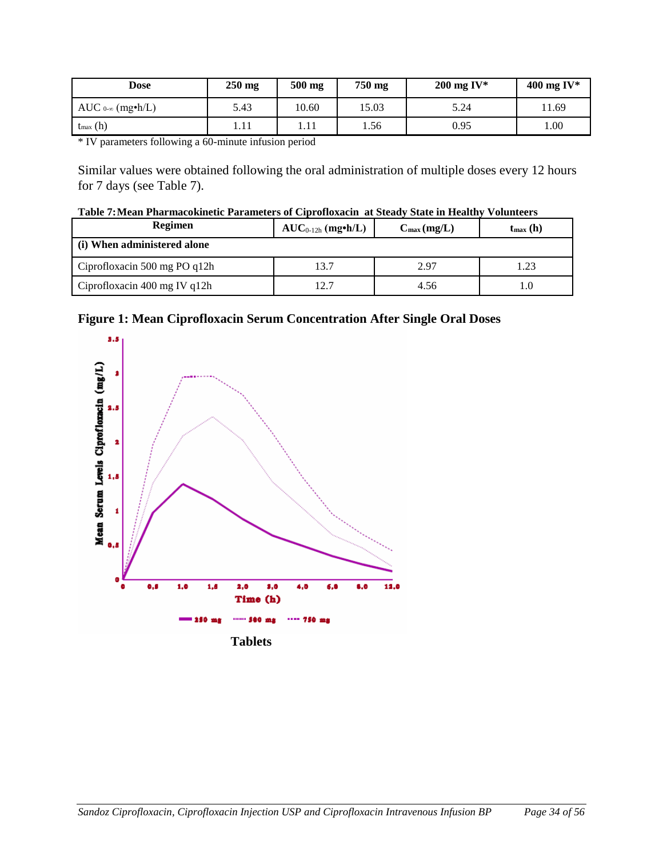| Dose                    | $250$ mg | 500 mg | 750 mg | $200$ mg IV* | 400 mg IV* |
|-------------------------|----------|--------|--------|--------------|------------|
| AUC $0-\infty$ (mg•h/L) | 5.43     | 10.60  | 15.03  | 5.24         | 11.69      |
| $t_{\text{max}}(h)$     | 1.11     | 1.11   | 1.56   | 0.95         | 00.1       |

\* IV parameters following a 60-minute infusion period

Similar values were obtained following the oral administration of multiple doses every 12 hours for 7 days (see Table 7).

| Table 7: Mean Pharmacokinetic Parameters of Ciprofloxacin at Steady State in Healthy Volunteers |  |  |
|-------------------------------------------------------------------------------------------------|--|--|
|                                                                                                 |  |  |

| Regimen                         | $AUC_{0-12h}$ (mg•h/L) | $C_{\text{max}}(\text{mg/L})$ | $t_{\rm max}$ (h) |
|---------------------------------|------------------------|-------------------------------|-------------------|
| (i) When administered alone     |                        |                               |                   |
| Ciprofloxacin 500 mg PO q12h    | 13.7                   | 2.97                          | l.23              |
| Ciprofloxacin 400 mg IV q $12h$ | 12.7                   | 4.56                          | 1.0               |



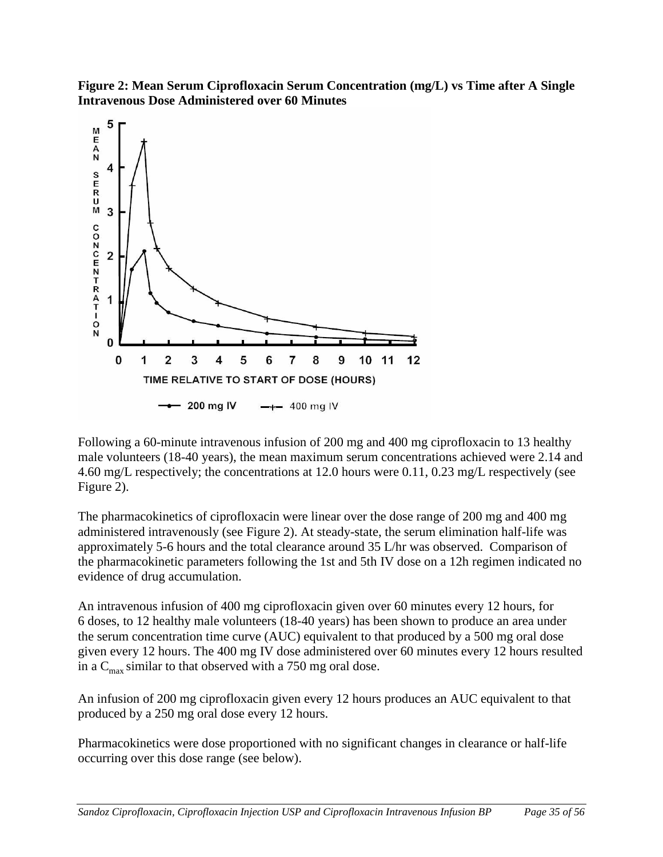**Figure 2: Mean Serum Ciprofloxacin Serum Concentration (mg/L) vs Time after A Single Intravenous Dose Administered over 60 Minutes**



Following a 60-minute intravenous infusion of 200 mg and 400 mg ciprofloxacin to 13 healthy male volunteers (18-40 years), the mean maximum serum concentrations achieved were 2.14 and 4.60 mg/L respectively; the concentrations at 12.0 hours were 0.11, 0.23 mg/L respectively (see Figure 2).

The pharmacokinetics of ciprofloxacin were linear over the dose range of 200 mg and 400 mg administered intravenously (see Figure 2). At steady-state, the serum elimination half-life was approximately 5-6 hours and the total clearance around 35 L/hr was observed. Comparison of the pharmacokinetic parameters following the 1st and 5th IV dose on a 12h regimen indicated no evidence of drug accumulation.

An intravenous infusion of 400 mg ciprofloxacin given over 60 minutes every 12 hours, for 6 doses, to 12 healthy male volunteers (18-40 years) has been shown to produce an area under the serum concentration time curve (AUC) equivalent to that produced by a 500 mg oral dose given every 12 hours. The 400 mg IV dose administered over 60 minutes every 12 hours resulted in a  $C_{\text{max}}$  similar to that observed with a 750 mg oral dose.

An infusion of 200 mg ciprofloxacin given every 12 hours produces an AUC equivalent to that produced by a 250 mg oral dose every 12 hours.

Pharmacokinetics were dose proportioned with no significant changes in clearance or half-life occurring over this dose range (see below).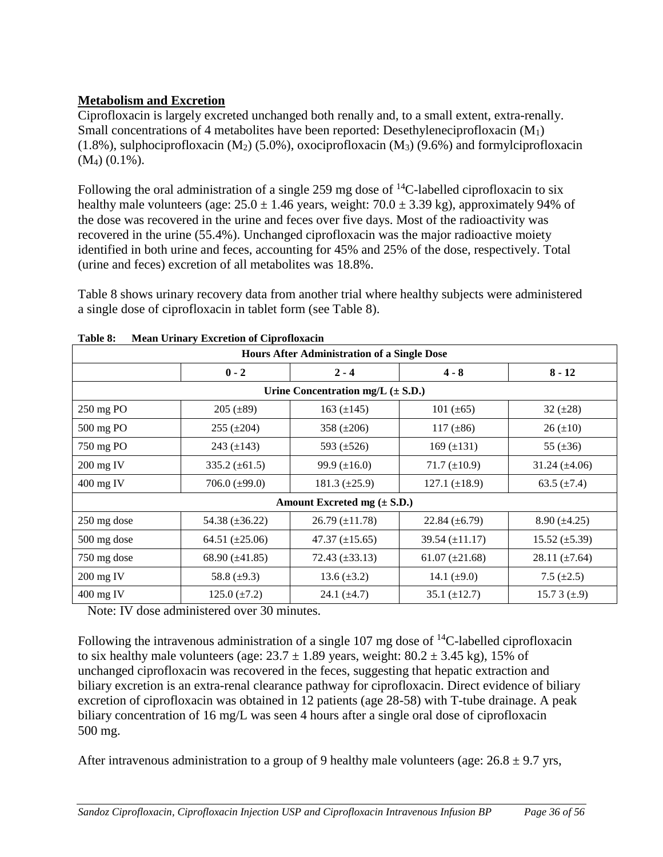# **Metabolism and Excretion**

Ciprofloxacin is largely excreted unchanged both renally and, to a small extent, extra-renally. Small concentrations of 4 metabolites have been reported: Desethyleneciprofloxacin  $(M_1)$  $(1.8\%)$ , sulphociprofloxacin  $(M_2)$  (5.0%), oxociprofloxacin  $(M_3)$  (9.6%) and formylciprofloxacin (M4) (0.1%).

Following the oral administration of a single 259 mg dose of  $^{14}$ C-labelled ciprofloxacin to six healthy male volunteers (age:  $25.0 \pm 1.46$  years, weight:  $70.0 \pm 3.39$  kg), approximately 94% of the dose was recovered in the urine and feces over five days. Most of the radioactivity was recovered in the urine (55.4%). Unchanged ciprofloxacin was the major radioactive moiety identified in both urine and feces, accounting for 45% and 25% of the dose, respectively. Total (urine and feces) excretion of all metabolites was 18.8%.

Table 8 shows urinary recovery data from another trial where healthy subjects were administered a single dose of ciprofloxacin in tablet form (see Table 8).

| <b>Hours After Administration of a Single Dose</b> |                      |                                       |                      |                      |  |
|----------------------------------------------------|----------------------|---------------------------------------|----------------------|----------------------|--|
|                                                    | $0 - 2$              | $2 - 4$                               | $4 - 8$              | $8 - 12$             |  |
|                                                    |                      | Urine Concentration mg/L $(\pm S.D.)$ |                      |                      |  |
| 250 mg PO                                          | $205 (\pm 89)$       | 163 $(\pm 145)$                       | 101 $(\pm 65)$       | 32 $(\pm 28)$        |  |
| 500 mg PO                                          | $255 (\pm 204)$      | 358 $(\pm 206)$                       | 117 $(\pm 86)$       | $26 (\pm 10)$        |  |
| 750 mg PO                                          | 243 $(\pm 143)$      | 593 $(\pm 526)$                       | 169 $(\pm 131)$      | 55 $(\pm 36)$        |  |
| $200$ mg IV                                        | $335.2 \ (\pm 61.5)$ | 99.9 $(\pm 16.0)$                     | $71.7 (\pm 10.9)$    | $31.24 \ (\pm 4.06)$ |  |
| 400 mg IV                                          | 706.0 $(\pm 99.0)$   | $181.3 \ (\pm 25.9)$                  | 127.1 $(\pm 18.9)$   | 63.5 $(\pm 7.4)$     |  |
|                                                    |                      | Amount Excreted mg $(\pm S.D.)$       |                      |                      |  |
| 250 mg dose                                        | 54.38 $(\pm 36.22)$  | $26.79 \ (\pm 11.78)$                 | $22.84 \ (\pm 6.79)$ | $8.90 \ (\pm 4.25)$  |  |
| 500 mg dose                                        | 64.51 $(\pm 25.06)$  | $47.37 \ (\pm 15.65)$                 | 39.54 $(\pm 11.17)$  | $15.52 \ (\pm 5.39)$ |  |
| 750 mg dose                                        | 68.90 $(\pm 41.85)$  | $72.43 \ (\pm 33.13)$                 | 61.07 $(\pm 21.68)$  | 28.11 $(\pm 7.64)$   |  |
| 200 mg IV                                          | 58.8 $(\pm 9.3)$     | 13.6 $(\pm 3.2)$                      | 14.1 $(\pm 9.0)$     | 7.5 $(\pm 2.5)$      |  |
| $400$ mg IV                                        | 125.0 $(\pm 7.2)$    | 24.1 $(\pm 4.7)$                      | $35.1 (\pm 12.7)$    | 15.7 3 $(\pm .9)$    |  |

| Table 8: |  |  | <b>Mean Urinary Excretion of Ciprofloxacin</b> |
|----------|--|--|------------------------------------------------|
|          |  |  |                                                |

Note: IV dose administered over 30 minutes.

Following the intravenous administration of a single 107 mg dose of  $^{14}$ C-labelled ciprofloxacin to six healthy male volunteers (age:  $23.7 \pm 1.89$  years, weight:  $80.2 \pm 3.45$  kg),  $15\%$  of unchanged ciprofloxacin was recovered in the feces, suggesting that hepatic extraction and biliary excretion is an extra-renal clearance pathway for ciprofloxacin. Direct evidence of biliary excretion of ciprofloxacin was obtained in 12 patients (age 28-58) with T-tube drainage. A peak biliary concentration of 16 mg/L was seen 4 hours after a single oral dose of ciprofloxacin 500 mg.

After intravenous administration to a group of 9 healthy male volunteers (age:  $26.8 \pm 9.7$  yrs,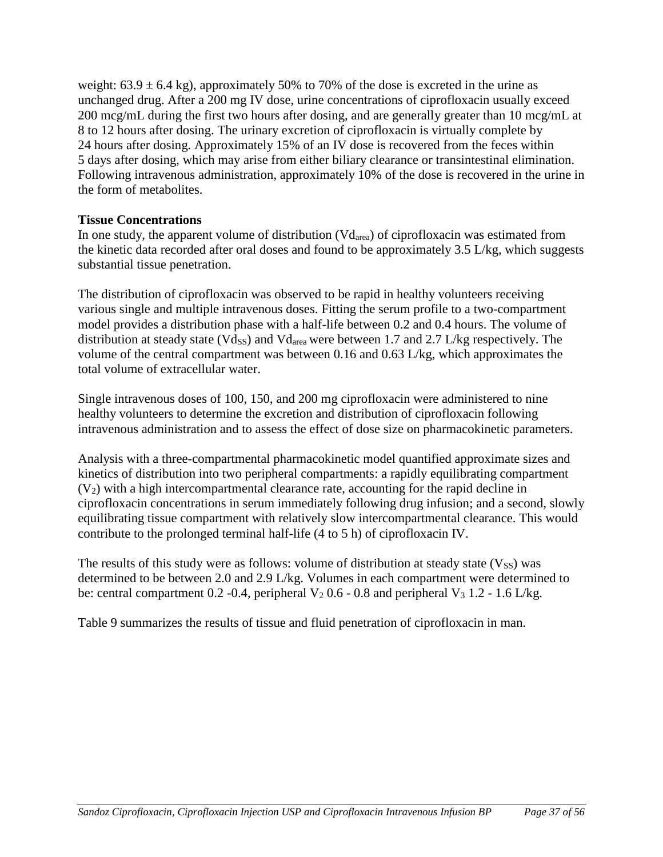weight:  $63.9 \pm 6.4$  kg), approximately 50% to 70% of the dose is excreted in the urine as unchanged drug. After a 200 mg IV dose, urine concentrations of ciprofloxacin usually exceed 200 mcg/mL during the first two hours after dosing, and are generally greater than 10 mcg/mL at 8 to 12 hours after dosing. The urinary excretion of ciprofloxacin is virtually complete by 24 hours after dosing. Approximately 15% of an IV dose is recovered from the feces within 5 days after dosing, which may arise from either biliary clearance or transintestinal elimination. Following intravenous administration, approximately 10% of the dose is recovered in the urine in the form of metabolites.

# **Tissue Concentrations**

In one study, the apparent volume of distribution (Vdarea) of ciprofloxacin was estimated from the kinetic data recorded after oral doses and found to be approximately 3.5 L/kg, which suggests substantial tissue penetration.

The distribution of ciprofloxacin was observed to be rapid in healthy volunteers receiving various single and multiple intravenous doses. Fitting the serum profile to a two-compartment model provides a distribution phase with a half-life between 0.2 and 0.4 hours. The volume of distribution at steady state (Vdss) and Vd<sub>area</sub> were between 1.7 and 2.7 L/kg respectively. The volume of the central compartment was between 0.16 and 0.63 L/kg, which approximates the total volume of extracellular water.

Single intravenous doses of 100, 150, and 200 mg ciprofloxacin were administered to nine healthy volunteers to determine the excretion and distribution of ciprofloxacin following intravenous administration and to assess the effect of dose size on pharmacokinetic parameters.

Analysis with a three-compartmental pharmacokinetic model quantified approximate sizes and kinetics of distribution into two peripheral compartments: a rapidly equilibrating compartment  $(V<sub>2</sub>)$  with a high intercompartmental clearance rate, accounting for the rapid decline in ciprofloxacin concentrations in serum immediately following drug infusion; and a second, slowly equilibrating tissue compartment with relatively slow intercompartmental clearance. This would contribute to the prolonged terminal half-life (4 to 5 h) of ciprofloxacin IV.

The results of this study were as follows: volume of distribution at steady state  $(V_{SS})$  was determined to be between 2.0 and 2.9 L/kg. Volumes in each compartment were determined to be: central compartment 0.2 -0.4, peripheral  $V_2$  0.6 - 0.8 and peripheral  $V_3$  1.2 - 1.6 L/kg.

Table 9 summarizes the results of tissue and fluid penetration of ciprofloxacin in man.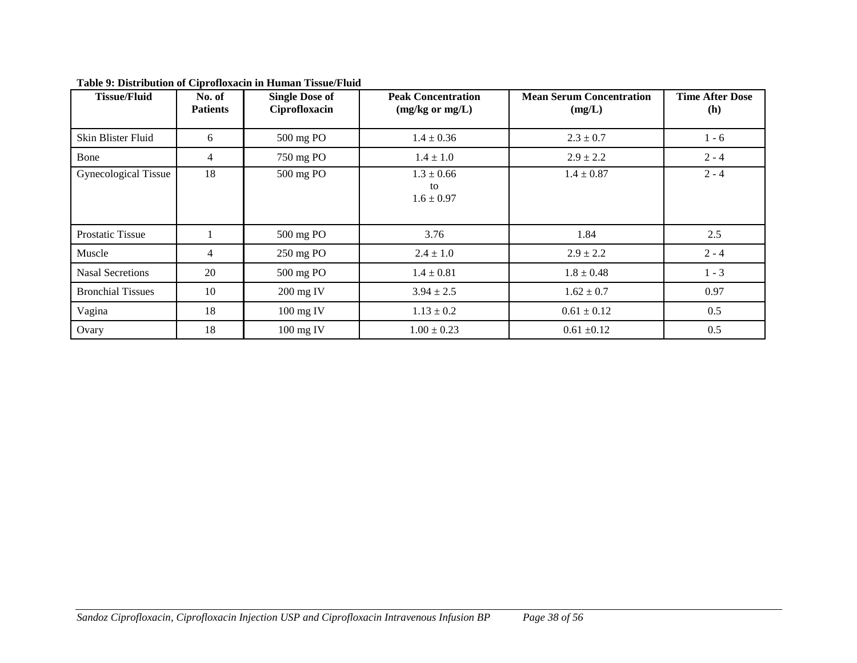| <b>Tissue/Fluid</b>      | No. of<br><b>Patients</b> | <b>Single Dose of</b><br>Ciprofloxacin | <b>Peak Concentration</b><br>$(mg/kg \text{ or } mg/L)$ | <b>Mean Serum Concentration</b><br>(mg/L) | <b>Time After Dose</b><br>(h) |
|--------------------------|---------------------------|----------------------------------------|---------------------------------------------------------|-------------------------------------------|-------------------------------|
| Skin Blister Fluid       | 6                         | 500 mg PO                              | $1.4 \pm 0.36$                                          | $2.3 \pm 0.7$                             | $1 - 6$                       |
| Bone                     | 4                         | 750 mg PO                              | $1.4 \pm 1.0$                                           | $2.9 \pm 2.2$                             | $2 - 4$                       |
| Gynecological Tissue     | 18                        | 500 mg PO                              | $1.3 \pm 0.66$<br>to<br>$1.6 \pm 0.97$                  | $1.4 \pm 0.87$                            | $2 - 4$                       |
| <b>Prostatic Tissue</b>  |                           | 500 mg PO                              | 3.76                                                    | 1.84                                      | 2.5                           |
| Muscle                   | 4                         | 250 mg PO                              | $2.4 \pm 1.0$                                           | $2.9 \pm 2.2$                             | $2 - 4$                       |
| <b>Nasal Secretions</b>  | 20                        | 500 mg PO                              | $1.4 \pm 0.81$                                          | $1.8 \pm 0.48$                            | $1 - 3$                       |
| <b>Bronchial Tissues</b> | 10                        | 200 mg IV                              | $3.94 \pm 2.5$                                          | $1.62 \pm 0.7$                            | 0.97                          |
| Vagina                   | 18                        | $100$ mg IV                            | $1.13 \pm 0.2$                                          | $0.61 \pm 0.12$                           | 0.5                           |
| Ovary                    | 18                        | 100 mg IV                              | $1.00 \pm 0.23$                                         | $0.61 \pm 0.12$                           | 0.5                           |

**Table 9: Distribution of Ciprofloxacin in Human Tissue/Fluid**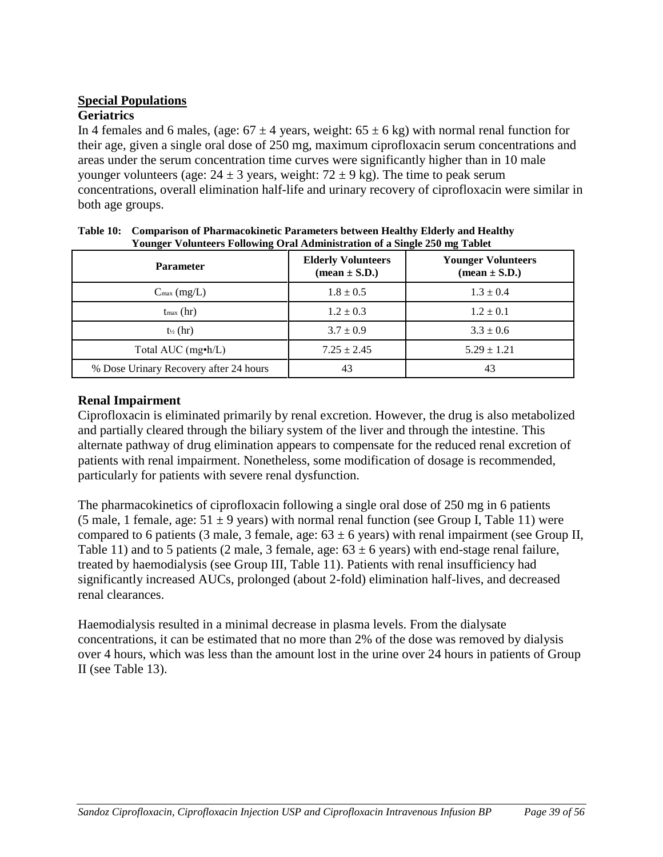# **Special Populations**

# **Geriatrics**

In 4 females and 6 males, (age:  $67 \pm 4$  years, weight:  $65 \pm 6$  kg) with normal renal function for their age, given a single oral dose of 250 mg, maximum ciprofloxacin serum concentrations and areas under the serum concentration time curves were significantly higher than in 10 male younger volunteers (age:  $24 \pm 3$  years, weight:  $72 \pm 9$  kg). The time to peak serum concentrations, overall elimination half-life and urinary recovery of ciprofloxacin were similar in both age groups.

| ---------<br><b>Parameter</b>          | <b>Elderly Volunteers</b><br>$(\text{mean} \pm \text{S.D.})$ | --- - - - - -<br><b>Younger Volunteers</b><br>$(\text{mean} \pm \text{S.D.})$ |
|----------------------------------------|--------------------------------------------------------------|-------------------------------------------------------------------------------|
| $C_{\text{max}}$ (mg/L)                | $1.8 \pm 0.5$                                                | $1.3 \pm 0.4$                                                                 |
| $t_{\text{max}}$ (hr)                  | $1.2 \pm 0.3$                                                | $1.2 \pm 0.1$                                                                 |
| $t_{\frac{1}{2}}$ (hr)                 | $3.7 \pm 0.9$                                                | $3.3 \pm 0.6$                                                                 |
| Total AUC $(mg\cdot h/L)$              | $7.25 \pm 2.45$                                              | $5.29 \pm 1.21$                                                               |
| % Dose Urinary Recovery after 24 hours | 43                                                           | 43                                                                            |

| Table 10: Comparison of Pharmacokinetic Parameters between Healthy Elderly and Healthy |
|----------------------------------------------------------------------------------------|
| Younger Volunteers Following Oral Administration of a Single 250 mg Tablet             |

# **Renal Impairment**

Ciprofloxacin is eliminated primarily by renal excretion. However, the drug is also metabolized and partially cleared through the biliary system of the liver and through the intestine. This alternate pathway of drug elimination appears to compensate for the reduced renal excretion of patients with renal impairment. Nonetheless, some modification of dosage is recommended, particularly for patients with severe renal dysfunction.

The pharmacokinetics of ciprofloxacin following a single oral dose of 250 mg in 6 patients (5 male, 1 female, age:  $51 \pm 9$  years) with normal renal function (see Group I, Table 11) were compared to 6 patients (3 male, 3 female, age:  $63 \pm 6$  years) with renal impairment (see Group II, Table 11) and to 5 patients (2 male, 3 female, age:  $63 \pm 6$  years) with end-stage renal failure, treated by haemodialysis (see Group III, Table 11). Patients with renal insufficiency had significantly increased AUCs, prolonged (about 2-fold) elimination half-lives, and decreased renal clearances.

Haemodialysis resulted in a minimal decrease in plasma levels. From the dialysate concentrations, it can be estimated that no more than 2% of the dose was removed by dialysis over 4 hours, which was less than the amount lost in the urine over 24 hours in patients of Group II (see Table 13).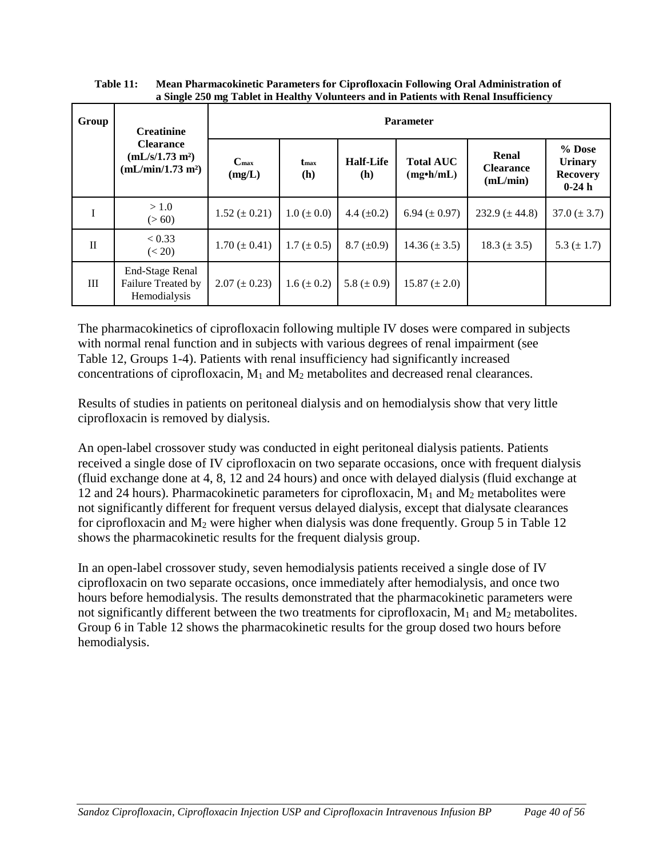| $\mathbf{a}$ bingle $\mathbf{v}$ ong thore in Health, |                                                                                  |                         |                         |                         |                                      |                                       |                                                          |  |  |
|-------------------------------------------------------|----------------------------------------------------------------------------------|-------------------------|-------------------------|-------------------------|--------------------------------------|---------------------------------------|----------------------------------------------------------|--|--|
| Group                                                 | <b>Creatinine</b>                                                                |                         | <b>Parameter</b>        |                         |                                      |                                       |                                                          |  |  |
|                                                       | <b>Clearance</b><br>(mL/s/1.73 m <sup>2</sup> )<br>(mL/min/1.73 m <sup>2</sup> ) | $C_{\rm max}$<br>(mg/L) | t <sub>max</sub><br>(h) | <b>Half-Life</b><br>(h) | <b>Total AUC</b><br>$(mg\cdot h/mL)$ | Renal<br><b>Clearance</b><br>(mL/min) | $%$ Dose<br><b>Urinary</b><br><b>Recovery</b><br>$0-24h$ |  |  |
| $\bf I$                                               | > 1.0<br>(> 60)                                                                  | $1.52 \ (\pm 0.21)$     | $1.0 \ (\pm 0.0)$       | 4.4 $(\pm 0.2)$         | 6.94 ( $\pm$ 0.97)                   | 232.9 $(\pm 44.8)$                    | $37.0 (\pm 3.7)$                                         |  |  |
| $\mathbf{I}$                                          | < 0.33<br>(< 20)                                                                 | $1.70 (\pm 0.41)$       | $1.7 (\pm 0.5)$         | $8.7 \ (\pm 0.9)$       | $14.36 (\pm 3.5)$                    | $18.3 (\pm 3.5)$                      | 5.3 $(\pm 1.7)$                                          |  |  |
| Ш                                                     | <b>End-Stage Renal</b><br>Failure Treated by<br>Hemodialysis                     | $2.07 (\pm 0.23)$       | $1.6 (\pm 0.2)$         | 5.8 ( $\pm$ 0.9)        | $15.87 (\pm 2.0)$                    |                                       |                                                          |  |  |

**Table 11: Mean Pharmacokinetic Parameters for Ciprofloxacin Following Oral Administration of a Single 250 mg Tablet in Healthy Volunteers and in Patients with Renal Insufficiency** 

The pharmacokinetics of ciprofloxacin following multiple IV doses were compared in subjects with normal renal function and in subjects with various degrees of renal impairment (see Table 12, Groups 1-4). Patients with renal insufficiency had significantly increased concentrations of ciprofloxacin,  $M_1$  and  $M_2$  metabolites and decreased renal clearances.

Results of studies in patients on peritoneal dialysis and on hemodialysis show that very little ciprofloxacin is removed by dialysis.

An open-label crossover study was conducted in eight peritoneal dialysis patients. Patients received a single dose of IV ciprofloxacin on two separate occasions, once with frequent dialysis (fluid exchange done at 4, 8, 12 and 24 hours) and once with delayed dialysis (fluid exchange at 12 and 24 hours). Pharmacokinetic parameters for ciprofloxacin,  $M_1$  and  $M_2$  metabolites were not significantly different for frequent versus delayed dialysis, except that dialysate clearances for ciprofloxacin and  $M_2$  were higher when dialysis was done frequently. Group 5 in Table 12 shows the pharmacokinetic results for the frequent dialysis group.

In an open-label crossover study, seven hemodialysis patients received a single dose of IV ciprofloxacin on two separate occasions, once immediately after hemodialysis, and once two hours before hemodialysis. The results demonstrated that the pharmacokinetic parameters were not significantly different between the two treatments for ciprofloxacin, M<sub>1</sub> and M<sub>2</sub> metabolites. Group 6 in Table 12 shows the pharmacokinetic results for the group dosed two hours before hemodialysis.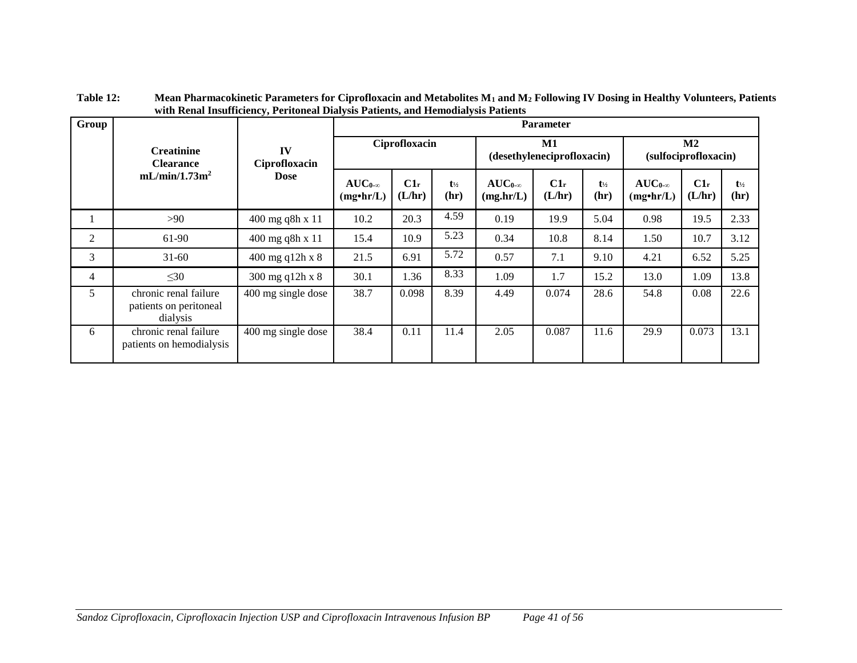| Group                                 |                                                             |                     | <b>Parameter</b>                     |                  |                           |                                  |                  |                           |                                      |                  |                           |
|---------------------------------------|-------------------------------------------------------------|---------------------|--------------------------------------|------------------|---------------------------|----------------------------------|------------------|---------------------------|--------------------------------------|------------------|---------------------------|
| <b>Creatinine</b><br><b>Clearance</b> |                                                             | IV<br>Ciprofloxacin |                                      | Ciprofloxacin    |                           | M1<br>(desethyleneciprofloxacin) |                  |                           | M2<br>(sulfociprofloxacin)           |                  |                           |
|                                       | mL/min/1.73m <sup>2</sup>                                   | <b>Dose</b>         | $AUC_{0-\infty}$<br>$(mg\cdot hr/L)$ | $C1_r$<br>(L/hr) | $t_{\frac{1}{2}}$<br>(hr) | $AUC_{0-\infty}$<br>(mg/hr/L)    | $C1_r$<br>(L/hr) | $t_{\frac{1}{2}}$<br>(hr) | $AUC_{0-\infty}$<br>$(mg\cdot hr/L)$ | $C1_r$<br>(L/hr) | $t_{\frac{1}{2}}$<br>(hr) |
|                                       | >90                                                         | 400 mg q8h x 11     | 10.2                                 | 20.3             | 4.59                      | 0.19                             | 19.9             | 5.04                      | 0.98                                 | 19.5             | 2.33                      |
| 2                                     | 61-90                                                       | 400 mg q8h x 11     | 15.4                                 | 10.9             | 5.23                      | 0.34                             | 10.8             | 8.14                      | 1.50                                 | 10.7             | 3.12                      |
| 3                                     | $31 - 60$                                                   | 400 mg q12h x 8     | 21.5                                 | 6.91             | 5.72                      | 0.57                             | 7.1              | 9.10                      | 4.21                                 | 6.52             | 5.25                      |
| $\overline{4}$                        | $\leq 30$                                                   | 300 mg q12h x 8     | 30.1                                 | 1.36             | 8.33                      | 1.09                             | 1.7              | 15.2                      | 13.0                                 | 1.09             | 13.8                      |
| 5                                     | chronic renal failure<br>patients on peritoneal<br>dialysis | 400 mg single dose  | 38.7                                 | 0.098            | 8.39                      | 4.49                             | 0.074            | 28.6                      | 54.8                                 | 0.08             | 22.6                      |
| 6                                     | chronic renal failure<br>patients on hemodialysis           | 400 mg single dose  | 38.4                                 | 0.11             | 11.4                      | 2.05                             | 0.087            | 11.6                      | 29.9                                 | 0.073            | 13.1                      |

**Table 12: Mean Pharmacokinetic Parameters for Ciprofloxacin and Metabolites M<sup>1</sup> and M<sup>2</sup> Following IV Dosing in Healthy Volunteers, Patients with Renal Insufficiency, Peritoneal Dialysis Patients, and Hemodialysis Patients**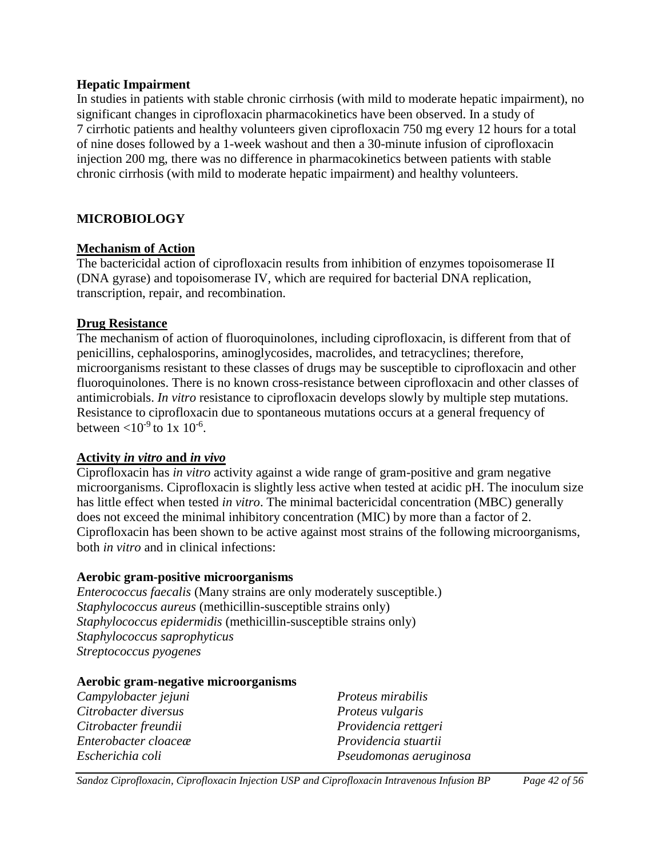#### **Hepatic Impairment**

In studies in patients with stable chronic cirrhosis (with mild to moderate hepatic impairment), no significant changes in ciprofloxacin pharmacokinetics have been observed. In a study of 7 cirrhotic patients and healthy volunteers given ciprofloxacin 750 mg every 12 hours for a total of nine doses followed by a 1-week washout and then a 30-minute infusion of ciprofloxacin injection 200 mg, there was no difference in pharmacokinetics between patients with stable chronic cirrhosis (with mild to moderate hepatic impairment) and healthy volunteers.

# <span id="page-41-0"></span>**MICROBIOLOGY**

# **Mechanism of Action**

The bactericidal action of ciprofloxacin results from inhibition of enzymes topoisomerase II (DNA gyrase) and topoisomerase IV, which are required for bacterial DNA replication, transcription, repair, and recombination.

# **Drug Resistance**

The mechanism of action of fluoroquinolones, including ciprofloxacin, is different from that of penicillins, cephalosporins, aminoglycosides, macrolides, and tetracyclines; therefore, microorganisms resistant to these classes of drugs may be susceptible to ciprofloxacin and other fluoroquinolones. There is no known cross-resistance between ciprofloxacin and other classes of antimicrobials. *In vitro* resistance to ciprofloxacin develops slowly by multiple step mutations. Resistance to ciprofloxacin due to spontaneous mutations occurs at a general frequency of between  $<$ 10<sup>-9</sup> to 1x 10<sup>-6</sup>.

# **Activity** *in vitro* **and** *in vivo*

Ciprofloxacin has *in vitro* activity against a wide range of gram-positive and gram negative microorganisms. Ciprofloxacin is slightly less active when tested at acidic pH. The inoculum size has little effect when tested *in vitro*. The minimal bactericidal concentration (MBC) generally does not exceed the minimal inhibitory concentration (MIC) by more than a factor of 2. Ciprofloxacin has been shown to be active against most strains of the following microorganisms, both *in vitro* and in clinical infections:

# **Aerobic gram-positive microorganisms**

*Enterococcus faecalis* (Many strains are only moderately susceptible.) *Staphylococcus aureus* (methicillin-susceptible strains only) *Staphylococcus epidermidis* (methicillin-susceptible strains only) *Staphylococcus saprophyticus Streptococcus pyogenes*

# **Aerobic gram-negative microorganisms**

| Campylobacter jejuni | <i>Proteus mirabilis</i> |
|----------------------|--------------------------|
| Citrobacter diversus | Proteus vulgaris         |
| Citrobacter freundii | Providencia rettgeri     |
| Enterobacter cloaceæ | Providencia stuartii     |
| Escherichia coli     | Pseudomonas aeruginosa   |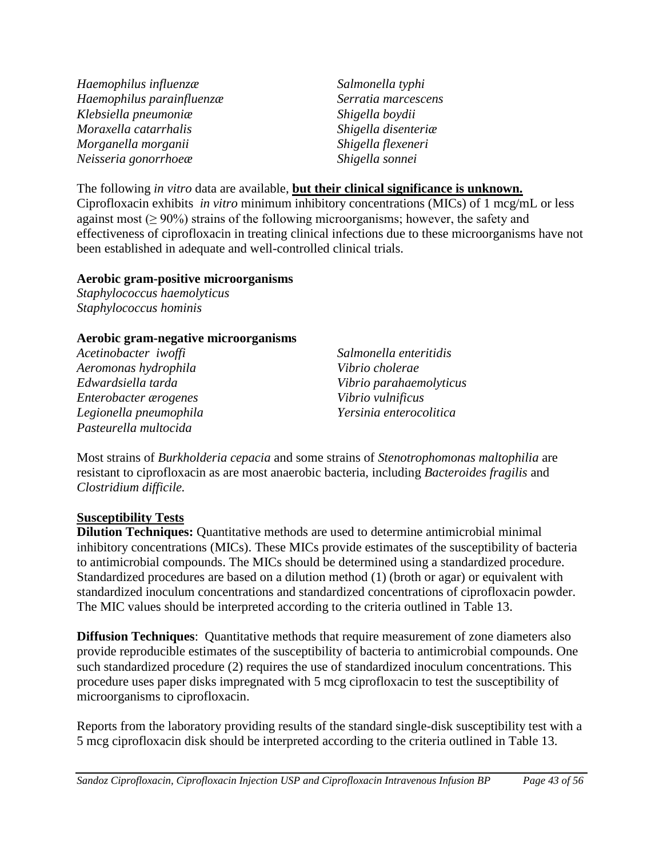*Haemophilus influenzæ Haemophilus parainfluenzæ Klebsiella pneumoniæ Moraxella catarrhalis Morganella morganii Neisseria gonorrhoeæ* 

*Salmonella typhi Serratia marcescens Shigella boydii Shigella disenteriæ Shigella flexeneri Shigella sonnei*

The following *in vitro* data are available, **but their clinical significance is unknown.**  Ciprofloxacin exhibits *in vitro* minimum inhibitory concentrations (MICs) of 1 mcg/mL or less against most  $(\geq 90\%)$  strains of the following microorganisms; however, the safety and effectiveness of ciprofloxacin in treating clinical infections due to these microorganisms have not been established in adequate and well-controlled clinical trials.

#### **Aerobic gram-positive microorganisms**

*Staphylococcus haemolyticus Staphylococcus hominis*

#### **Aerobic gram-negative microorganisms**

*Acetinobacter iwoffi Aeromonas hydrophila Edwardsiella tarda Enterobacter ærogenes Legionella pneumophila Pasteurella multocida*

*Salmonella enteritidis Vibrio cholerae Vibrio parahaemolyticus Vibrio vulnificus Yersinia enterocolitica*

Most strains of *Burkholderia cepacia* and some strains of *Stenotrophomonas maltophilia* are resistant to ciprofloxacin as are most anaerobic bacteria, including *Bacteroides fragilis* and *Clostridium difficile.*

# **Susceptibility Tests**

**Dilution Techniques:** Quantitative methods are used to determine antimicrobial minimal inhibitory concentrations (MICs). These MICs provide estimates of the susceptibility of bacteria to antimicrobial compounds. The MICs should be determined using a standardized procedure. Standardized procedures are based on a dilution method (1) (broth or agar) or equivalent with standardized inoculum concentrations and standardized concentrations of ciprofloxacin powder. The MIC values should be interpreted according to the criteria outlined in Table 13.

**Diffusion Techniques**: Quantitative methods that require measurement of zone diameters also provide reproducible estimates of the susceptibility of bacteria to antimicrobial compounds. One such standardized procedure (2) requires the use of standardized inoculum concentrations. This procedure uses paper disks impregnated with 5 mcg ciprofloxacin to test the susceptibility of microorganisms to ciprofloxacin.

Reports from the laboratory providing results of the standard single-disk susceptibility test with a 5 mcg ciprofloxacin disk should be interpreted according to the criteria outlined in Table 13.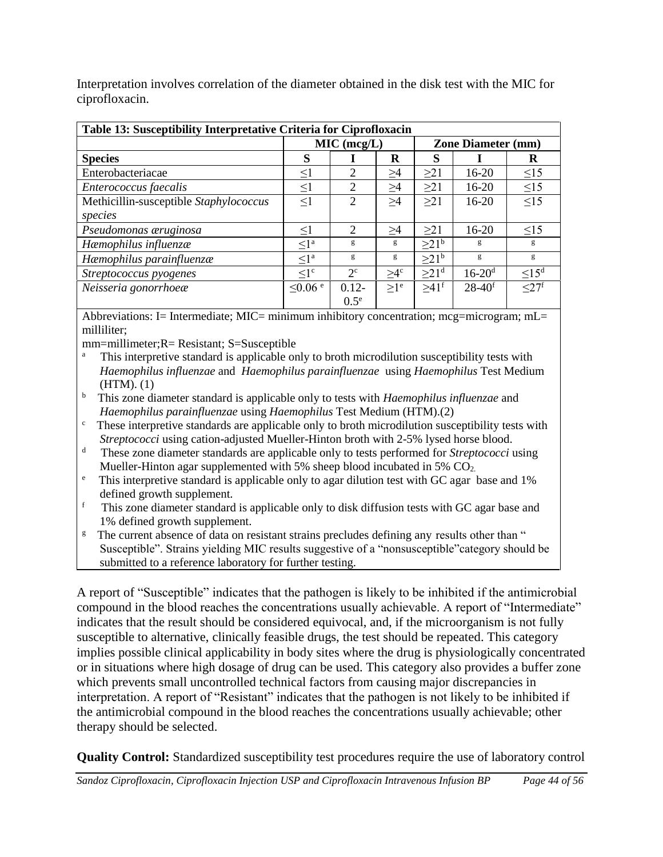Interpretation involves correlation of the diameter obtained in the disk test with the MIC for ciprofloxacin.

| Table 13: Susceptibility Interpretative Criteria for Ciprofloxacin |                          |               |          |                           |                        |                        |
|--------------------------------------------------------------------|--------------------------|---------------|----------|---------------------------|------------------------|------------------------|
|                                                                    |                          | MIC (mcg/L)   |          | <b>Zone Diameter (mm)</b> |                        |                        |
| <b>Species</b>                                                     | S                        |               | R        | S                         |                        | R                      |
| Enterobacteriacae                                                  | $\leq1$                  | 2             | >4       | >21                       | $16-20$                | $\leq$ 15              |
| Enterococcus faecalis                                              | $\leq1$                  | 2             | $\geq$ 4 | >21                       | $16-20$                | $\leq$ 15              |
| Methicillin-susceptible Staphylococcus                             | $\leq$ 1                 | 2             | >4       | >21                       | $16-20$                | $\leq$ 15              |
| species                                                            |                          |               |          |                           |                        |                        |
| Pseudomonas æruginosa                                              | $\leq$ 1                 | 2             | >4       | >21                       | $16-20$                | $\leq$ 15              |
| Hæmophilus influenzæ                                               | $\leq l^a$               | g             | g        | >21 <sup>b</sup>          | g                      | g                      |
| Hæmophilus parainfluenzæ                                           | $\leq l^a$               | g             | g        | >21 <sup>b</sup>          | g                      | g                      |
| Streptococcus pyogenes                                             | $\leq l^c$               | $2^{\circ}$   | $>4^c$   | >21 <sup>d</sup>          | $16 - 20$ <sup>d</sup> | $\leq$ 15 <sup>d</sup> |
| Neisseria gonorrhoeæ                                               | $\leq 0.06$ <sup>e</sup> | $0.12 -$      | $>1^e$   | $>41$ <sup>f</sup>        | $28-40^{f}$            | $\leq$ 27f             |
|                                                                    |                          | $0.5^{\circ}$ |          |                           |                        |                        |

Abbreviations: I= Intermediate; MIC= minimum inhibitory concentration; mcg=microgram; mL= milliliter;

mm=millimeter;R= Resistant; S=Susceptible

- a This interpretive standard is applicable only to broth microdilution susceptibility tests with *Haemophilus influenzae* and *Haemophilus parainfluenzae* using *Haemophilus* Test Medium (HTM). (1)
- <sup>b</sup> This zone diameter standard is applicable only to tests with *Haemophilus influenzae* and *Haemophilus parainfluenzae* using *Haemophilus* Test Medium (HTM).(2)
- $\epsilon$ . These interpretive standards are applicable only to broth microdilution susceptibility tests with *Streptococci* using cation-adjusted Mueller-Hinton broth with 2-5% lysed horse blood.
- d These zone diameter standards are applicable only to tests performed for *Streptococci* using Mueller-Hinton agar supplemented with 5% sheep blood incubated in 5%  $CO<sub>2</sub>$ .
- <sup>e</sup> This interpretive standard is applicable only to agar dilution test with GC agar base and 1% defined growth supplement.
- f This zone diameter standard is applicable only to disk diffusion tests with GC agar base and 1% defined growth supplement.
- <sup>g</sup> The current absence of data on resistant strains precludes defining any results other than " Susceptible". Strains yielding MIC results suggestive of a "nonsusceptible"category should be submitted to a reference laboratory for further testing.

A report of "Susceptible" indicates that the pathogen is likely to be inhibited if the antimicrobial compound in the blood reaches the concentrations usually achievable. A report of "Intermediate" indicates that the result should be considered equivocal, and, if the microorganism is not fully susceptible to alternative, clinically feasible drugs, the test should be repeated. This category implies possible clinical applicability in body sites where the drug is physiologically concentrated or in situations where high dosage of drug can be used. This category also provides a buffer zone which prevents small uncontrolled technical factors from causing major discrepancies in interpretation. A report of "Resistant" indicates that the pathogen is not likely to be inhibited if the antimicrobial compound in the blood reaches the concentrations usually achievable; other therapy should be selected.

**Quality Control:** Standardized susceptibility test procedures require the use of laboratory control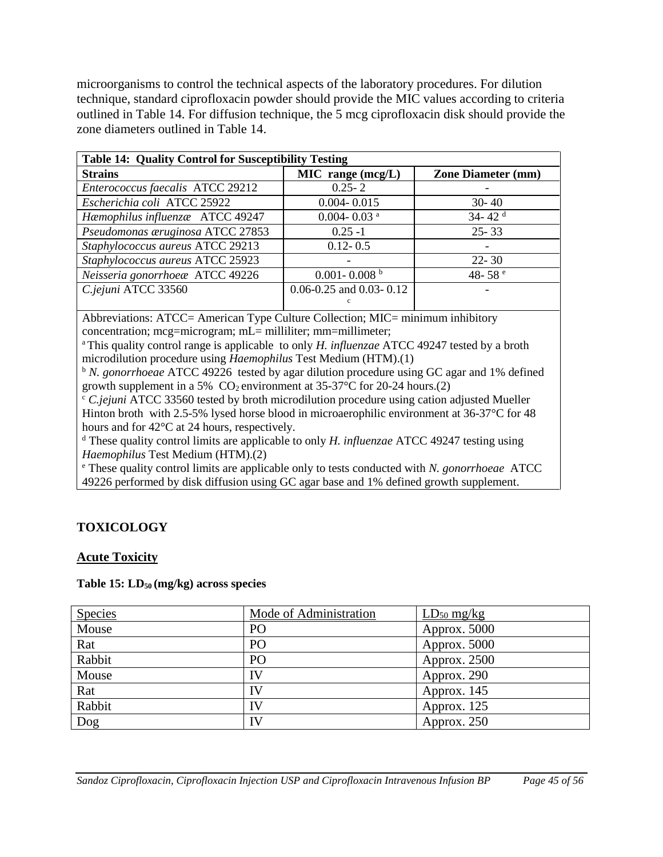microorganisms to control the technical aspects of the laboratory procedures. For dilution technique, standard ciprofloxacin powder should provide the MIC values according to criteria outlined in Table 14. For diffusion technique, the 5 mcg ciprofloxacin disk should provide the zone diameters outlined in Table 14.

| <b>Table 14: Quality Control for Susceptibility Testing</b> |                               |                           |  |  |  |  |  |
|-------------------------------------------------------------|-------------------------------|---------------------------|--|--|--|--|--|
| <b>Strains</b>                                              | $MIC$ range $(mcg/L)$         | <b>Zone Diameter (mm)</b> |  |  |  |  |  |
| Enterococcus faecalis ATCC 29212                            | $0.25 - 2$                    |                           |  |  |  |  |  |
| Escherichia coli ATCC 25922                                 | $0.004 - 0.015$               | $30 - 40$                 |  |  |  |  |  |
| Hæmophilus influenzæ ATCC 49247                             | $0.004 - 0.03$ <sup>a</sup>   | 34-42 $d$                 |  |  |  |  |  |
| Pseudomonas æruginosa ATCC 27853                            | $0.25 - 1$                    | $25 - 33$                 |  |  |  |  |  |
| Staphylococcus aureus ATCC 29213                            | $0.12 - 0.5$                  |                           |  |  |  |  |  |
| Staphylococcus aureus ATCC 25923                            |                               | $22 - 30$                 |  |  |  |  |  |
| Neisseria gonorrhoeæ ATCC 49226                             | $0.001 - 0.008$ <sup>b</sup>  | 48-58 $e$                 |  |  |  |  |  |
| C.jejuni ATCC 33560                                         | $0.06 - 0.25$ and 0.03 - 0.12 |                           |  |  |  |  |  |
|                                                             |                               |                           |  |  |  |  |  |

Abbreviations: ATCC= American Type Culture Collection; MIC= minimum inhibitory concentration; mcg=microgram; mL= milliliter; mm=millimeter;

<sup>a</sup>This quality control range is applicable to only *H. influenzae* ATCC 49247 tested by a broth microdilution procedure using *Haemophilus* Test Medium (HTM).(1)

<sup>b</sup> *N. gonorrhoeae* ATCC 49226 tested by agar dilution procedure using GC agar and 1% defined growth supplement in a 5%  $CO_2$  environment at 35-37°C for 20-24 hours.(2)

<sup>c</sup> *C.jejuni* ATCC 33560 tested by broth microdilution procedure using cation adjusted Mueller Hinton broth with 2.5-5% lysed horse blood in microaerophilic environment at 36-37°C for 48 hours and for 42°C at 24 hours, respectively.

<sup>d</sup> These quality control limits are applicable to only *H. influenzae* ATCC 49247 testing using *Haemophilus* Test Medium (HTM).(2)

<sup>e</sup> These quality control limits are applicable only to tests conducted with *N. gonorrhoeae* ATCC 49226 performed by disk diffusion using GC agar base and 1% defined growth supplement.

# <span id="page-44-0"></span>**TOXICOLOGY**

# **Acute Toxicity**

#### **Table 15: LD50 (mg/kg) across species**

| <b>Species</b> | Mode of Administration | $LD_{50}$ mg/kg |
|----------------|------------------------|-----------------|
| Mouse          | PO                     | Approx. $5000$  |
| Rat            | PO                     | Approx. 5000    |
| Rabbit         | PO                     | Approx. $2500$  |
| Mouse          | IV                     | Approx. 290     |
| Rat            | IV                     | Approx. 145     |
| Rabbit         | IV                     | Approx. 125     |
| Dog            | IV                     | Approx. 250     |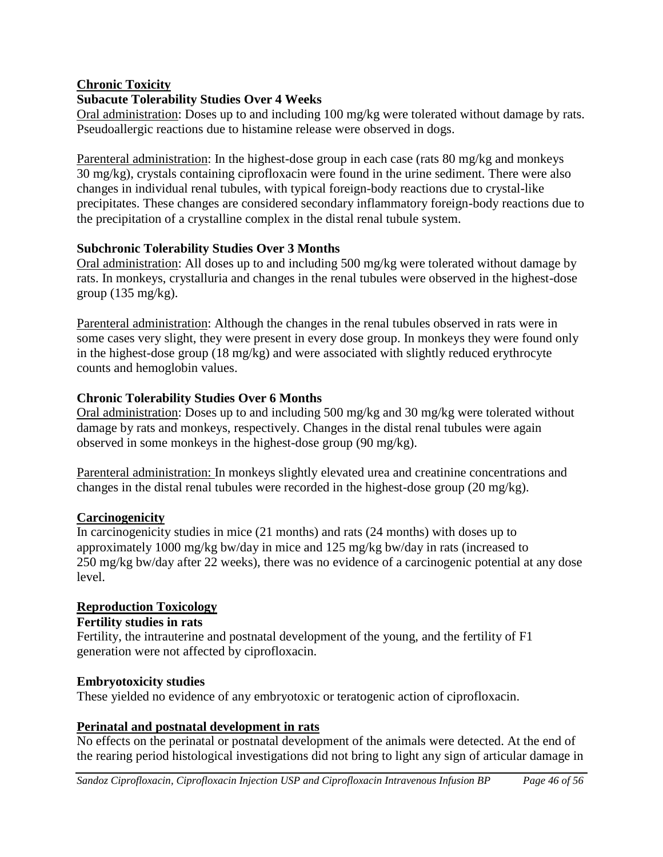# **Chronic Toxicity**

# **Subacute Tolerability Studies Over 4 Weeks**

Oral administration: Doses up to and including 100 mg/kg were tolerated without damage by rats. Pseudoallergic reactions due to histamine release were observed in dogs.

Parenteral administration: In the highest-dose group in each case (rats 80 mg/kg and monkeys 30 mg/kg), crystals containing ciprofloxacin were found in the urine sediment. There were also changes in individual renal tubules, with typical foreign-body reactions due to crystal-like precipitates. These changes are considered secondary inflammatory foreign-body reactions due to the precipitation of a crystalline complex in the distal renal tubule system.

# **Subchronic Tolerability Studies Over 3 Months**

Oral administration: All doses up to and including 500 mg/kg were tolerated without damage by rats. In monkeys, crystalluria and changes in the renal tubules were observed in the highest-dose group  $(135 \text{ mg/kg})$ .

Parenteral administration: Although the changes in the renal tubules observed in rats were in some cases very slight, they were present in every dose group. In monkeys they were found only in the highest-dose group (18 mg/kg) and were associated with slightly reduced erythrocyte counts and hemoglobin values.

# **Chronic Tolerability Studies Over 6 Months**

Oral administration: Doses up to and including 500 mg/kg and 30 mg/kg were tolerated without damage by rats and monkeys, respectively. Changes in the distal renal tubules were again observed in some monkeys in the highest-dose group (90 mg/kg).

Parenteral administration: In monkeys slightly elevated urea and creatinine concentrations and changes in the distal renal tubules were recorded in the highest-dose group (20 mg/kg).

# **Carcinogenicity**

In carcinogenicity studies in mice (21 months) and rats (24 months) with doses up to approximately 1000 mg/kg bw/day in mice and 125 mg/kg bw/day in rats (increased to 250 mg/kg bw/day after 22 weeks), there was no evidence of a carcinogenic potential at any dose level.

# **Reproduction Toxicology**

# **Fertility studies in rats**

Fertility, the intrauterine and postnatal development of the young, and the fertility of F1 generation were not affected by ciprofloxacin.

# **Embryotoxicity studies**

These yielded no evidence of any embryotoxic or teratogenic action of ciprofloxacin.

# **Perinatal and postnatal development in rats**

No effects on the perinatal or postnatal development of the animals were detected. At the end of the rearing period histological investigations did not bring to light any sign of articular damage in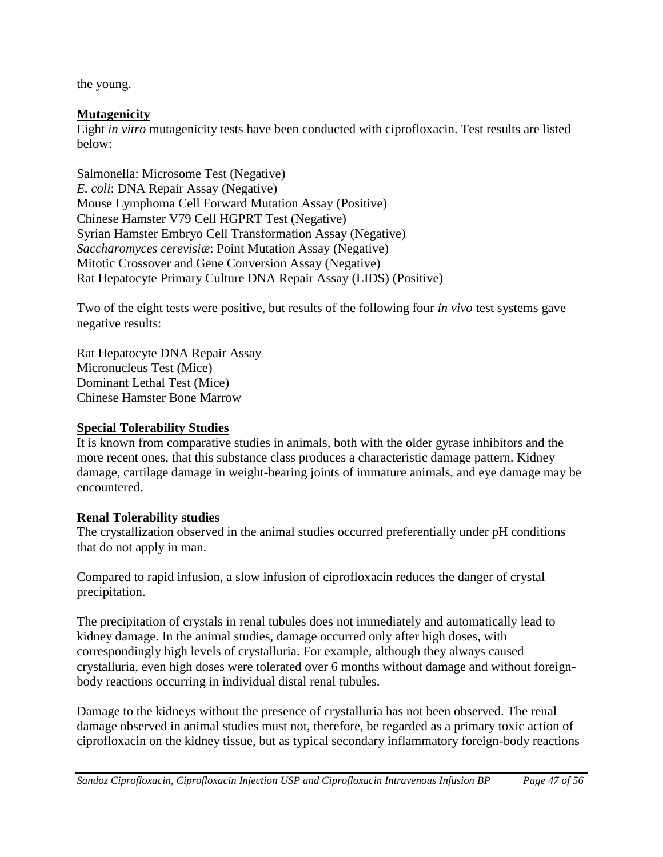the young.

# **Mutagenicity**

Eight *in vitro* mutagenicity tests have been conducted with ciprofloxacin. Test results are listed below:

Salmonella: Microsome Test (Negative) *E. coli*: DNA Repair Assay (Negative) Mouse Lymphoma Cell Forward Mutation Assay (Positive) Chinese Hamster V79 Cell HGPRT Test (Negative) Syrian Hamster Embryo Cell Transformation Assay (Negative) *Saccharomyces cerevisiæ*: Point Mutation Assay (Negative) Mitotic Crossover and Gene Conversion Assay (Negative) Rat Hepatocyte Primary Culture DNA Repair Assay (LIDS) (Positive)

Two of the eight tests were positive, but results of the following four *in vivo* test systems gave negative results:

Rat Hepatocyte DNA Repair Assay Micronucleus Test (Mice) Dominant Lethal Test (Mice) Chinese Hamster Bone Marrow

# **Special Tolerability Studies**

It is known from comparative studies in animals, both with the older gyrase inhibitors and the more recent ones, that this substance class produces a characteristic damage pattern. Kidney damage, cartilage damage in weight-bearing joints of immature animals, and eye damage may be encountered.

# **Renal Tolerability studies**

The crystallization observed in the animal studies occurred preferentially under pH conditions that do not apply in man.

Compared to rapid infusion, a slow infusion of ciprofloxacin reduces the danger of crystal precipitation.

The precipitation of crystals in renal tubules does not immediately and automatically lead to kidney damage. In the animal studies, damage occurred only after high doses, with correspondingly high levels of crystalluria. For example, although they always caused crystalluria, even high doses were tolerated over 6 months without damage and without foreignbody reactions occurring in individual distal renal tubules.

Damage to the kidneys without the presence of crystalluria has not been observed. The renal damage observed in animal studies must not, therefore, be regarded as a primary toxic action of ciprofloxacin on the kidney tissue, but as typical secondary inflammatory foreign-body reactions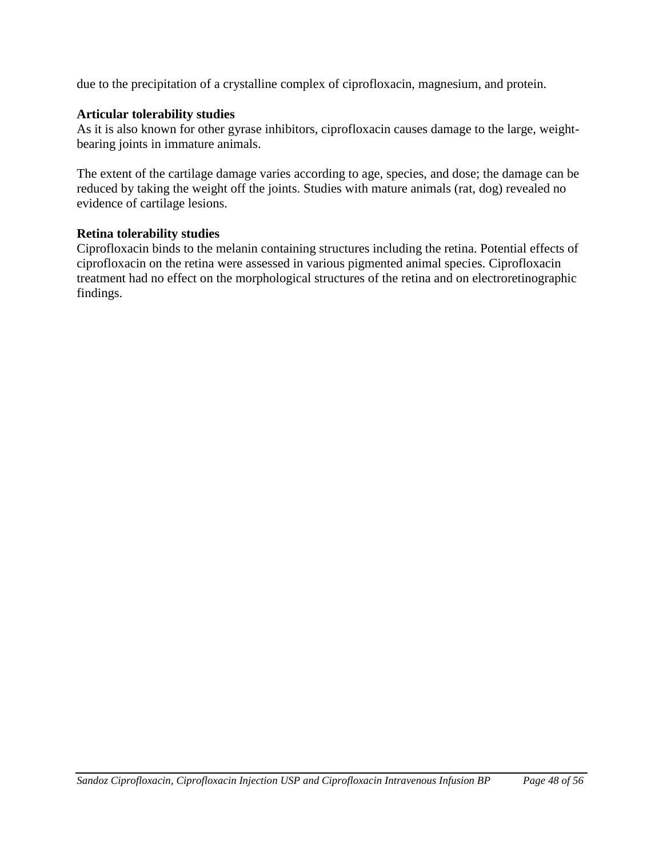due to the precipitation of a crystalline complex of ciprofloxacin, magnesium, and protein.

#### **Articular tolerability studies**

As it is also known for other gyrase inhibitors, ciprofloxacin causes damage to the large, weightbearing joints in immature animals.

The extent of the cartilage damage varies according to age, species, and dose; the damage can be reduced by taking the weight off the joints. Studies with mature animals (rat, dog) revealed no evidence of cartilage lesions.

#### **Retina tolerability studies**

Ciprofloxacin binds to the melanin containing structures including the retina. Potential effects of ciprofloxacin on the retina were assessed in various pigmented animal species. Ciprofloxacin treatment had no effect on the morphological structures of the retina and on electroretinographic findings.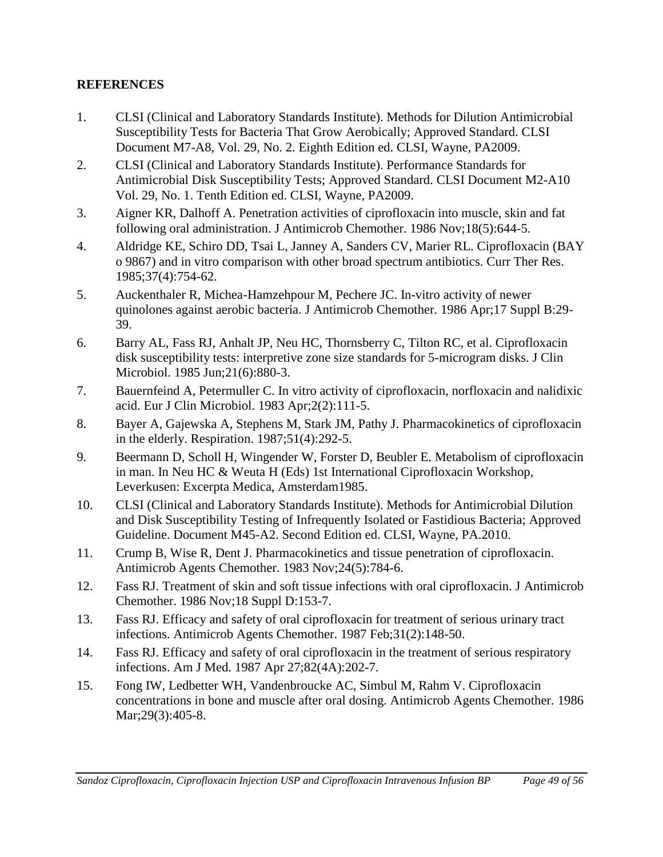# <span id="page-48-0"></span>**REFERENCES**

- 1. CLSI (Clinical and Laboratory Standards Institute). Methods for Dilution Antimicrobial Susceptibility Tests for Bacteria That Grow Aerobically; Approved Standard. CLSI Document M7-A8, Vol. 29, No. 2. Eighth Edition ed. CLSI, Wayne, PA2009.
- 2. CLSI (Clinical and Laboratory Standards Institute). Performance Standards for Antimicrobial Disk Susceptibility Tests; Approved Standard. CLSI Document M2-A10 Vol. 29, No. 1. Tenth Edition ed. CLSI, Wayne, PA2009.
- 3. Aigner KR, Dalhoff A. Penetration activities of ciprofloxacin into muscle, skin and fat following oral administration. J Antimicrob Chemother. 1986 Nov;18(5):644-5.
- 4. Aldridge KE, Schiro DD, Tsai L, Janney A, Sanders CV, Marier RL. Ciprofloxacin (BAY o 9867) and in vitro comparison with other broad spectrum antibiotics. Curr Ther Res. 1985;37(4):754-62.
- 5. Auckenthaler R, Michea-Hamzehpour M, Pechere JC. In-vitro activity of newer quinolones against aerobic bacteria. J Antimicrob Chemother. 1986 Apr;17 Suppl B:29- 39.
- 6. Barry AL, Fass RJ, Anhalt JP, Neu HC, Thornsberry C, Tilton RC, et al. Ciprofloxacin disk susceptibility tests: interpretive zone size standards for 5-microgram disks. J Clin Microbiol. 1985 Jun;21(6):880-3.
- 7. Bauernfeind A, Petermuller C. In vitro activity of ciprofloxacin, norfloxacin and nalidixic acid. Eur J Clin Microbiol. 1983 Apr;2(2):111-5.
- 8. Bayer A, Gajewska A, Stephens M, Stark JM, Pathy J. Pharmacokinetics of ciprofloxacin in the elderly. Respiration. 1987;51(4):292-5.
- 9. Beermann D, Scholl H, Wingender W, Forster D, Beubler E. Metabolism of ciprofloxacin in man. In Neu HC & Weuta H (Eds) 1st International Ciprofloxacin Workshop, Leverkusen: Excerpta Medica, Amsterdam1985.
- 10. CLSI (Clinical and Laboratory Standards Institute). Methods for Antimicrobial Dilution and Disk Susceptibility Testing of Infrequently Isolated or Fastidious Bacteria; Approved Guideline. Document M45-A2. Second Edition ed. CLSI, Wayne, PA.2010.
- 11. Crump B, Wise R, Dent J. Pharmacokinetics and tissue penetration of ciprofloxacin. Antimicrob Agents Chemother. 1983 Nov;24(5):784-6.
- 12. Fass RJ. Treatment of skin and soft tissue infections with oral ciprofloxacin. J Antimicrob Chemother. 1986 Nov;18 Suppl D:153-7.
- 13. Fass RJ. Efficacy and safety of oral ciprofloxacin for treatment of serious urinary tract infections. Antimicrob Agents Chemother. 1987 Feb;31(2):148-50.
- 14. Fass RJ. Efficacy and safety of oral ciprofloxacin in the treatment of serious respiratory infections. Am J Med. 1987 Apr 27;82(4A):202-7.
- 15. Fong IW, Ledbetter WH, Vandenbroucke AC, Simbul M, Rahm V. Ciprofloxacin concentrations in bone and muscle after oral dosing. Antimicrob Agents Chemother. 1986 Mar; 29(3): 405-8.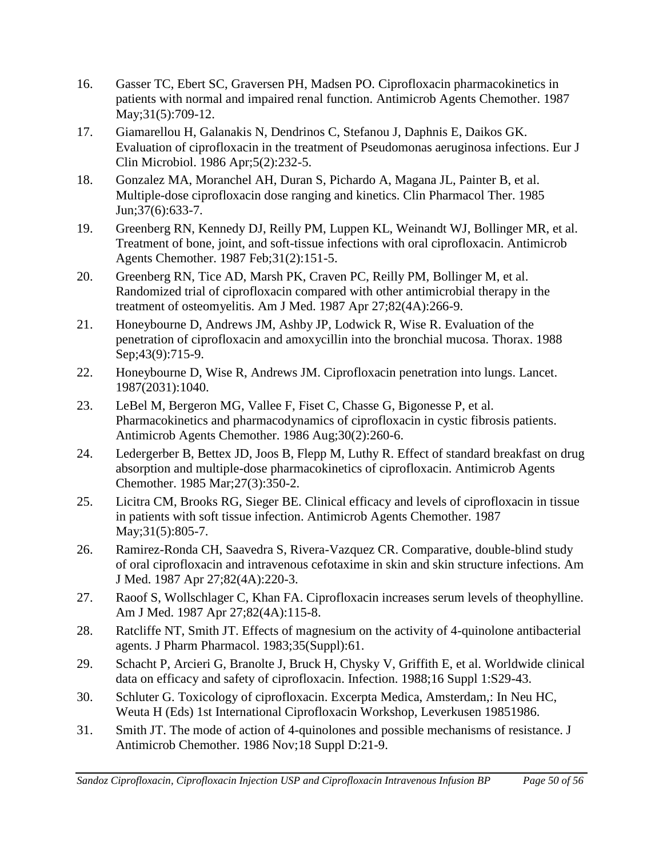- 16. Gasser TC, Ebert SC, Graversen PH, Madsen PO. Ciprofloxacin pharmacokinetics in patients with normal and impaired renal function. Antimicrob Agents Chemother. 1987 May; 31(5): 709-12.
- 17. Giamarellou H, Galanakis N, Dendrinos C, Stefanou J, Daphnis E, Daikos GK. Evaluation of ciprofloxacin in the treatment of Pseudomonas aeruginosa infections. Eur J Clin Microbiol. 1986 Apr;5(2):232-5.
- 18. Gonzalez MA, Moranchel AH, Duran S, Pichardo A, Magana JL, Painter B, et al. Multiple-dose ciprofloxacin dose ranging and kinetics. Clin Pharmacol Ther. 1985 Jun;37(6):633-7.
- 19. Greenberg RN, Kennedy DJ, Reilly PM, Luppen KL, Weinandt WJ, Bollinger MR, et al. Treatment of bone, joint, and soft-tissue infections with oral ciprofloxacin. Antimicrob Agents Chemother. 1987 Feb;31(2):151-5.
- 20. Greenberg RN, Tice AD, Marsh PK, Craven PC, Reilly PM, Bollinger M, et al. Randomized trial of ciprofloxacin compared with other antimicrobial therapy in the treatment of osteomyelitis. Am J Med. 1987 Apr 27;82(4A):266-9.
- 21. Honeybourne D, Andrews JM, Ashby JP, Lodwick R, Wise R. Evaluation of the penetration of ciprofloxacin and amoxycillin into the bronchial mucosa. Thorax. 1988 Sep; 43(9): 715-9.
- 22. Honeybourne D, Wise R, Andrews JM. Ciprofloxacin penetration into lungs. Lancet. 1987(2031):1040.
- 23. LeBel M, Bergeron MG, Vallee F, Fiset C, Chasse G, Bigonesse P, et al. Pharmacokinetics and pharmacodynamics of ciprofloxacin in cystic fibrosis patients. Antimicrob Agents Chemother. 1986 Aug;30(2):260-6.
- 24. Ledergerber B, Bettex JD, Joos B, Flepp M, Luthy R. Effect of standard breakfast on drug absorption and multiple-dose pharmacokinetics of ciprofloxacin. Antimicrob Agents Chemother. 1985 Mar;27(3):350-2.
- 25. Licitra CM, Brooks RG, Sieger BE. Clinical efficacy and levels of ciprofloxacin in tissue in patients with soft tissue infection. Antimicrob Agents Chemother. 1987 May; 31(5): 805-7.
- 26. Ramirez-Ronda CH, Saavedra S, Rivera-Vazquez CR. Comparative, double-blind study of oral ciprofloxacin and intravenous cefotaxime in skin and skin structure infections. Am J Med. 1987 Apr 27;82(4A):220-3.
- 27. Raoof S, Wollschlager C, Khan FA. Ciprofloxacin increases serum levels of theophylline. Am J Med. 1987 Apr 27;82(4A):115-8.
- 28. Ratcliffe NT, Smith JT. Effects of magnesium on the activity of 4-quinolone antibacterial agents. J Pharm Pharmacol. 1983;35(Suppl):61.
- 29. Schacht P, Arcieri G, Branolte J, Bruck H, Chysky V, Griffith E, et al. Worldwide clinical data on efficacy and safety of ciprofloxacin. Infection. 1988;16 Suppl 1:S29-43.
- 30. Schluter G. Toxicology of ciprofloxacin. Excerpta Medica, Amsterdam,: In Neu HC, Weuta H (Eds) 1st International Ciprofloxacin Workshop, Leverkusen 19851986.
- 31. Smith JT. The mode of action of 4-quinolones and possible mechanisms of resistance. J Antimicrob Chemother. 1986 Nov;18 Suppl D:21-9.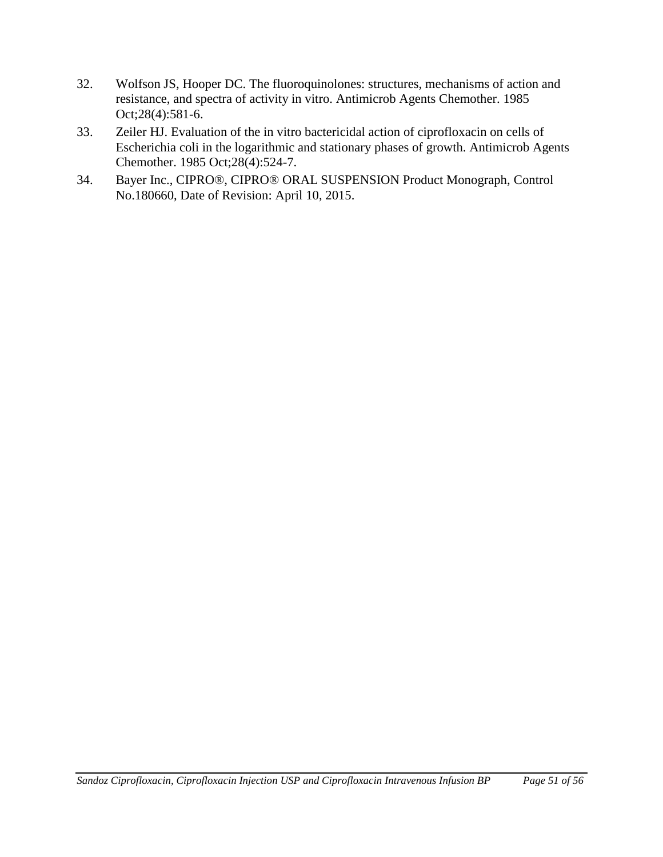- 32. Wolfson JS, Hooper DC. The fluoroquinolones: structures, mechanisms of action and resistance, and spectra of activity in vitro. Antimicrob Agents Chemother. 1985 Oct;28(4):581-6.
- 33. Zeiler HJ. Evaluation of the in vitro bactericidal action of ciprofloxacin on cells of Escherichia coli in the logarithmic and stationary phases of growth. Antimicrob Agents Chemother. 1985 Oct;28(4):524-7.
- 34. Bayer Inc., CIPRO®, CIPRO® ORAL SUSPENSION Product Monograph, Control No.180660, Date of Revision: April 10, 2015.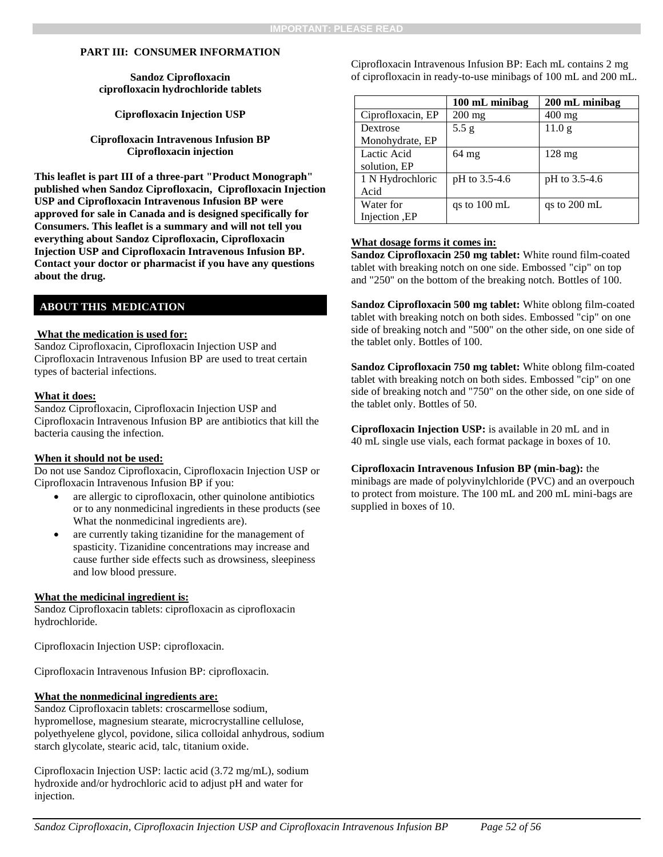#### **PART III: CONSUMER INFORMATION**

**Sandoz Ciprofloxacin ciprofloxacin hydrochloride tablets** 

**Ciprofloxacin Injection USP** 

**Ciprofloxacin Intravenous Infusion BP Ciprofloxacin injection**

**This leaflet is part III of a three-part "Product Monograph" published when Sandoz Ciprofloxacin, Ciprofloxacin Injection USP and Ciprofloxacin Intravenous Infusion BP were approved for sale in Canada and is designed specifically for Consumers. This leaflet is a summary and will not tell you everything about Sandoz Ciprofloxacin, Ciprofloxacin Injection USP and Ciprofloxacin Intravenous Infusion BP. Contact your doctor or pharmacist if you have any questions about the drug.** 

#### **ABOUT THIS MEDICATION**

#### **What the medication is used for:**

Sandoz Ciprofloxacin, Ciprofloxacin Injection USP and Ciprofloxacin Intravenous Infusion BP are used to treat certain types of bacterial infections.

#### **What it does:**

Sandoz Ciprofloxacin, Ciprofloxacin Injection USP and Ciprofloxacin Intravenous Infusion BP are antibiotics that kill the bacteria causing the infection.

#### **When it should not be used:**

Do not use Sandoz Ciprofloxacin, Ciprofloxacin Injection USP or Ciprofloxacin Intravenous Infusion BP if you:

- are allergic to ciprofloxacin, other quinolone antibiotics or to any nonmedicinal ingredients in these products (see What the nonmedicinal ingredients are).
- are currently taking tizanidine for the management of spasticity. Tizanidine concentrations may increase and cause further side effects such as drowsiness, sleepiness and low blood pressure.

#### **What the medicinal ingredient is:**

Sandoz Ciprofloxacin tablets: ciprofloxacin as ciprofloxacin hydrochloride.

Ciprofloxacin Injection USP: ciprofloxacin.

Ciprofloxacin Intravenous Infusion BP: ciprofloxacin.

#### **What the nonmedicinal ingredients are:**

Sandoz Ciprofloxacin tablets: croscarmellose sodium, hypromellose, magnesium stearate, microcrystalline cellulose, polyethyelene glycol, povidone, silica colloidal anhydrous, sodium starch glycolate, stearic acid, talc, titanium oxide.

Ciprofloxacin Injection USP: lactic acid (3.72 mg/mL), sodium hydroxide and/or hydrochloric acid to adjust pH and water for injection.

<span id="page-51-0"></span>Ciprofloxacin Intravenous Infusion BP: Each mL contains 2 mg of ciprofloxacin in ready-to-use minibags of 100 mL and 200 mL.

|                   | 100 mL minibag         | 200 mL minibag         |
|-------------------|------------------------|------------------------|
| Ciprofloxacin, EP | $200$ mg               | $400$ mg               |
| Dextrose          | 5.5 g                  | 11.0 <sub>g</sub>      |
| Monohydrate, EP   |                        |                        |
| Lactic Acid       | $64 \text{ mg}$        | $128 \text{ mg}$       |
| solution, EP      |                        |                        |
| 1 N Hydrochloric  | pH to 3.5-4.6          | pH to 3.5-4.6          |
| Acid              |                        |                        |
| Water for         | qs to $100 \text{ mL}$ | qs to $200 \text{ mL}$ |
| Injection , EP    |                        |                        |

#### **What dosage forms it comes in:**

**Sandoz Ciprofloxacin 250 mg tablet:** White round film-coated tablet with breaking notch on one side. Embossed "cip" on top and "250" on the bottom of the breaking notch. Bottles of 100.

**Sandoz Ciprofloxacin 500 mg tablet:** White oblong film-coated tablet with breaking notch on both sides. Embossed "cip" on one side of breaking notch and "500" on the other side, on one side of the tablet only. Bottles of 100.

**Sandoz Ciprofloxacin 750 mg tablet:** White oblong film-coated tablet with breaking notch on both sides. Embossed "cip" on one side of breaking notch and "750" on the other side, on one side of the tablet only. Bottles of 50.

**Ciprofloxacin Injection USP:** is available in 20 mL and in 40 mL single use vials, each format package in boxes of 10.

#### **Ciprofloxacin Intravenous Infusion BP (min-bag):** the

minibags are made of polyvinylchloride (PVC) and an overpouch to protect from moisture. The 100 mL and 200 mL mini-bags are supplied in boxes of 10.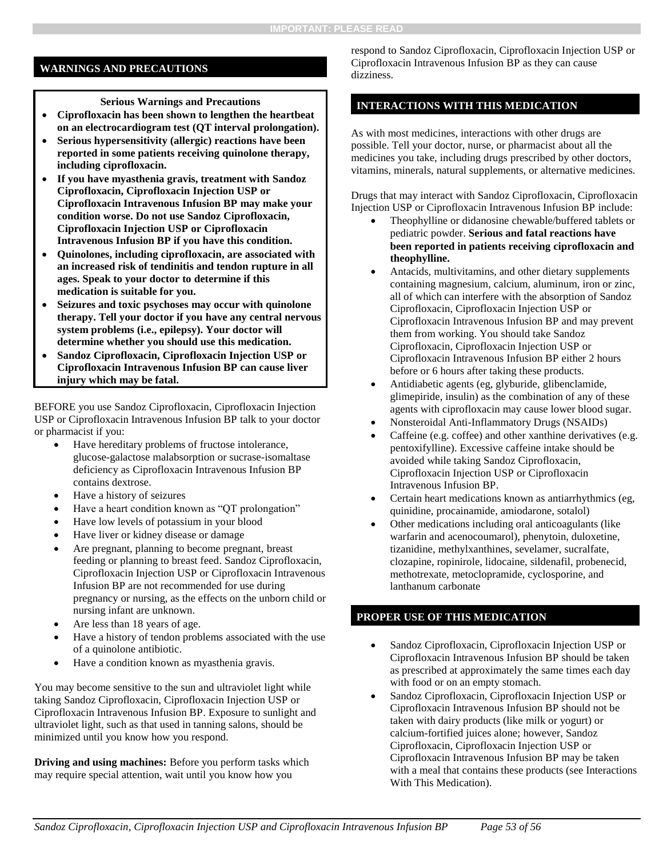#### **WARNINGS AND PRECAUTIONS**

#### **Serious Warnings and Precautions**

- **Ciprofloxacin has been shown to lengthen the heartbeat on an electrocardiogram test (QT interval prolongation).**
- **Serious hypersensitivity (allergic) reactions have been reported in some patients receiving quinolone therapy, including ciprofloxacin.**
- **If you have myasthenia gravis, treatment with Sandoz Ciprofloxacin, Ciprofloxacin Injection USP or Ciprofloxacin Intravenous Infusion BP may make your condition worse. Do not use Sandoz Ciprofloxacin, Ciprofloxacin Injection USP or Ciprofloxacin Intravenous Infusion BP if you have this condition.**
- **Quinolones, including ciprofloxacin, are associated with an increased risk of tendinitis and tendon rupture in all ages. Speak to your doctor to determine if this medication is suitable for you.**
- **Seizures and toxic psychoses may occur with quinolone therapy. Tell your doctor if you have any central nervous system problems (i.e., epilepsy). Your doctor will determine whether you should use this medication.**
- **Sandoz Ciprofloxacin, Ciprofloxacin Injection USP or Ciprofloxacin Intravenous Infusion BP can cause liver injury which may be fatal.**

BEFORE you use Sandoz Ciprofloxacin, Ciprofloxacin Injection USP or Ciprofloxacin Intravenous Infusion BP talk to your doctor or pharmacist if you:

- Have hereditary problems of fructose intolerance, glucose-galactose malabsorption or sucrase-isomaltase deficiency as Ciprofloxacin Intravenous Infusion BP contains dextrose.
- Have a history of seizures
- Have a heart condition known as "QT prolongation"
- Have low levels of potassium in your blood
- Have liver or kidney disease or damage
- Are pregnant, planning to become pregnant, breast feeding or planning to breast feed. Sandoz Ciprofloxacin, Ciprofloxacin Injection USP or Ciprofloxacin Intravenous Infusion BP are not recommended for use during pregnancy or nursing, as the effects on the unborn child or nursing infant are unknown.
- Are less than 18 years of age.
- Have a history of tendon problems associated with the use of a quinolone antibiotic.
- Have a condition known as myasthenia gravis.

You may become sensitive to the sun and ultraviolet light while taking Sandoz Ciprofloxacin, Ciprofloxacin Injection USP or Ciprofloxacin Intravenous Infusion BP. Exposure to sunlight and ultraviolet light, such as that used in tanning salons, should be minimized until you know how you respond.

**Driving and using machines:** Before you perform tasks which may require special attention, wait until you know how you

respond to Sandoz Ciprofloxacin, Ciprofloxacin Injection USP or Ciprofloxacin Intravenous Infusion BP as they can cause dizziness.

#### **INTERACTIONS WITH THIS MEDICATION**

As with most medicines, interactions with other drugs are possible. Tell your doctor, nurse, or pharmacist about all the medicines you take, including drugs prescribed by other doctors, vitamins, minerals, natural supplements, or alternative medicines.

Drugs that may interact with Sandoz Ciprofloxacin, Ciprofloxacin Injection USP or Ciprofloxacin Intravenous Infusion BP include:

- Theophylline or didanosine chewable/buffered tablets or pediatric powder. **Serious and fatal reactions have been reported in patients receiving ciprofloxacin and theophylline.**
- Antacids, multivitamins, and other dietary supplements containing magnesium, calcium, aluminum, iron or zinc, all of which can interfere with the absorption of Sandoz Ciprofloxacin, Ciprofloxacin Injection USP or Ciprofloxacin Intravenous Infusion BP and may prevent them from working. You should take Sandoz Ciprofloxacin, Ciprofloxacin Injection USP or Ciprofloxacin Intravenous Infusion BP either 2 hours before or 6 hours after taking these products.
- Antidiabetic agents (eg, glyburide, glibenclamide, glimepiride, insulin) as the combination of any of these agents with ciprofloxacin may cause lower blood sugar.
- Nonsteroidal Anti-Inflammatory Drugs (NSAIDs)
- Caffeine (e.g. coffee) and other xanthine derivatives (e.g. pentoxifylline). Excessive caffeine intake should be avoided while taking Sandoz Ciprofloxacin, Ciprofloxacin Injection USP or Ciprofloxacin Intravenous Infusion BP.
- Certain heart medications known as antiarrhythmics (eg, quinidine, procainamide, amiodarone, sotalol)
- Other medications including oral anticoagulants (like warfarin and acenocoumarol), phenytoin, duloxetine, tizanidine, methylxanthines, sevelamer, sucralfate, clozapine, ropinirole, lidocaine, sildenafil, probenecid, methotrexate, metoclopramide, cyclosporine, and lanthanum carbonate

#### **PROPER USE OF THIS MEDICATION**

- Sandoz Ciprofloxacin, Ciprofloxacin Injection USP or Ciprofloxacin Intravenous Infusion BP should be taken as prescribed at approximately the same times each day with food or on an empty stomach.
- Sandoz Ciprofloxacin, Ciprofloxacin Injection USP or Ciprofloxacin Intravenous Infusion BP should not be taken with dairy products (like milk or yogurt) or calcium-fortified juices alone; however, Sandoz Ciprofloxacin, Ciprofloxacin Injection USP or Ciprofloxacin Intravenous Infusion BP may be taken with a meal that contains these products (see Interactions With This Medication).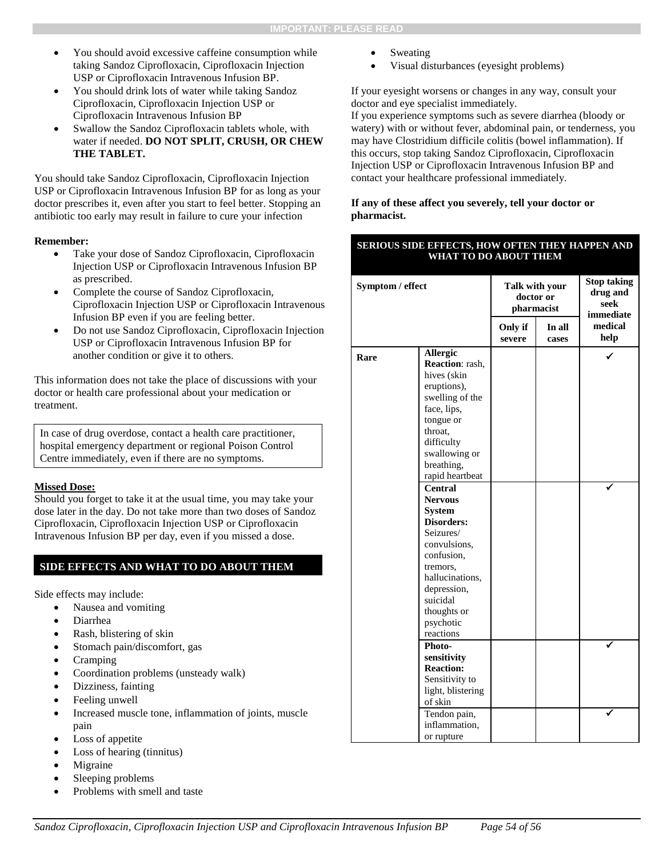- You should avoid excessive caffeine consumption while taking Sandoz Ciprofloxacin, Ciprofloxacin Injection USP or Ciprofloxacin Intravenous Infusion BP.
- You should drink lots of water while taking Sandoz Ciprofloxacin, Ciprofloxacin Injection USP or Ciprofloxacin Intravenous Infusion BP
- Swallow the Sandoz Ciprofloxacin tablets whole, with water if needed. **DO NOT SPLIT, CRUSH, OR CHEW THE TABLET.**

You should take Sandoz Ciprofloxacin, Ciprofloxacin Injection USP or Ciprofloxacin Intravenous Infusion BP for as long as your doctor prescribes it, even after you start to feel better. Stopping an antibiotic too early may result in failure to cure your infection

#### **Remember:**

- Take your dose of Sandoz Ciprofloxacin, Ciprofloxacin Injection USP or Ciprofloxacin Intravenous Infusion BP as prescribed.
- Complete the course of Sandoz Ciprofloxacin, Ciprofloxacin Injection USP or Ciprofloxacin Intravenous Infusion BP even if you are feeling better.
- Do not use Sandoz Ciprofloxacin, Ciprofloxacin Injection USP or Ciprofloxacin Intravenous Infusion BP for another condition or give it to others.

This information does not take the place of discussions with your doctor or health care professional about your medication or treatment.

In case of drug overdose, contact a health care practitioner, hospital emergency department or regional Poison Control Centre immediately, even if there are no symptoms.

#### **Missed Dose:**

Should you forget to take it at the usual time, you may take your dose later in the day. Do not take more than two doses of Sandoz Ciprofloxacin, Ciprofloxacin Injection USP or Ciprofloxacin Intravenous Infusion BP per day, even if you missed a dose.

#### **SIDE EFFECTS AND WHAT TO DO ABOUT THEM**

Side effects may include:

- Nausea and vomiting
- Diarrhea
- Rash, blistering of skin
- Stomach pain/discomfort, gas
- Cramping
- Coordination problems (unsteady walk)
- Dizziness, fainting
- Feeling unwell
- Increased muscle tone, inflammation of joints, muscle pain
- Loss of appetite
- Loss of hearing (tinnitus)
- Migraine
- Sleeping problems
- Problems with smell and taste
- Sweating
- Visual disturbances (eyesight problems)

If your eyesight worsens or changes in any way, consult your doctor and eye specialist immediately.

If you experience symptoms such as severe diarrhea (bloody or watery) with or without fever, abdominal pain, or tenderness, you may have Clostridium difficile colitis (bowel inflammation). If this occurs, stop taking Sandoz Ciprofloxacin, Ciprofloxacin Injection USP or Ciprofloxacin Intravenous Infusion BP and contact your healthcare professional immediately.

#### **If any of these affect you severely, tell your doctor or pharmacist.**

#### **SERIOUS SIDE EFFECTS, HOW OFTEN THEY HAPPEN AND WHAT TO DO ABOUT THEM**

| Symptom / effect |                                                                                                                                                                                                               | Talk with your<br>doctor or<br>pharmacist |                 | <b>Stop taking</b><br>drug and<br>seek<br>immediate |  |
|------------------|---------------------------------------------------------------------------------------------------------------------------------------------------------------------------------------------------------------|-------------------------------------------|-----------------|-----------------------------------------------------|--|
|                  |                                                                                                                                                                                                               | Only if<br>severe                         | In all<br>cases | medical<br>help                                     |  |
| Rare             | Allergic<br>Reaction: rash,<br>hives (skin<br>eruptions),<br>swelling of the<br>face, lips,<br>tongue or<br>throat,<br>difficulty<br>swallowing or<br>breathing,<br>rapid heartbeat                           |                                           |                 |                                                     |  |
|                  | <b>Central</b><br><b>Nervous</b><br><b>System</b><br>Disorders:<br>Seizures/<br>convulsions,<br>confusion,<br>tremors.<br>hallucinations,<br>depression,<br>suicidal<br>thoughts or<br>psychotic<br>reactions |                                           |                 |                                                     |  |
|                  | Photo-<br>sensitivity<br><b>Reaction:</b><br>Sensitivity to<br>light, blistering<br>of skin                                                                                                                   |                                           |                 |                                                     |  |
|                  | Tendon pain,<br>inflammation,<br>or rupture                                                                                                                                                                   |                                           |                 |                                                     |  |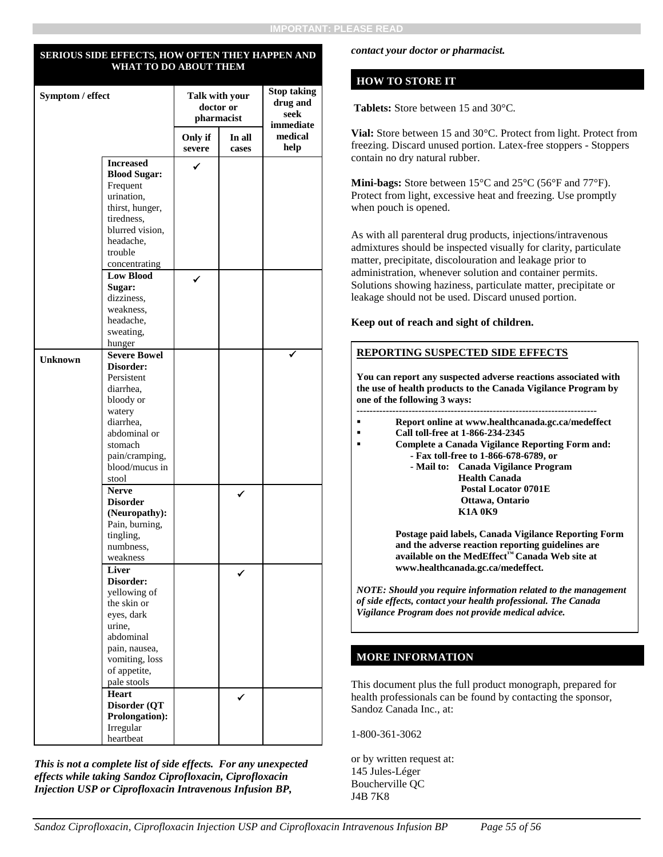#### **SERIOUS SIDE EFFECTS, HOW OFTEN THEY HAPPEN AND WHAT TO DO ABOUT THEM**

| Symptom / effect |                                         | Talk with your<br>doctor or<br>pharmacist |                 | <b>Stop taking</b><br>drug and<br>seek<br>immediate |
|------------------|-----------------------------------------|-------------------------------------------|-----------------|-----------------------------------------------------|
|                  |                                         | Only if<br>severe                         | In all<br>cases | medical<br>help                                     |
|                  | <b>Increased</b><br><b>Blood Sugar:</b> | ✓                                         |                 |                                                     |
|                  | Frequent                                |                                           |                 |                                                     |
|                  | urination,                              |                                           |                 |                                                     |
|                  | thirst, hunger,<br>tiredness,           |                                           |                 |                                                     |
|                  | blurred vision.                         |                                           |                 |                                                     |
|                  | headache,                               |                                           |                 |                                                     |
|                  | trouble                                 |                                           |                 |                                                     |
|                  | concentrating                           |                                           |                 |                                                     |
|                  | <b>Low Blood</b>                        |                                           |                 |                                                     |
|                  | Sugar:<br>dizziness,                    |                                           |                 |                                                     |
|                  | weakness,                               |                                           |                 |                                                     |
|                  | headache,                               |                                           |                 |                                                     |
|                  | sweating,                               |                                           |                 |                                                     |
|                  | hunger                                  |                                           |                 |                                                     |
| <b>Unknown</b>   | <b>Severe Bowel</b><br>Disorder:        |                                           |                 |                                                     |
|                  | Persistent                              |                                           |                 |                                                     |
|                  | diarrhea.                               |                                           |                 |                                                     |
|                  | bloody or                               |                                           |                 |                                                     |
|                  | watery                                  |                                           |                 |                                                     |
|                  | diarrhea.                               |                                           |                 |                                                     |
|                  | abdominal or                            |                                           |                 |                                                     |
|                  | stomach<br>pain/cramping,               |                                           |                 |                                                     |
|                  | blood/mucus in                          |                                           |                 |                                                     |
|                  | stool                                   |                                           |                 |                                                     |
|                  | <b>Nerve</b>                            |                                           | ✓               |                                                     |
|                  | <b>Disorder</b>                         |                                           |                 |                                                     |
|                  | (Neuropathy):                           |                                           |                 |                                                     |
|                  | Pain, burning,<br>tingling,             |                                           |                 |                                                     |
|                  | numbness,                               |                                           |                 |                                                     |
|                  | weakness                                |                                           |                 |                                                     |
|                  | Liver                                   |                                           |                 |                                                     |
|                  | Disorder:                               |                                           |                 |                                                     |
|                  | yellowing of                            |                                           |                 |                                                     |
|                  | the skin or<br>eyes, dark               |                                           |                 |                                                     |
|                  | urine,                                  |                                           |                 |                                                     |
|                  | abdominal                               |                                           |                 |                                                     |
|                  | pain, nausea,                           |                                           |                 |                                                     |
|                  | vomiting, loss                          |                                           |                 |                                                     |
|                  | of appetite,                            |                                           |                 |                                                     |
|                  | pale stools<br><b>Heart</b>             |                                           |                 |                                                     |
|                  | Disorder (QT                            |                                           |                 |                                                     |
|                  | Prolongation):                          |                                           |                 |                                                     |
|                  | Irregular                               |                                           |                 |                                                     |
|                  | heartbeat                               |                                           |                 |                                                     |

*This is not a complete list of side effects. For any unexpected effects while taking Sandoz Ciprofloxacin, Ciprofloxacin Injection USP or Ciprofloxacin Intravenous Infusion BP,* 

#### *contact your doctor or pharmacist.*

#### **HOW TO STORE IT**

**Tablets:** Store between 15 and 30°C.

**Vial:** Store between 15 and 30°C. Protect from light. Protect from freezing. Discard unused portion. Latex-free stoppers - Stoppers contain no dry natural rubber.

**Mini-bags:** Store between 15°C and 25°C (56°F and 77°F). Protect from light, excessive heat and freezing. Use promptly when pouch is opened.

As with all parenteral drug products, injections/intravenous admixtures should be inspected visually for clarity, particulate matter, precipitate, discolouration and leakage prior to administration, whenever solution and container permits. Solutions showing haziness, particulate matter, precipitate or leakage should not be used. Discard unused portion.

**Keep out of reach and sight of children.**

#### **REPORTING SUSPECTED SIDE EFFECTS**

**You can report any suspected adverse reactions associated with the use of health products to the Canada Vigilance Program by one of the following 3 ways:** 

- **--------------------------------------------------------------------------**
- **Report online at www.healthcanada.gc.ca/medeffect**
- **Call toll-free at 1-866-234-2345**
- **Complete a Canada Vigilance Reporting Form and: - Fax toll-free to 1-866-678-6789, or**
	- **- Mail to: Canada Vigilance Program Health Canada Postal Locator 0701E Ottawa, Ontario K1A 0K9**

**Postage paid labels, Canada Vigilance Reporting Form and the adverse reaction reporting guidelines are available on the MedEffect™ Canada Web site at www.healthcanada.gc.ca/medeffect.**

*NOTE: Should you require information related to the management of side effects, contact your health professional. The Canada Vigilance Program does not provide medical advice.*

#### **MORE INFORMATION**

This document plus the full product monograph, prepared for health professionals can be found by contacting the sponsor, Sandoz Canada Inc., at:

1-800-361-3062

or by written request at: 145 Jules-Léger Boucherville QC J4B 7K8